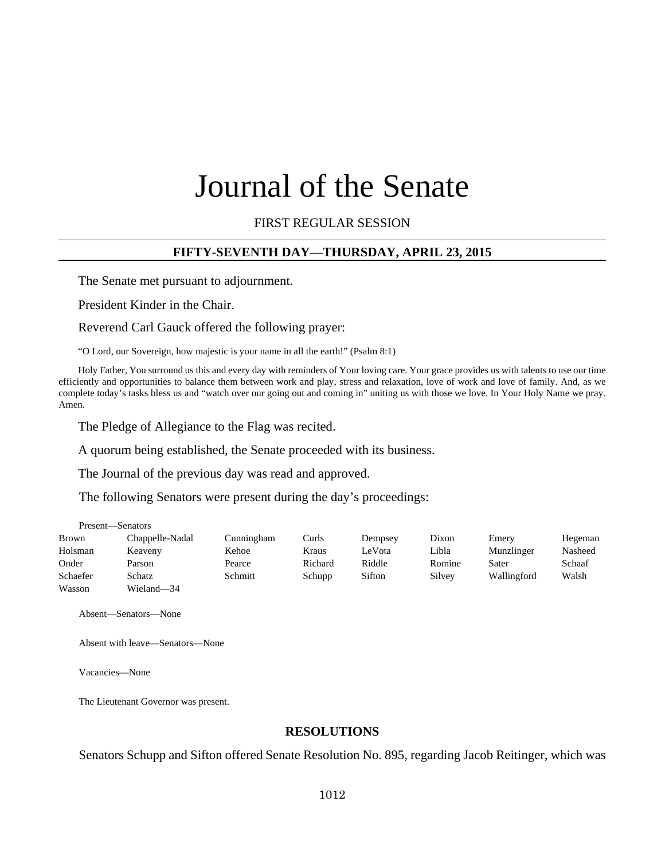# Journal of the Senate

FIRST REGULAR SESSION

#### **FIFTY-SEVENTH DAY—THURSDAY, APRIL 23, 2015**

The Senate met pursuant to adjournment.

President Kinder in the Chair.

Reverend Carl Gauck offered the following prayer:

"O Lord, our Sovereign, how majestic is your name in all the earth!" (Psalm 8:1)

Holy Father, You surround us this and every day with reminders of Your loving care. Your grace provides us with talents to use our time efficiently and opportunities to balance them between work and play, stress and relaxation, love of work and love of family. And, as we complete today's tasks bless us and "watch over our going out and coming in" uniting us with those we love. In Your Holy Name we pray. Amen.

The Pledge of Allegiance to the Flag was recited.

A quorum being established, the Senate proceeded with its business.

The Journal of the previous day was read and approved.

The following Senators were present during the day's proceedings:

|              | Present—Senators |            |         |         |        |             |         |
|--------------|------------------|------------|---------|---------|--------|-------------|---------|
| <b>Brown</b> | Chappelle-Nadal  | Cunningham | Curls   | Dempsey | Dixon  | Emery       | Hegeman |
| Holsman      | Keaveny          | Kehoe      | Kraus   | LeVota  | Libla  | Munzlinger  | Nasheed |
| Onder        | Parson           | Pearce     | Richard | Riddle  | Romine | Sater       | Schaaf  |
| Schaefer     | Schatz           | Schmitt    | Schupp  | Sifton  | Silvey | Wallingford | Walsh   |
| Wasson       | Wieland-34       |            |         |         |        |             |         |

Absent—Senators—None

Absent with leave—Senators—None

Vacancies—None

The Lieutenant Governor was present.

#### **RESOLUTIONS**

Senators Schupp and Sifton offered Senate Resolution No. 895, regarding Jacob Reitinger, which was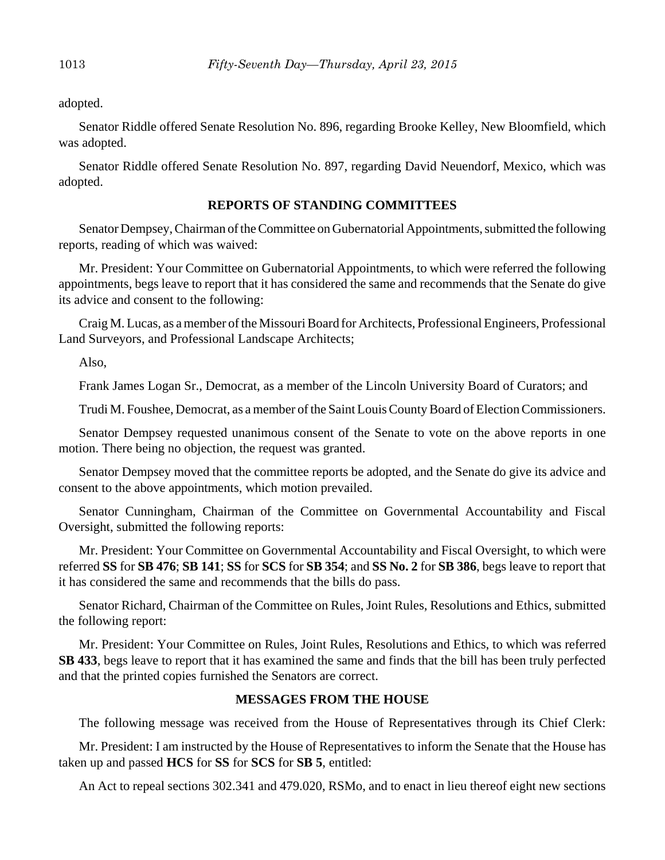adopted.

Senator Riddle offered Senate Resolution No. 896, regarding Brooke Kelley, New Bloomfield, which was adopted.

Senator Riddle offered Senate Resolution No. 897, regarding David Neuendorf, Mexico, which was adopted.

#### **REPORTS OF STANDING COMMITTEES**

Senator Dempsey, Chairman of the Committee on Gubernatorial Appointments, submitted the following reports, reading of which was waived:

Mr. President: Your Committee on Gubernatorial Appointments, to which were referred the following appointments, begs leave to report that it has considered the same and recommends that the Senate do give its advice and consent to the following:

Craig M. Lucas, as a member of the Missouri Board for Architects, Professional Engineers, Professional Land Surveyors, and Professional Landscape Architects;

Also,

Frank James Logan Sr., Democrat, as a member of the Lincoln University Board of Curators; and

Trudi M. Foushee, Democrat, as a member of the Saint Louis County Board of Election Commissioners.

Senator Dempsey requested unanimous consent of the Senate to vote on the above reports in one motion. There being no objection, the request was granted.

Senator Dempsey moved that the committee reports be adopted, and the Senate do give its advice and consent to the above appointments, which motion prevailed.

Senator Cunningham, Chairman of the Committee on Governmental Accountability and Fiscal Oversight, submitted the following reports:

Mr. President: Your Committee on Governmental Accountability and Fiscal Oversight, to which were referred **SS** for **SB 476**; **SB 141**; **SS** for **SCS** for **SB 354**; and **SS No. 2** for **SB 386**, begs leave to report that it has considered the same and recommends that the bills do pass.

Senator Richard, Chairman of the Committee on Rules, Joint Rules, Resolutions and Ethics, submitted the following report:

Mr. President: Your Committee on Rules, Joint Rules, Resolutions and Ethics, to which was referred **SB 433**, begs leave to report that it has examined the same and finds that the bill has been truly perfected and that the printed copies furnished the Senators are correct.

#### **MESSAGES FROM THE HOUSE**

The following message was received from the House of Representatives through its Chief Clerk:

Mr. President: I am instructed by the House of Representatives to inform the Senate that the House has taken up and passed **HCS** for **SS** for **SCS** for **SB 5**, entitled:

An Act to repeal sections 302.341 and 479.020, RSMo, and to enact in lieu thereof eight new sections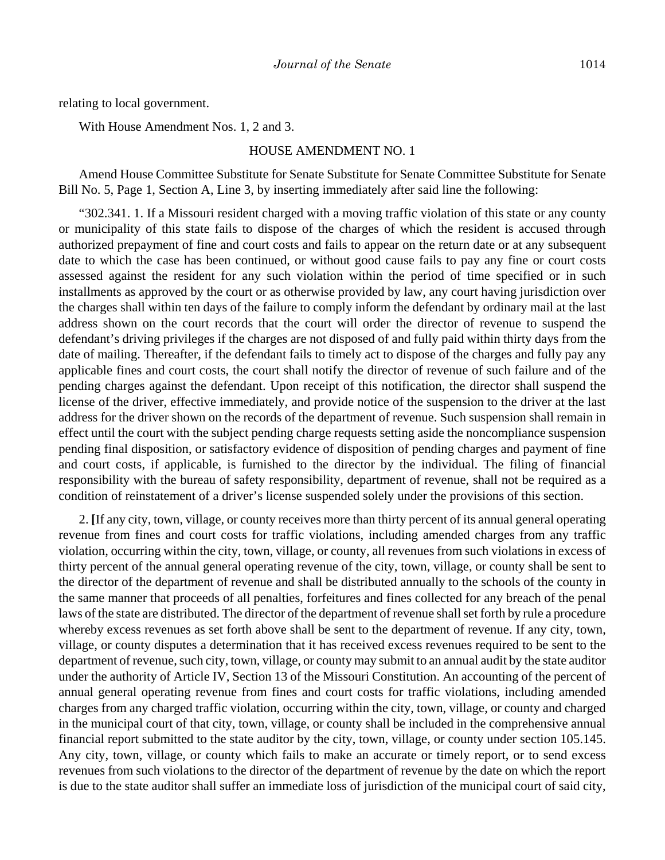relating to local government.

With House Amendment Nos. 1, 2 and 3.

#### HOUSE AMENDMENT NO. 1

Amend House Committee Substitute for Senate Substitute for Senate Committee Substitute for Senate Bill No. 5, Page 1, Section A, Line 3, by inserting immediately after said line the following:

"302.341. 1. If a Missouri resident charged with a moving traffic violation of this state or any county or municipality of this state fails to dispose of the charges of which the resident is accused through authorized prepayment of fine and court costs and fails to appear on the return date or at any subsequent date to which the case has been continued, or without good cause fails to pay any fine or court costs assessed against the resident for any such violation within the period of time specified or in such installments as approved by the court or as otherwise provided by law, any court having jurisdiction over the charges shall within ten days of the failure to comply inform the defendant by ordinary mail at the last address shown on the court records that the court will order the director of revenue to suspend the defendant's driving privileges if the charges are not disposed of and fully paid within thirty days from the date of mailing. Thereafter, if the defendant fails to timely act to dispose of the charges and fully pay any applicable fines and court costs, the court shall notify the director of revenue of such failure and of the pending charges against the defendant. Upon receipt of this notification, the director shall suspend the license of the driver, effective immediately, and provide notice of the suspension to the driver at the last address for the driver shown on the records of the department of revenue. Such suspension shall remain in effect until the court with the subject pending charge requests setting aside the noncompliance suspension pending final disposition, or satisfactory evidence of disposition of pending charges and payment of fine and court costs, if applicable, is furnished to the director by the individual. The filing of financial responsibility with the bureau of safety responsibility, department of revenue, shall not be required as a condition of reinstatement of a driver's license suspended solely under the provisions of this section.

2. **[**If any city, town, village, or county receives more than thirty percent of its annual general operating revenue from fines and court costs for traffic violations, including amended charges from any traffic violation, occurring within the city, town, village, or county, all revenues from such violations in excess of thirty percent of the annual general operating revenue of the city, town, village, or county shall be sent to the director of the department of revenue and shall be distributed annually to the schools of the county in the same manner that proceeds of all penalties, forfeitures and fines collected for any breach of the penal laws of the state are distributed. The director of the department of revenue shall set forth by rule a procedure whereby excess revenues as set forth above shall be sent to the department of revenue. If any city, town, village, or county disputes a determination that it has received excess revenues required to be sent to the department of revenue, such city, town, village, or county may submit to an annual audit by the state auditor under the authority of Article IV, Section 13 of the Missouri Constitution. An accounting of the percent of annual general operating revenue from fines and court costs for traffic violations, including amended charges from any charged traffic violation, occurring within the city, town, village, or county and charged in the municipal court of that city, town, village, or county shall be included in the comprehensive annual financial report submitted to the state auditor by the city, town, village, or county under section 105.145. Any city, town, village, or county which fails to make an accurate or timely report, or to send excess revenues from such violations to the director of the department of revenue by the date on which the report is due to the state auditor shall suffer an immediate loss of jurisdiction of the municipal court of said city,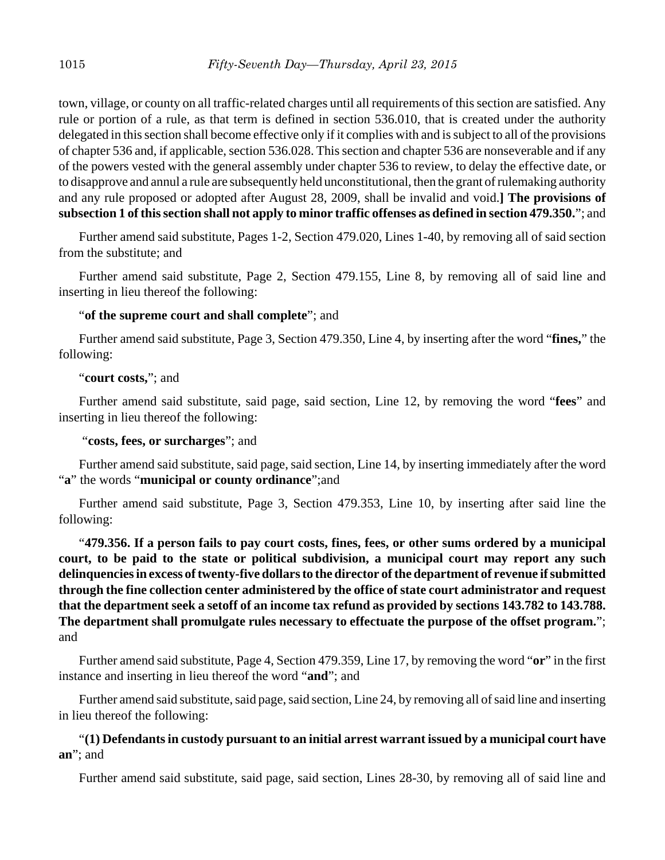town, village, or county on all traffic-related charges until all requirements of this section are satisfied. Any rule or portion of a rule, as that term is defined in section 536.010, that is created under the authority delegated in this section shall become effective only if it complies with and is subject to all of the provisions of chapter 536 and, if applicable, section 536.028. This section and chapter 536 are nonseverable and if any of the powers vested with the general assembly under chapter 536 to review, to delay the effective date, or to disapprove and annul a rule are subsequently held unconstitutional, then the grant of rulemaking authority and any rule proposed or adopted after August 28, 2009, shall be invalid and void.**] The provisions of subsection 1 of this section shall not apply to minor traffic offenses as defined in section 479.350.**"; and

Further amend said substitute, Pages 1-2, Section 479.020, Lines 1-40, by removing all of said section from the substitute; and

Further amend said substitute, Page 2, Section 479.155, Line 8, by removing all of said line and inserting in lieu thereof the following:

#### "**of the supreme court and shall complete**"; and

Further amend said substitute, Page 3, Section 479.350, Line 4, by inserting after the word "**fines,**" the following:

## "**court costs,**"; and

Further amend said substitute, said page, said section, Line 12, by removing the word "**fees**" and inserting in lieu thereof the following:

#### "**costs, fees, or surcharges**"; and

Further amend said substitute, said page, said section, Line 14, by inserting immediately after the word "**a**" the words "**municipal or county ordinance**";and

Further amend said substitute, Page 3, Section 479.353, Line 10, by inserting after said line the following:

"**479.356. If a person fails to pay court costs, fines, fees, or other sums ordered by a municipal court, to be paid to the state or political subdivision, a municipal court may report any such delinquencies in excess of twenty-five dollars to the director of the department of revenue if submitted through the fine collection center administered by the office of state court administrator and request that the department seek a setoff of an income tax refund as provided by sections 143.782 to 143.788. The department shall promulgate rules necessary to effectuate the purpose of the offset program.**"; and

Further amend said substitute, Page 4, Section 479.359, Line 17, by removing the word "**or**" in the first instance and inserting in lieu thereof the word "**and**"; and

Further amend said substitute, said page, said section, Line 24, by removing all of said line and inserting in lieu thereof the following:

#### "**(1) Defendants in custody pursuant to an initial arrest warrant issued by a municipal court have an**"; and

Further amend said substitute, said page, said section, Lines 28-30, by removing all of said line and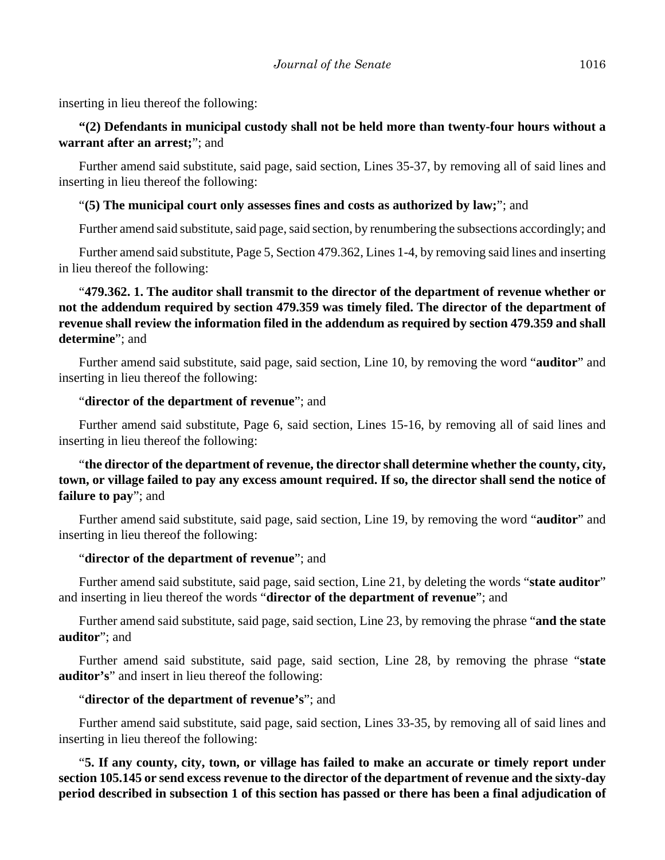inserting in lieu thereof the following:

#### **"(2) Defendants in municipal custody shall not be held more than twenty-four hours without a warrant after an arrest;**"; and

Further amend said substitute, said page, said section, Lines 35-37, by removing all of said lines and inserting in lieu thereof the following:

#### "**(5) The municipal court only assesses fines and costs as authorized by law;**"; and

Further amend said substitute, said page, said section, by renumbering the subsections accordingly; and

Further amend said substitute, Page 5, Section 479.362, Lines 1-4, by removing said lines and inserting in lieu thereof the following:

# "**479.362. 1. The auditor shall transmit to the director of the department of revenue whether or not the addendum required by section 479.359 was timely filed. The director of the department of revenue shall review the information filed in the addendum as required by section 479.359 and shall determine**"; and

Further amend said substitute, said page, said section, Line 10, by removing the word "**auditor**" and inserting in lieu thereof the following:

#### "**director of the department of revenue**"; and

Further amend said substitute, Page 6, said section, Lines 15-16, by removing all of said lines and inserting in lieu thereof the following:

# "**the director of the department of revenue, the director shall determine whether the county, city, town, or village failed to pay any excess amount required. If so, the director shall send the notice of failure to pay**"; and

Further amend said substitute, said page, said section, Line 19, by removing the word "**auditor**" and inserting in lieu thereof the following:

#### "**director of the department of revenue**"; and

Further amend said substitute, said page, said section, Line 21, by deleting the words "**state auditor**" and inserting in lieu thereof the words "**director of the department of revenue**"; and

Further amend said substitute, said page, said section, Line 23, by removing the phrase "**and the state auditor**"; and

Further amend said substitute, said page, said section, Line 28, by removing the phrase "**state auditor's**" and insert in lieu thereof the following:

#### "**director of the department of revenue's**"; and

Further amend said substitute, said page, said section, Lines 33-35, by removing all of said lines and inserting in lieu thereof the following:

"**5. If any county, city, town, or village has failed to make an accurate or timely report under section 105.145 or send excess revenue to the director of the department of revenue and the sixty-day period described in subsection 1 of this section has passed or there has been a final adjudication of**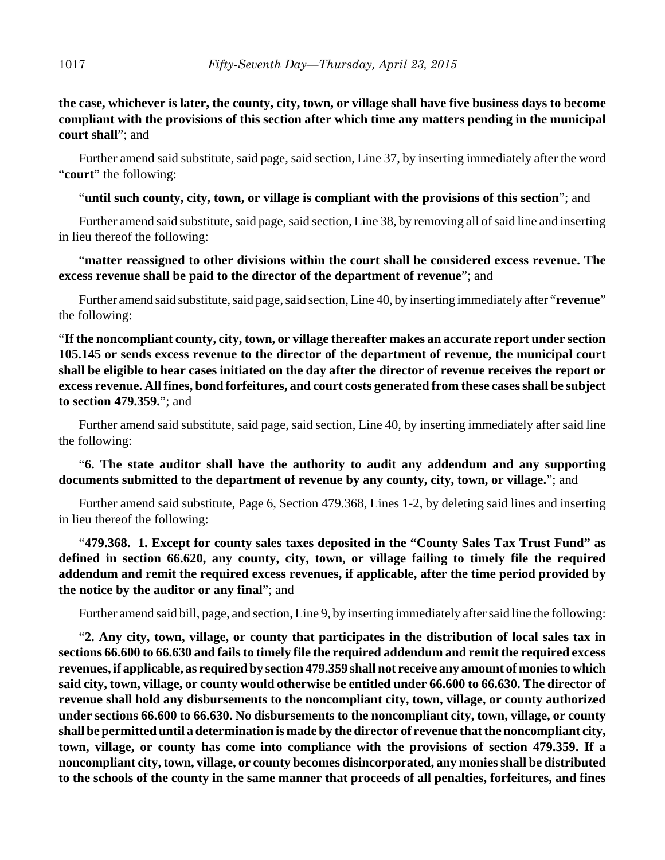# **the case, whichever is later, the county, city, town, or village shall have five business days to become compliant with the provisions of this section after which time any matters pending in the municipal court shall**"; and

Further amend said substitute, said page, said section, Line 37, by inserting immediately after the word "**court**" the following:

## "**until such county, city, town, or village is compliant with the provisions of this section**"; and

Further amend said substitute, said page, said section, Line 38, by removing all of said line and inserting in lieu thereof the following:

# "**matter reassigned to other divisions within the court shall be considered excess revenue. The excess revenue shall be paid to the director of the department of revenue**"; and

Further amend said substitute, said page, said section, Line 40, by inserting immediately after "**revenue**" the following:

"**If the noncompliant county, city, town, or village thereafter makes an accurate report under section 105.145 or sends excess revenue to the director of the department of revenue, the municipal court shall be eligible to hear cases initiated on the day after the director of revenue receives the report or excess revenue. All fines, bond forfeitures, and court costs generated from these cases shall be subject to section 479.359.**"; and

Further amend said substitute, said page, said section, Line 40, by inserting immediately after said line the following:

# "**6. The state auditor shall have the authority to audit any addendum and any supporting documents submitted to the department of revenue by any county, city, town, or village.**"; and

Further amend said substitute, Page 6, Section 479.368, Lines 1-2, by deleting said lines and inserting in lieu thereof the following:

"**479.368. 1. Except for county sales taxes deposited in the "County Sales Tax Trust Fund" as defined in section 66.620, any county, city, town, or village failing to timely file the required addendum and remit the required excess revenues, if applicable, after the time period provided by the notice by the auditor or any final**"; and

Further amend said bill, page, and section, Line 9, by inserting immediately after said line the following:

"**2. Any city, town, village, or county that participates in the distribution of local sales tax in sections 66.600 to 66.630 and fails to timely file the required addendum and remit the required excess revenues, if applicable, as required by section 479.359 shall not receive any amount of monies to which said city, town, village, or county would otherwise be entitled under 66.600 to 66.630. The director of revenue shall hold any disbursements to the noncompliant city, town, village, or county authorized under sections 66.600 to 66.630. No disbursements to the noncompliant city, town, village, or county shall be permitted until a determination is made by the director of revenue that the noncompliant city, town, village, or county has come into compliance with the provisions of section 479.359. If a noncompliant city, town, village, or county becomes disincorporated, any monies shall be distributed to the schools of the county in the same manner that proceeds of all penalties, forfeitures, and fines**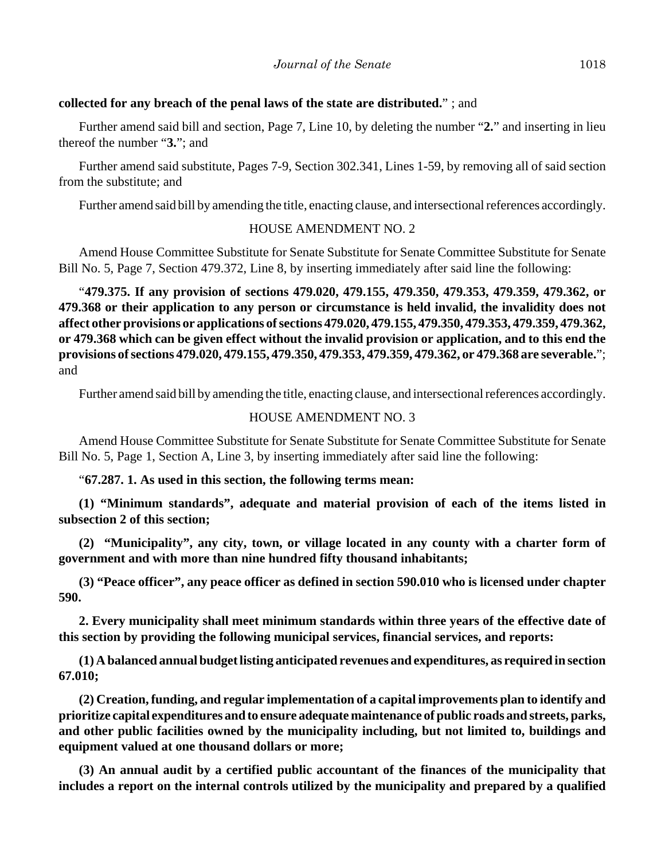#### **collected for any breach of the penal laws of the state are distributed.**" ; and

Further amend said bill and section, Page 7, Line 10, by deleting the number "**2.**" and inserting in lieu thereof the number "**3.**"; and

Further amend said substitute, Pages 7-9, Section 302.341, Lines 1-59, by removing all of said section from the substitute; and

Further amend said bill by amending the title, enacting clause, and intersectional references accordingly.

#### HOUSE AMENDMENT NO. 2

Amend House Committee Substitute for Senate Substitute for Senate Committee Substitute for Senate Bill No. 5, Page 7, Section 479.372, Line 8, by inserting immediately after said line the following:

"**479.375. If any provision of sections 479.020, 479.155, 479.350, 479.353, 479.359, 479.362, or 479.368 or their application to any person or circumstance is held invalid, the invalidity does not affect other provisions or applications of sections 479.020, 479.155, 479.350, 479.353, 479.359, 479.362, or 479.368 which can be given effect without the invalid provision or application, and to this end the provisions of sections 479.020, 479.155, 479.350, 479.353, 479.359, 479.362, or 479.368 are severable.**"; and

Further amend said bill by amending the title, enacting clause, and intersectional references accordingly.

#### HOUSE AMENDMENT NO. 3

Amend House Committee Substitute for Senate Substitute for Senate Committee Substitute for Senate Bill No. 5, Page 1, Section A, Line 3, by inserting immediately after said line the following:

#### "**67.287. 1. As used in this section, the following terms mean:**

**(1) "Minimum standards", adequate and material provision of each of the items listed in subsection 2 of this section;**

**(2) "Municipality", any city, town, or village located in any county with a charter form of government and with more than nine hundred fifty thousand inhabitants;**

**(3) "Peace officer", any peace officer as defined in section 590.010 who is licensed under chapter 590.**

**2. Every municipality shall meet minimum standards within three years of the effective date of this section by providing the following municipal services, financial services, and reports:**

**(1) A balanced annual budget listing anticipated revenues and expenditures, as required in section 67.010;**

**(2) Creation, funding, and regular implementation of a capital improvements plan to identify and prioritize capital expenditures and to ensure adequate maintenance of public roads and streets, parks, and other public facilities owned by the municipality including, but not limited to, buildings and equipment valued at one thousand dollars or more;**

**(3) An annual audit by a certified public accountant of the finances of the municipality that includes a report on the internal controls utilized by the municipality and prepared by a qualified**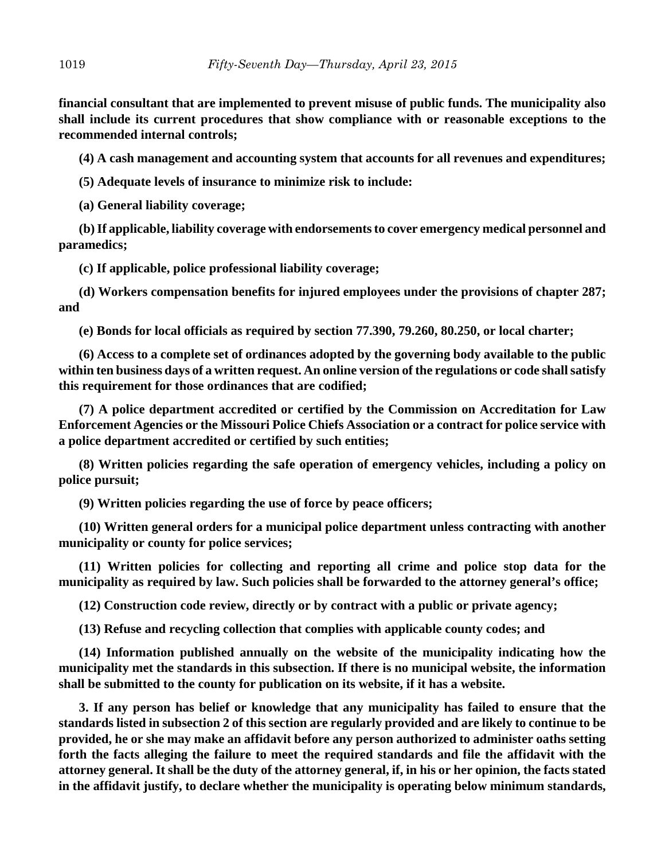**financial consultant that are implemented to prevent misuse of public funds. The municipality also shall include its current procedures that show compliance with or reasonable exceptions to the recommended internal controls;**

**(4) A cash management and accounting system that accounts for all revenues and expenditures;**

**(5) Adequate levels of insurance to minimize risk to include:**

**(a) General liability coverage;**

**(b) If applicable, liability coverage with endorsements to cover emergency medical personnel and paramedics;**

**(c) If applicable, police professional liability coverage;**

**(d) Workers compensation benefits for injured employees under the provisions of chapter 287; and**

**(e) Bonds for local officials as required by section 77.390, 79.260, 80.250, or local charter;**

**(6) Access to a complete set of ordinances adopted by the governing body available to the public within ten business days of a written request. An online version of the regulations or code shall satisfy this requirement for those ordinances that are codified;**

**(7) A police department accredited or certified by the Commission on Accreditation for Law Enforcement Agencies or the Missouri Police Chiefs Association or a contract for police service with a police department accredited or certified by such entities;**

**(8) Written policies regarding the safe operation of emergency vehicles, including a policy on police pursuit;**

**(9) Written policies regarding the use of force by peace officers;**

**(10) Written general orders for a municipal police department unless contracting with another municipality or county for police services;**

**(11) Written policies for collecting and reporting all crime and police stop data for the municipality as required by law. Such policies shall be forwarded to the attorney general's office;**

**(12) Construction code review, directly or by contract with a public or private agency;**

**(13) Refuse and recycling collection that complies with applicable county codes; and**

**(14) Information published annually on the website of the municipality indicating how the municipality met the standards in this subsection. If there is no municipal website, the information shall be submitted to the county for publication on its website, if it has a website.**

**3. If any person has belief or knowledge that any municipality has failed to ensure that the standards listed in subsection 2 of this section are regularly provided and are likely to continue to be provided, he or she may make an affidavit before any person authorized to administer oaths setting forth the facts alleging the failure to meet the required standards and file the affidavit with the attorney general. It shall be the duty of the attorney general, if, in his or her opinion, the facts stated in the affidavit justify, to declare whether the municipality is operating below minimum standards,**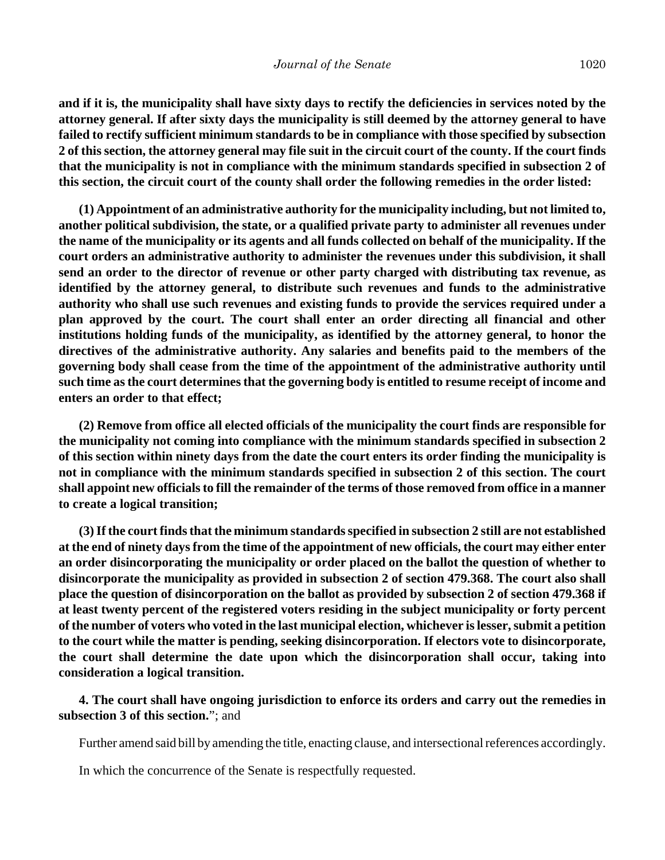**and if it is, the municipality shall have sixty days to rectify the deficiencies in services noted by the attorney general. If after sixty days the municipality is still deemed by the attorney general to have failed to rectify sufficient minimum standards to be in compliance with those specified by subsection 2 of this section, the attorney general may file suit in the circuit court of the county. If the court finds that the municipality is not in compliance with the minimum standards specified in subsection 2 of this section, the circuit court of the county shall order the following remedies in the order listed:**

**(1) Appointment of an administrative authority for the municipality including, but not limited to, another political subdivision, the state, or a qualified private party to administer all revenues under the name of the municipality or its agents and all funds collected on behalf of the municipality. If the court orders an administrative authority to administer the revenues under this subdivision, it shall send an order to the director of revenue or other party charged with distributing tax revenue, as identified by the attorney general, to distribute such revenues and funds to the administrative authority who shall use such revenues and existing funds to provide the services required under a plan approved by the court. The court shall enter an order directing all financial and other institutions holding funds of the municipality, as identified by the attorney general, to honor the directives of the administrative authority. Any salaries and benefits paid to the members of the governing body shall cease from the time of the appointment of the administrative authority until such time as the court determines that the governing body is entitled to resume receipt of income and enters an order to that effect;**

**(2) Remove from office all elected officials of the municipality the court finds are responsible for the municipality not coming into compliance with the minimum standards specified in subsection 2 of this section within ninety days from the date the court enters its order finding the municipality is not in compliance with the minimum standards specified in subsection 2 of this section. The court shall appoint new officials to fill the remainder of the terms of those removed from office in a manner to create a logical transition;**

**(3) If the court finds that the minimum standards specified in subsection 2 still are not established at the end of ninety days from the time of the appointment of new officials, the court may either enter an order disincorporating the municipality or order placed on the ballot the question of whether to disincorporate the municipality as provided in subsection 2 of section 479.368. The court also shall place the question of disincorporation on the ballot as provided by subsection 2 of section 479.368 if at least twenty percent of the registered voters residing in the subject municipality or forty percent of the number of voters who voted in the last municipal election, whichever is lesser, submit a petition to the court while the matter is pending, seeking disincorporation. If electors vote to disincorporate, the court shall determine the date upon which the disincorporation shall occur, taking into consideration a logical transition.**

#### **4. The court shall have ongoing jurisdiction to enforce its orders and carry out the remedies in subsection 3 of this section.**"; and

Further amend said bill by amending the title, enacting clause, and intersectional references accordingly.

In which the concurrence of the Senate is respectfully requested.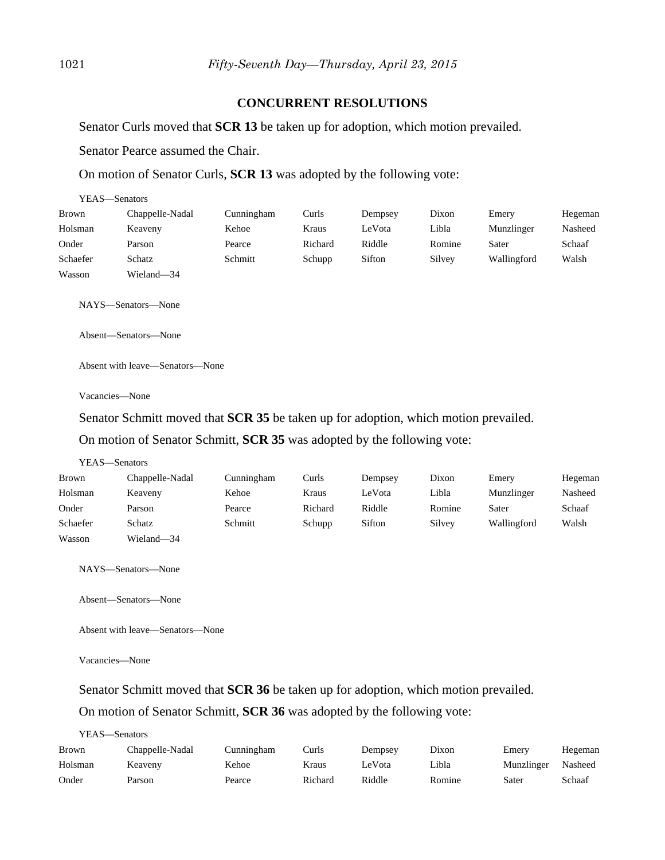#### **CONCURRENT RESOLUTIONS**

Senator Curls moved that **SCR 13** be taken up for adoption, which motion prevailed.

Senator Pearce assumed the Chair.

On motion of Senator Curls, **SCR 13** was adopted by the following vote:

| YEAS—Senators |                 |            |         |         |        |             |         |
|---------------|-----------------|------------|---------|---------|--------|-------------|---------|
| <b>Brown</b>  | Chappelle-Nadal | Cunningham | Curls   | Dempsey | Dixon  | Emery       | Hegeman |
| Holsman       | Keaveny         | Kehoe      | Kraus   | LeVota  | Libla  | Munzlinger  | Nasheed |
| Onder         | Parson          | Pearce     | Richard | Riddle  | Romine | Sater       | Schaaf  |
| Schaefer      | Schatz          | Schmitt    | Schupp  | Sifton  | Silvey | Wallingford | Walsh   |
| Wasson        | Wieland-34      |            |         |         |        |             |         |

NAYS—Senators—None

Absent—Senators—None

Absent with leave—Senators—None

Vacancies—None

Senator Schmitt moved that **SCR 35** be taken up for adoption, which motion prevailed.

On motion of Senator Schmitt, **SCR 35** was adopted by the following vote:

#### YEAS—Senators

| Brown    | Chappelle-Nadal | Cunningham | Curls   | Dempsey | Dixon  | Emery       | Hegeman |
|----------|-----------------|------------|---------|---------|--------|-------------|---------|
| Holsman  | Keaveny         | Kehoe      | Kraus   | LeVota  | Libla  | Munzlinger  | Nasheed |
| Onder    | Parson          | Pearce     | Richard | Riddle  | Romine | Sater       | Schaaf  |
| Schaefer | Schatz          | Schmitt    | Schupp  | Sifton  | Silvey | Wallingford | Walsh   |
| Wasson   | Wieland-34      |            |         |         |        |             |         |

NAYS—Senators—None

Absent—Senators—None

Absent with leave—Senators—None

Vacancies—None

Senator Schmitt moved that **SCR 36** be taken up for adoption, which motion prevailed.

On motion of Senator Schmitt, **SCR 36** was adopted by the following vote:

| YEAS—Senators |  |
|---------------|--|
|---------------|--|

| Brown   | Chappelle-Nadal | Cunningham | $\lceil \cdot \rceil$ urls | Dempsev | Dixon  | Emery      | Hegeman |
|---------|-----------------|------------|----------------------------|---------|--------|------------|---------|
| Holsman | Keavenv         | Kehoe      | Kraus                      | LeVota  | Libla  | Munzlinger | Nasheed |
| Onder   | Parson          | Pearce     | Richard                    | Riddle  | Romine | Sater      | Schaaf  |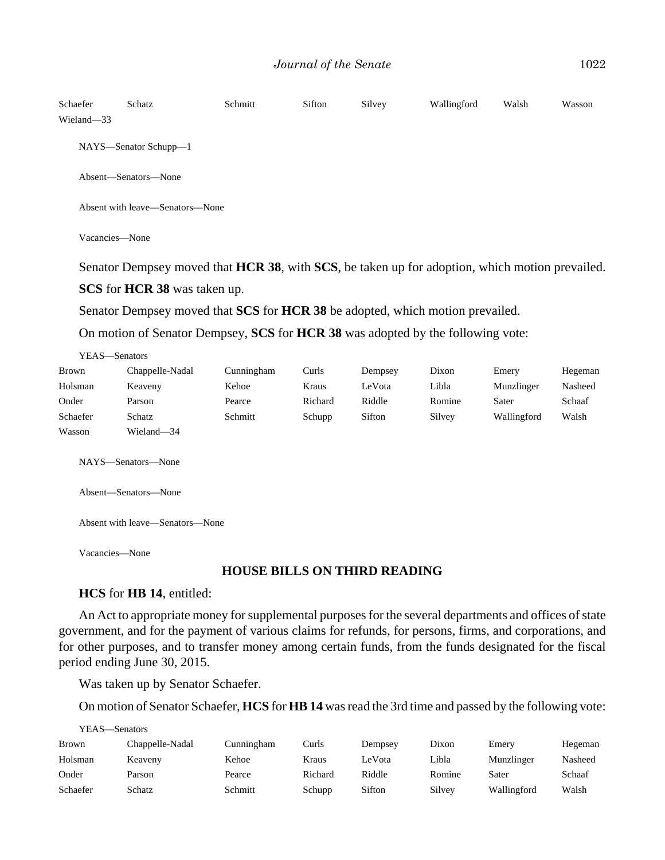| Schaefer<br>Wieland-33 | Schatz                          | Schmitt | Sifton | Silvey | Wallingford | Walsh | Wasson |  |  |
|------------------------|---------------------------------|---------|--------|--------|-------------|-------|--------|--|--|
|                        | NAYS—Senator Schupp—1           |         |        |        |             |       |        |  |  |
|                        | Absent—Senators—None            |         |        |        |             |       |        |  |  |
|                        | Absent with leave—Senators—None |         |        |        |             |       |        |  |  |

Vacancies—None

Senator Dempsey moved that **HCR 38**, with **SCS**, be taken up for adoption, which motion prevailed.

**SCS** for **HCR 38** was taken up.

Senator Dempsey moved that **SCS** for **HCR 38** be adopted, which motion prevailed.

On motion of Senator Dempsey, **SCS** for **HCR 38** was adopted by the following vote:

| Brown    | Chappelle-Nadal | Cunningham | Curls   | Dempsey | Dixon  | Emery       | Hegeman |
|----------|-----------------|------------|---------|---------|--------|-------------|---------|
| Holsman  | Keaveny         | Kehoe      | Kraus   | LeVota  | Libla  | Munzlinger  | Nasheed |
| Onder    | Parson          | Pearce     | Richard | Riddle  | Romine | Sater       | Schaaf  |
| Schaefer | Schatz          | Schmitt    | Schupp  | Sifton  | Silvey | Wallingford | Walsh   |
| Wasson   | Wieland-34      |            |         |         |        |             |         |

NAYS—Senators—None

Absent—Senators—None

Absent with leave—Senators—None

Vacancies—None

#### **HOUSE BILLS ON THIRD READING**

#### **HCS** for **HB 14**, entitled:

An Act to appropriate money for supplemental purposes for the several departments and offices of state government, and for the payment of various claims for refunds, for persons, firms, and corporations, and for other purposes, and to transfer money among certain funds, from the funds designated for the fiscal period ending June 30, 2015.

Was taken up by Senator Schaefer.

On motion of Senator Schaefer, **HCS** for **HB 14** was read the 3rd time and passed by the following vote:

| YEAS—Senators |                 |            |         |         |        |             |         |  |
|---------------|-----------------|------------|---------|---------|--------|-------------|---------|--|
| <b>Brown</b>  | Chappelle-Nadal | Cunningham | Curls   | Dempsey | Dixon  | Emery       | Hegeman |  |
| Holsman       | Keaveny         | Kehoe      | Kraus   | LeVota  | Libla  | Munzlinger  | Nasheed |  |
| Onder         | Parson          | Pearce     | Richard | Riddle  | Romine | Sater       | Schaaf  |  |
| Schaefer      | Schatz          | Schmitt    | Schupp  | Sifton  | Silvey | Wallingford | Walsh   |  |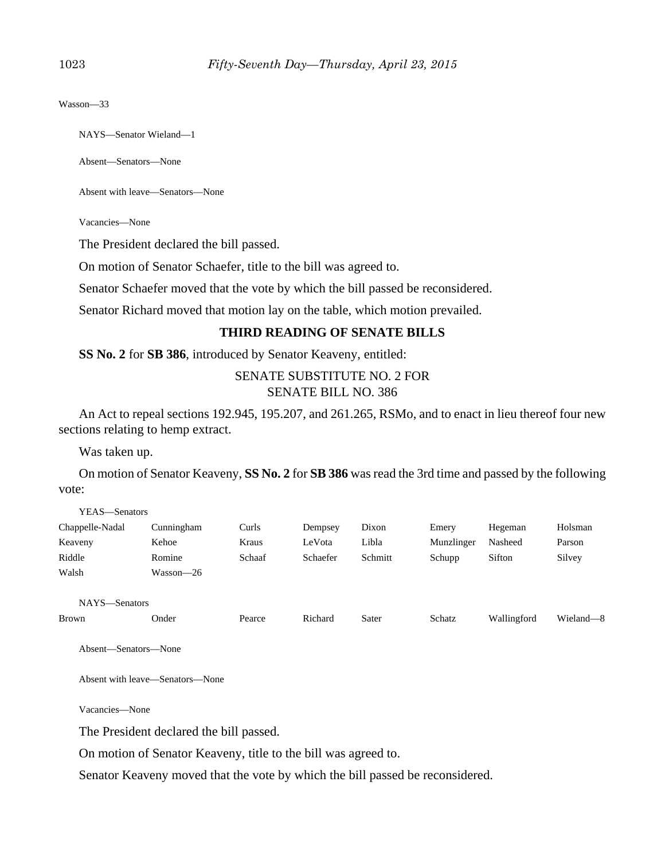Wasson—33

NAYS—Senator Wieland—1

Absent—Senators—None

Absent with leave—Senators—None

Vacancies—None

The President declared the bill passed.

On motion of Senator Schaefer, title to the bill was agreed to.

Senator Schaefer moved that the vote by which the bill passed be reconsidered.

Senator Richard moved that motion lay on the table, which motion prevailed.

#### **THIRD READING OF SENATE BILLS**

**SS No. 2** for **SB 386**, introduced by Senator Keaveny, entitled:

SENATE SUBSTITUTE NO. 2 FOR SENATE BILL NO. 386

An Act to repeal sections 192.945, 195.207, and 261.265, RSMo, and to enact in lieu thereof four new sections relating to hemp extract.

Was taken up.

On motion of Senator Keaveny, **SS No. 2** for **SB 386** was read the 3rd time and passed by the following vote:

| Chappelle-Nadal | Cunningham | Curls  | Dempsey  | Dixon   | Emery      | Hegeman | Holsman |
|-----------------|------------|--------|----------|---------|------------|---------|---------|
| Keaveny         | Kehoe      | Kraus  | LeVota   | Libla   | Munzlinger | Nasheed | Parson  |
| Riddle          | Romine     | Schaaf | Schaefer | Schmitt | Schupp     | Sifton  | Silvey  |
| Walsh           | Wasson—26  |        |          |         |            |         |         |
|                 |            |        |          |         |            |         |         |
| NAYS-Senators   |            |        |          |         |            |         |         |

Brown Onder Pearce Richard Sater Schatz Wallingford Wieland—8

Absent—Senators—None

Absent with leave—Senators—None

Vacancies—None

The President declared the bill passed.

On motion of Senator Keaveny, title to the bill was agreed to.

Senator Keaveny moved that the vote by which the bill passed be reconsidered.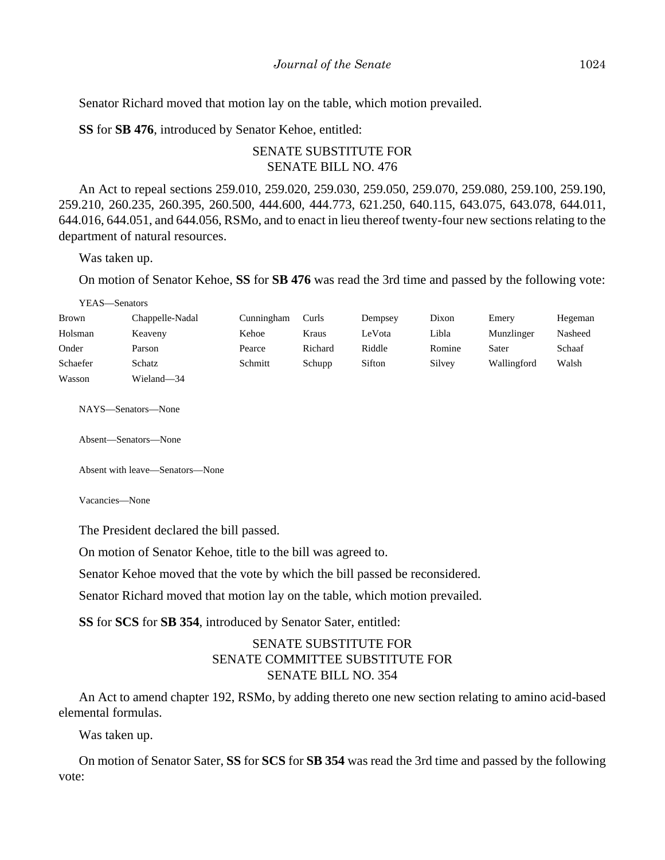Senator Richard moved that motion lay on the table, which motion prevailed.

**SS** for **SB 476**, introduced by Senator Kehoe, entitled:

# SENATE SUBSTITUTE FOR SENATE BILL NO. 476

An Act to repeal sections 259.010, 259.020, 259.030, 259.050, 259.070, 259.080, 259.100, 259.190, 259.210, 260.235, 260.395, 260.500, 444.600, 444.773, 621.250, 640.115, 643.075, 643.078, 644.011, 644.016, 644.051, and 644.056, RSMo, and to enact in lieu thereof twenty-four new sections relating to the department of natural resources.

Was taken up.

YEAS—Senators

On motion of Senator Kehoe, **SS** for **SB 476** was read the 3rd time and passed by the following vote:

| <b>Brown</b> | Chappelle-Nadal      | Cunningham | Curls   | Dempsey | Dixon  | Emery       | Hegeman |
|--------------|----------------------|------------|---------|---------|--------|-------------|---------|
| Holsman      | Keaveny              | Kehoe      | Kraus   | LeVota  | Libla  | Munzlinger  | Nasheed |
| Onder        | Parson               | Pearce     | Richard | Riddle  | Romine | Sater       | Schaaf  |
| Schaefer     | Schatz               | Schmitt    | Schupp  | Sifton  | Silvey | Wallingford | Walsh   |
| Wasson       | Wieland-34           |            |         |         |        |             |         |
|              | NAYS—Senators—None   |            |         |         |        |             |         |
|              | Absent—Senators—None |            |         |         |        |             |         |

Absent with leave—Senators—None

Vacancies—None

The President declared the bill passed.

On motion of Senator Kehoe, title to the bill was agreed to.

Senator Kehoe moved that the vote by which the bill passed be reconsidered.

Senator Richard moved that motion lay on the table, which motion prevailed.

**SS** for **SCS** for **SB 354**, introduced by Senator Sater, entitled:

# SENATE SUBSTITUTE FOR SENATE COMMITTEE SUBSTITUTE FOR SENATE BILL NO. 354

An Act to amend chapter 192, RSMo, by adding thereto one new section relating to amino acid-based elemental formulas.

Was taken up.

On motion of Senator Sater, **SS** for **SCS** for **SB 354** was read the 3rd time and passed by the following vote: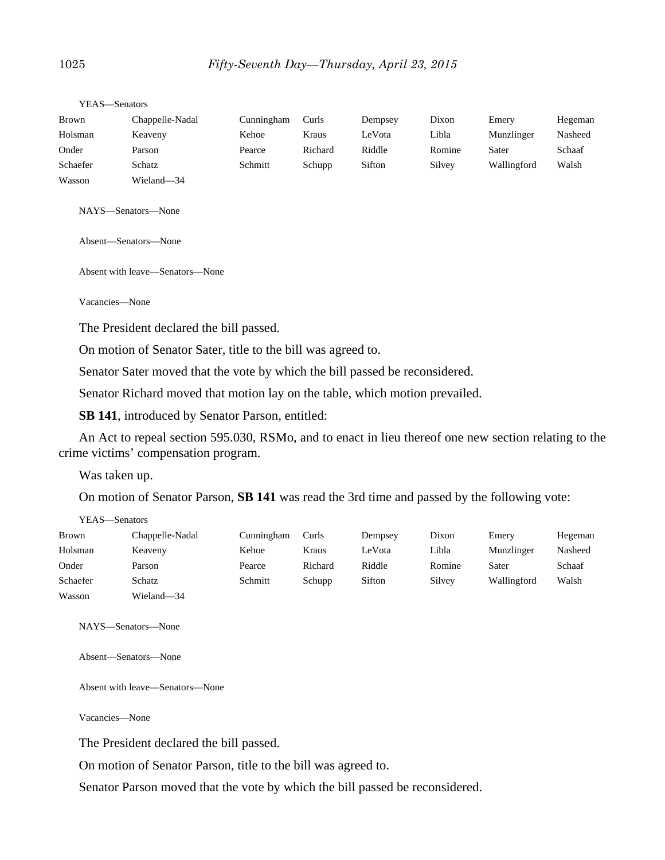| .            | ,,,,,,,,,,,,,,,,, |            |         |         |        |             |         |
|--------------|-------------------|------------|---------|---------|--------|-------------|---------|
| <b>Brown</b> | Chappelle-Nadal   | Cunningham | Curls   | Dempsey | Dixon  | Emery       | Hegeman |
| Holsman      | Keaveny           | Kehoe      | Kraus   | LeVota  | Libla  | Munzlinger  | Nasheed |
| Onder        | Parson            | Pearce     | Richard | Riddle  | Romine | Sater       | Schaaf  |
| Schaefer     | Schatz            | Schmitt    | Schupp  | Sifton  | Silvey | Wallingford | Walsh   |
| Wasson       | Wieland—34        |            |         |         |        |             |         |

YEAS—Senators

NAYS—Senators—None

Absent—Senators—None

Absent with leave—Senators—None

Vacancies—None

The President declared the bill passed.

On motion of Senator Sater, title to the bill was agreed to.

Senator Sater moved that the vote by which the bill passed be reconsidered.

Senator Richard moved that motion lay on the table, which motion prevailed.

**SB 141**, introduced by Senator Parson, entitled:

An Act to repeal section 595.030, RSMo, and to enact in lieu thereof one new section relating to the crime victims' compensation program.

Was taken up.

On motion of Senator Parson, **SB 141** was read the 3rd time and passed by the following vote:

| YEAS—Senators |                 |            |         |         |        |             |         |
|---------------|-----------------|------------|---------|---------|--------|-------------|---------|
| <b>Brown</b>  | Chappelle-Nadal | Cunningham | Curls   | Dempsey | Dixon  | Emery       | Hegeman |
| Holsman       | Keaveny         | Kehoe      | Kraus   | LeVota  | Libla  | Munzlinger  | Nasheed |
| Onder         | Parson          | Pearce     | Richard | Riddle  | Romine | Sater       | Schaaf  |
| Schaefer      | Schatz          | Schmitt    | Schupp  | Sifton  | Silvey | Wallingford | Walsh   |
| Wasson        | Wieland—34      |            |         |         |        |             |         |

NAYS—Senators—None

Absent—Senators—None

Absent with leave—Senators—None

Vacancies—None

The President declared the bill passed.

On motion of Senator Parson, title to the bill was agreed to.

Senator Parson moved that the vote by which the bill passed be reconsidered.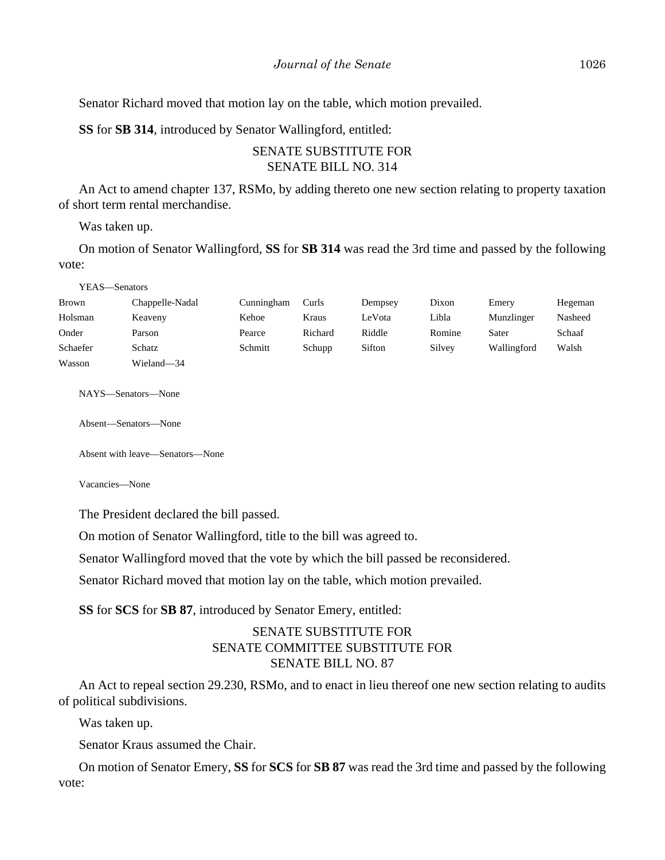Senator Richard moved that motion lay on the table, which motion prevailed.

**SS** for **SB 314**, introduced by Senator Wallingford, entitled:

# SENATE SUBSTITUTE FOR SENATE BILL NO. 314

An Act to amend chapter 137, RSMo, by adding thereto one new section relating to property taxation of short term rental merchandise.

Was taken up.

On motion of Senator Wallingford, **SS** for **SB 314** was read the 3rd time and passed by the following vote:

YEAS—Senators

| Brown    | Chappelle-Nadal | Cunningham | Curls   | Dempsey | Dixon  | Emery       | Hegeman |
|----------|-----------------|------------|---------|---------|--------|-------------|---------|
| Holsman  | Keaveny         | Kehoe      | Kraus   | LeVota  | Libla  | Munzlinger  | Nasheed |
| Onder    | Parson          | Pearce     | Richard | Riddle  | Romine | Sater       | Schaaf  |
| Schaefer | Schatz          | Schmitt    | Schupp  | Sifton  | Silvey | Wallingford | Walsh   |
| Wasson   | Wieland—34      |            |         |         |        |             |         |

NAYS—Senators—None

Absent—Senators—None

Absent with leave—Senators—None

Vacancies—None

The President declared the bill passed.

On motion of Senator Wallingford, title to the bill was agreed to.

Senator Wallingford moved that the vote by which the bill passed be reconsidered.

Senator Richard moved that motion lay on the table, which motion prevailed.

**SS** for **SCS** for **SB 87**, introduced by Senator Emery, entitled:

# SENATE SUBSTITUTE FOR SENATE COMMITTEE SUBSTITUTE FOR SENATE BILL NO. 87

An Act to repeal section 29.230, RSMo, and to enact in lieu thereof one new section relating to audits of political subdivisions.

Was taken up.

Senator Kraus assumed the Chair.

On motion of Senator Emery, **SS** for **SCS** for **SB 87** was read the 3rd time and passed by the following vote: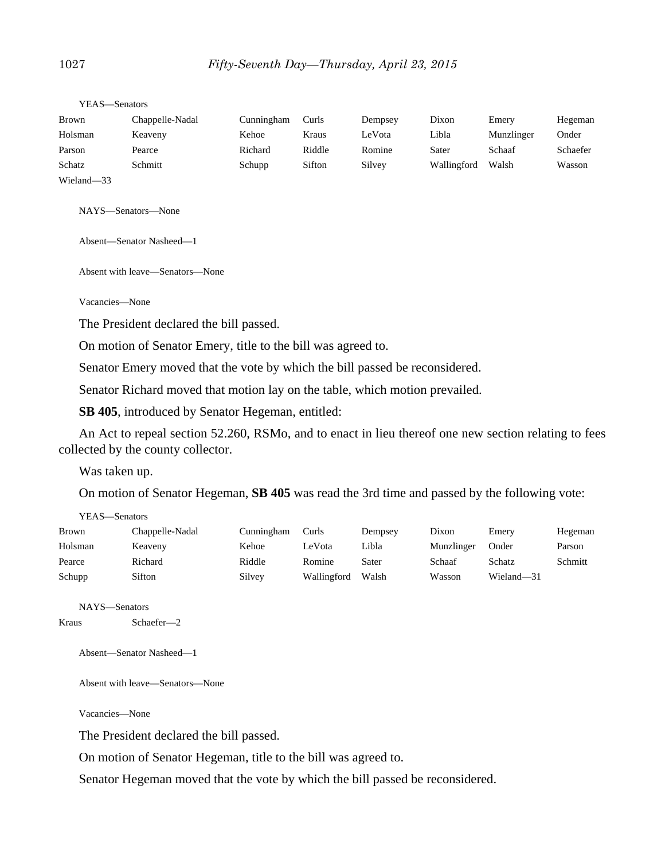| YEAS—Senators |                 |            |        |         |             |            |          |
|---------------|-----------------|------------|--------|---------|-------------|------------|----------|
| <b>Brown</b>  | Chappelle-Nadal | Cunningham | Curls  | Dempsey | Dixon       | Emery      | Hegeman  |
| Holsman       | Keaveny         | Kehoe      | Kraus  | LeVota  | Libla       | Munzlinger | Onder    |
| Parson        | Pearce          | Richard    | Riddle | Romine  | Sater       | Schaaf     | Schaefer |
| Schatz        | Schmitt         | Schupp     | Sifton | Silvey  | Wallingford | Walsh      | Wasson   |
| Wieland-33    |                 |            |        |         |             |            |          |

NAYS—Senators—None

Absent—Senator Nasheed—1

Absent with leave—Senators—None

Vacancies—None

The President declared the bill passed.

On motion of Senator Emery, title to the bill was agreed to.

Senator Emery moved that the vote by which the bill passed be reconsidered.

Senator Richard moved that motion lay on the table, which motion prevailed.

**SB 405**, introduced by Senator Hegeman, entitled:

An Act to repeal section 52.260, RSMo, and to enact in lieu thereof one new section relating to fees collected by the county collector.

Was taken up.

On motion of Senator Hegeman, **SB 405** was read the 3rd time and passed by the following vote:

| YEAS—Senators |                 |            |             |         |            |            |         |
|---------------|-----------------|------------|-------------|---------|------------|------------|---------|
| Brown         | Chappelle-Nadal | Cunningham | Curls       | Dempsey | Dixon      | Emery      | Hegeman |
| Holsman       | Keaveny         | Kehoe      | LeVota      | Libla   | Munzlinger | Onder      | Parson  |
| Pearce        | Richard         | Riddle     | Romine      | Sater   | Schaaf     | Schatz     | Schmitt |
| Schupp        | Sifton          | Silvey     | Wallingford | Walsh   | Wasson     | Wieland-31 |         |

```
NAYS—Senators
Kraus Schaefer—2
```
Absent—Senator Nasheed—1

Absent with leave—Senators—None

Vacancies—None

The President declared the bill passed.

On motion of Senator Hegeman, title to the bill was agreed to.

Senator Hegeman moved that the vote by which the bill passed be reconsidered.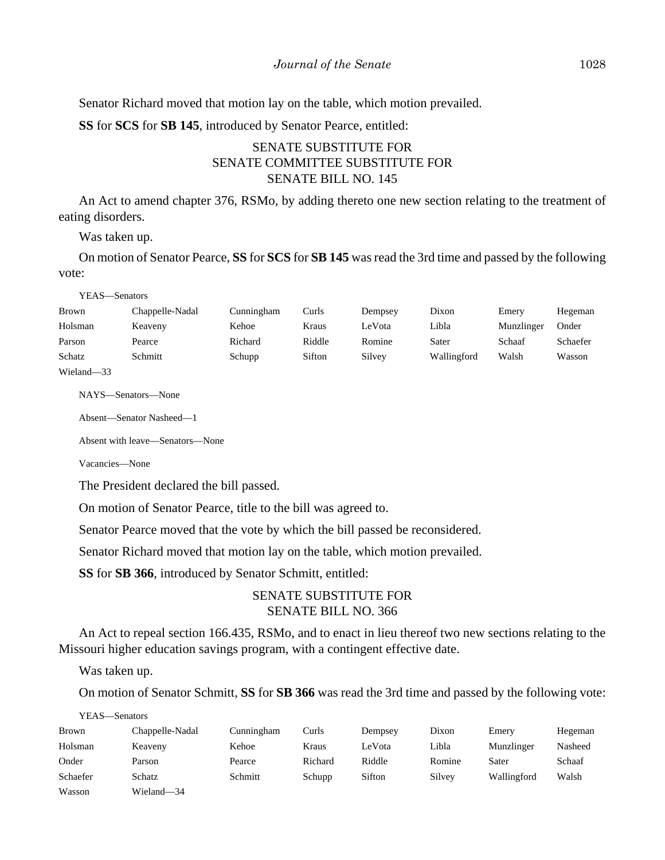Senator Richard moved that motion lay on the table, which motion prevailed.

**SS** for **SCS** for **SB 145**, introduced by Senator Pearce, entitled:

# SENATE SUBSTITUTE FOR SENATE COMMITTEE SUBSTITUTE FOR SENATE BILL NO. 145

An Act to amend chapter 376, RSMo, by adding thereto one new section relating to the treatment of eating disorders.

Was taken up.

On motion of Senator Pearce, **SS** for **SCS** for **SB 145** was read the 3rd time and passed by the following vote:

YEAS—Senators

| Brown                        | Chappelle-Nadal | Cunningham | Curls  | Dempsey | Dixon       | Emery      | Hegeman  |
|------------------------------|-----------------|------------|--------|---------|-------------|------------|----------|
| Holsman                      | Keaveny         | Kehoe      | Kraus  | LeVota  | Libla       | Munzlinger | Onder    |
| Parson                       | Pearce          | Richard    | Riddle | Romine  | Sater       | Schaaf     | Schaefer |
| Schatz                       | Schmitt         | Schupp     | Sifton | Silvey  | Wallingford | Walsh      | Wasson   |
| <b>TTT:</b><br>$\sim$ $\sim$ |                 |            |        |         |             |            |          |

Wieland—33

NAYS—Senators—None

Absent—Senator Nasheed—1

Absent with leave—Senators—None

Vacancies—None

The President declared the bill passed.

On motion of Senator Pearce, title to the bill was agreed to.

Senator Pearce moved that the vote by which the bill passed be reconsidered.

Senator Richard moved that motion lay on the table, which motion prevailed.

**SS** for **SB 366**, introduced by Senator Schmitt, entitled:

# SENATE SUBSTITUTE FOR SENATE BILL NO. 366

An Act to repeal section 166.435, RSMo, and to enact in lieu thereof two new sections relating to the Missouri higher education savings program, with a contingent effective date.

Was taken up.

On motion of Senator Schmitt, **SS** for **SB 366** was read the 3rd time and passed by the following vote:

YEAS—Senators

| Brown    | Chappelle-Nadal | Cunningham | Curls   | Dempsey | Dixon  | Emery       | Hegeman |
|----------|-----------------|------------|---------|---------|--------|-------------|---------|
| Holsman  | Keaveny         | Kehoe      | Kraus   | LeVota  | Libla  | Munzlinger  | Nasheed |
| Onder    | Parson          | Pearce     | Richard | Riddle  | Romine | Sater       | Schaaf  |
| Schaefer | Schatz          | Schmitt    | Schupp  | Sifton  | Silvey | Wallingford | Walsh   |
| Wasson   | Wieland-34      |            |         |         |        |             |         |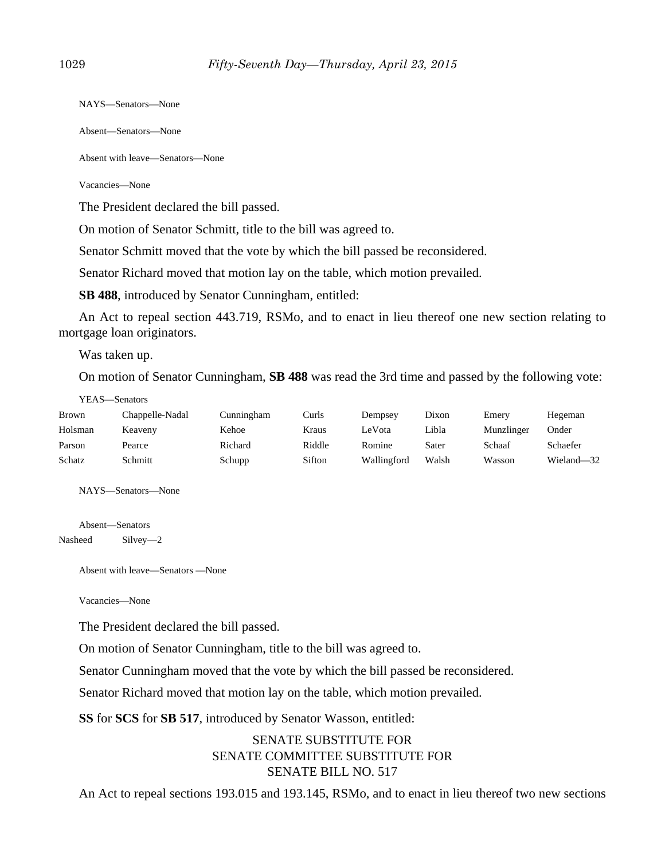NAYS—Senators—None

Absent—Senators—None

Absent with leave—Senators—None

Vacancies—None

The President declared the bill passed.

On motion of Senator Schmitt, title to the bill was agreed to.

Senator Schmitt moved that the vote by which the bill passed be reconsidered.

Senator Richard moved that motion lay on the table, which motion prevailed.

**SB 488**, introduced by Senator Cunningham, entitled:

An Act to repeal section 443.719, RSMo, and to enact in lieu thereof one new section relating to mortgage loan originators.

Was taken up.

On motion of Senator Cunningham, **SB 488** was read the 3rd time and passed by the following vote:

| Brown   | Chappelle-Nadal | Cunningham | Curls  | Dempsey     | Dixon | Emery      | Hegeman    |
|---------|-----------------|------------|--------|-------------|-------|------------|------------|
| Holsman | Keaveny         | Kehoe      | Kraus  | LeVota      | Libla | Munzlinger | Onder      |
| Parson  | Pearce          | Richard    | Riddle | Romine      | Sater | Schaaf     | Schaefer   |
| Schatz  | Schmitt         | Schupp     | Sifton | Wallingford | Walsh | Wasson     | Wieland-32 |

NAYS—Senators—None

Absent—Senators Nasheed Silvey—2

Absent with leave—Senators —None

Vacancies—None

The President declared the bill passed.

On motion of Senator Cunningham, title to the bill was agreed to.

Senator Cunningham moved that the vote by which the bill passed be reconsidered.

Senator Richard moved that motion lay on the table, which motion prevailed.

**SS** for **SCS** for **SB 517**, introduced by Senator Wasson, entitled:

# SENATE SUBSTITUTE FOR SENATE COMMITTEE SUBSTITUTE FOR SENATE BILL NO. 517

An Act to repeal sections 193.015 and 193.145, RSMo, and to enact in lieu thereof two new sections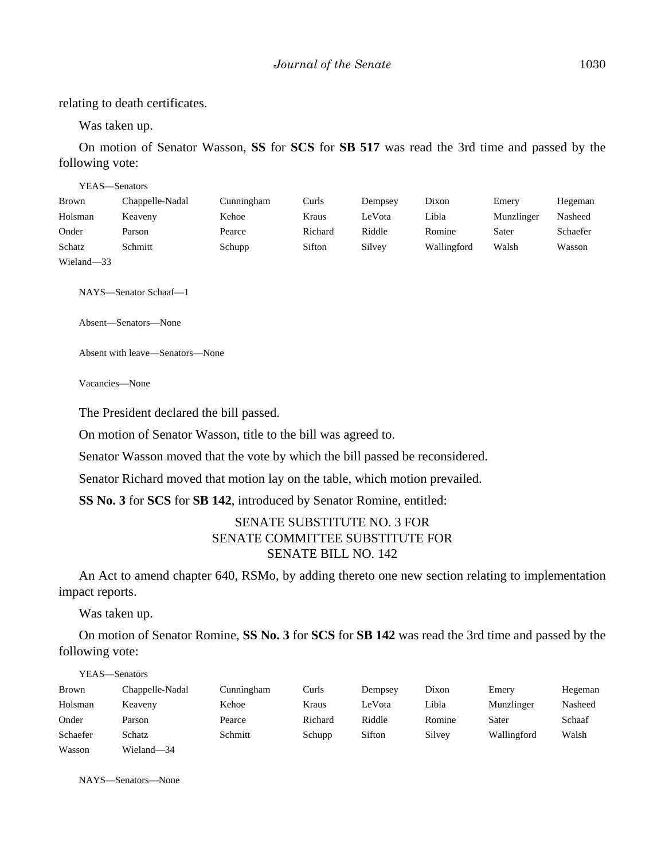relating to death certificates.

Was taken up.

On motion of Senator Wasson, **SS** for **SCS** for **SB 517** was read the 3rd time and passed by the following vote:

| YEAS—Senators |                 |            |         |         |             |            |          |
|---------------|-----------------|------------|---------|---------|-------------|------------|----------|
| <b>Brown</b>  | Chappelle-Nadal | Cunningham | Curls   | Dempsey | Dixon       | Emery      | Hegeman  |
| Holsman       | Keaveny         | Kehoe      | Kraus   | LeVota  | Libla       | Munzlinger | Nasheed  |
| Onder         | Parson          | Pearce     | Richard | Riddle  | Romine      | Sater      | Schaefer |
| Schatz        | Schmitt         | Schupp     | Sifton  | Silvey  | Wallingford | Walsh      | Wasson   |
| Wieland-33    |                 |            |         |         |             |            |          |

NAYS—Senator Schaaf—1

Absent—Senators—None

Absent with leave—Senators—None

Vacancies—None

The President declared the bill passed.

On motion of Senator Wasson, title to the bill was agreed to.

Senator Wasson moved that the vote by which the bill passed be reconsidered.

Senator Richard moved that motion lay on the table, which motion prevailed.

**SS No. 3** for **SCS** for **SB 142**, introduced by Senator Romine, entitled:

#### SENATE SUBSTITUTE NO. 3 FOR SENATE COMMITTEE SUBSTITUTE FOR SENATE BILL NO. 142

An Act to amend chapter 640, RSMo, by adding thereto one new section relating to implementation impact reports.

Was taken up.

YEAS—Senators

On motion of Senator Romine, **SS No. 3** for **SCS** for **SB 142** was read the 3rd time and passed by the following vote:

|          | 1 LAS—Senators  |            |         |         |        |             |         |
|----------|-----------------|------------|---------|---------|--------|-------------|---------|
| Brown    | Chappelle-Nadal | Cunningham | Curls   | Dempsey | Dixon  | Emery       | Hegeman |
| Holsman  | Keaveny         | Kehoe      | Kraus   | LeVota  | Libla  | Munzlinger  | Nasheed |
| Onder    | Parson          | Pearce     | Richard | Riddle  | Romine | Sater       | Schaaf  |
| Schaefer | Schatz          | Schmitt    | Schupp  | Sifton  | Silvey | Wallingford | Walsh   |
| Wasson   | Wieland-34      |            |         |         |        |             |         |

NAYS—Senators—None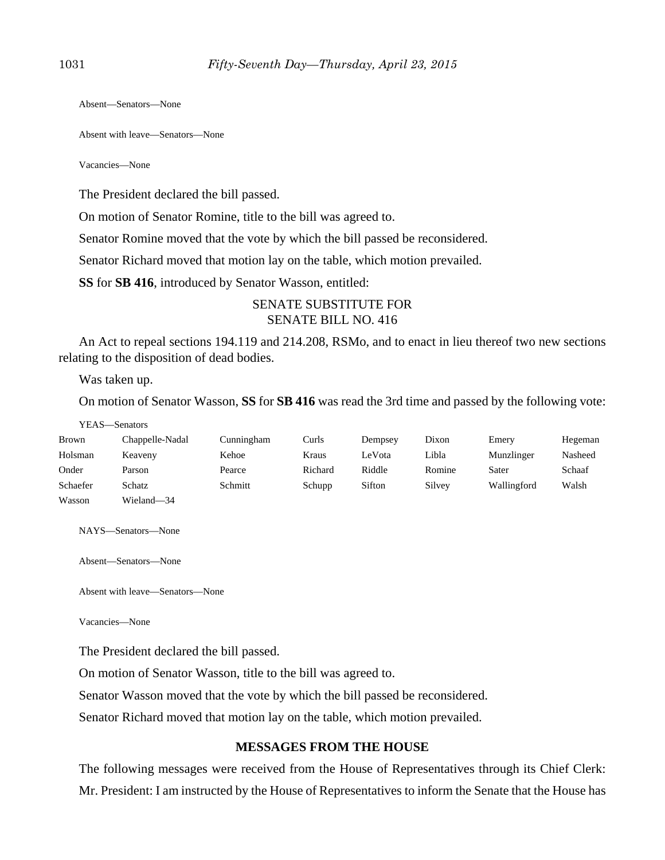Absent—Senators—None

Absent with leave—Senators—None

Vacancies—None

The President declared the bill passed.

On motion of Senator Romine, title to the bill was agreed to.

Senator Romine moved that the vote by which the bill passed be reconsidered.

Senator Richard moved that motion lay on the table, which motion prevailed.

**SS** for **SB 416**, introduced by Senator Wasson, entitled:

#### SENATE SUBSTITUTE FOR SENATE BILL NO. 416

An Act to repeal sections 194.119 and 214.208, RSMo, and to enact in lieu thereof two new sections relating to the disposition of dead bodies.

Was taken up.

On motion of Senator Wasson, **SS** for **SB 416** was read the 3rd time and passed by the following vote:

YEAS—Senators

| Brown    | Chappelle-Nadal | Cunningham | Curls   | Dempsey | Dixon  | Emery       | Hegeman |
|----------|-----------------|------------|---------|---------|--------|-------------|---------|
| Holsman  | Keaveny         | Kehoe      | Kraus   | LeVota  | Libla  | Munzlinger  | Nasheed |
| Onder    | Parson          | Pearce     | Richard | Riddle  | Romine | Sater       | Schaaf  |
| Schaefer | Schatz          | Schmitt    | Schupp  | Sifton  | Silvey | Wallingford | Walsh   |
| Wasson   | Wieland-34      |            |         |         |        |             |         |

NAYS—Senators—None

Absent—Senators—None

Absent with leave—Senators—None

Vacancies—None

The President declared the bill passed.

On motion of Senator Wasson, title to the bill was agreed to.

Senator Wasson moved that the vote by which the bill passed be reconsidered.

Senator Richard moved that motion lay on the table, which motion prevailed.

#### **MESSAGES FROM THE HOUSE**

The following messages were received from the House of Representatives through its Chief Clerk: Mr. President: I am instructed by the House of Representatives to inform the Senate that the House has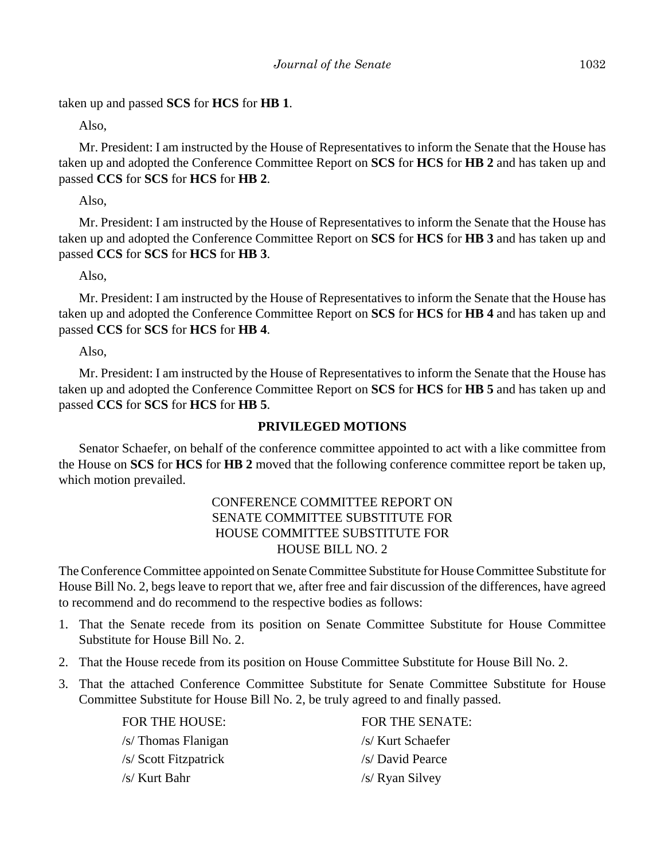taken up and passed **SCS** for **HCS** for **HB 1**.

Also,

Mr. President: I am instructed by the House of Representatives to inform the Senate that the House has taken up and adopted the Conference Committee Report on **SCS** for **HCS** for **HB 2** and has taken up and passed **CCS** for **SCS** for **HCS** for **HB 2**.

Also,

Mr. President: I am instructed by the House of Representatives to inform the Senate that the House has taken up and adopted the Conference Committee Report on **SCS** for **HCS** for **HB 3** and has taken up and passed **CCS** for **SCS** for **HCS** for **HB 3**.

Also,

Mr. President: I am instructed by the House of Representatives to inform the Senate that the House has taken up and adopted the Conference Committee Report on **SCS** for **HCS** for **HB 4** and has taken up and passed **CCS** for **SCS** for **HCS** for **HB 4**.

Also,

Mr. President: I am instructed by the House of Representatives to inform the Senate that the House has taken up and adopted the Conference Committee Report on **SCS** for **HCS** for **HB 5** and has taken up and passed **CCS** for **SCS** for **HCS** for **HB 5**.

#### **PRIVILEGED MOTIONS**

Senator Schaefer, on behalf of the conference committee appointed to act with a like committee from the House on **SCS** for **HCS** for **HB 2** moved that the following conference committee report be taken up, which motion prevailed.

# CONFERENCE COMMITTEE REPORT ON SENATE COMMITTEE SUBSTITUTE FOR HOUSE COMMITTEE SUBSTITUTE FOR HOUSE BILL NO. 2

The Conference Committee appointed on Senate Committee Substitute for House Committee Substitute for House Bill No. 2, begs leave to report that we, after free and fair discussion of the differences, have agreed to recommend and do recommend to the respective bodies as follows:

- 1. That the Senate recede from its position on Senate Committee Substitute for House Committee Substitute for House Bill No. 2.
- 2. That the House recede from its position on House Committee Substitute for House Bill No. 2.
- 3. That the attached Conference Committee Substitute for Senate Committee Substitute for House Committee Substitute for House Bill No. 2, be truly agreed to and finally passed.

| FOR THE HOUSE:        | FOR THE SENATE:   |
|-----------------------|-------------------|
| /s/ Thomas Flanigan   | /s/ Kurt Schaefer |
| /s/ Scott Fitzpatrick | /s/ David Pearce  |
| /s/ Kurt Bahr         | /s/ Ryan Silvey   |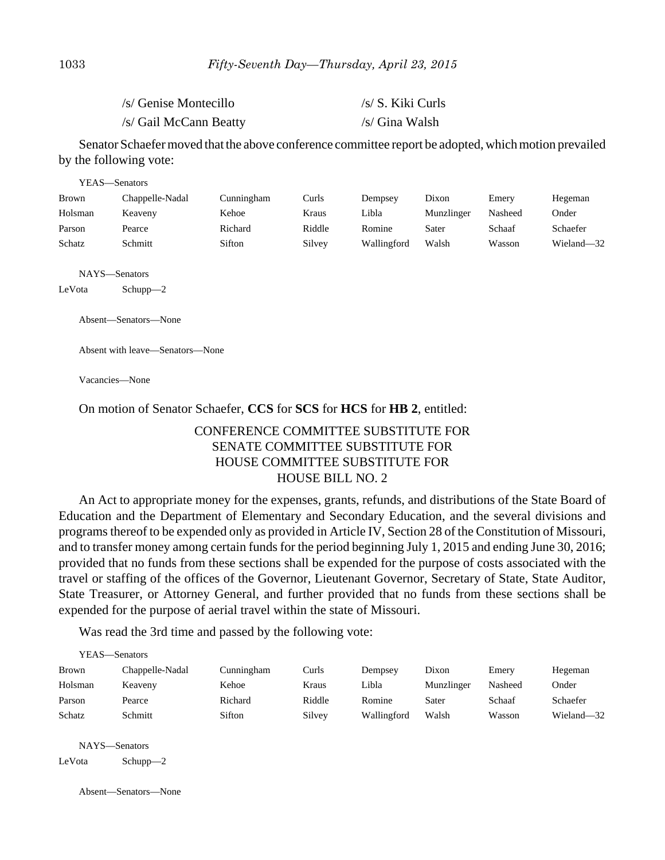| /s/ Genise Montecillo  | /s/ S. Kiki Curls |
|------------------------|-------------------|
| /s/ Gail McCann Beatty | /s/ Gina Walsh    |

Senator Schaefer moved that the above conference committee report be adopted, which motion prevailed by the following vote:

| YEAS—Senators |                 |            |        |             |            |         |            |
|---------------|-----------------|------------|--------|-------------|------------|---------|------------|
| <b>Brown</b>  | Chappelle-Nadal | Cunningham | Curls  | Dempsey     | Dixon      | Emery   | Hegeman    |
| Holsman       | Keaveny         | Kehoe      | Kraus  | Libla       | Munzlinger | Nasheed | Onder      |
| Parson        | Pearce          | Richard    | Riddle | Romine      | Sater      | Schaaf  | Schaefer   |
| Schatz        | Schmitt         | Sifton     | Silvey | Wallingford | Walsh      | Wasson  | Wieland-32 |

NAYS—Senators

LeVota Schupp—2

Absent—Senators—None

Absent with leave—Senators—None

Vacancies—None

#### On motion of Senator Schaefer, **CCS** for **SCS** for **HCS** for **HB 2**, entitled:

# CONFERENCE COMMITTEE SUBSTITUTE FOR SENATE COMMITTEE SUBSTITUTE FOR HOUSE COMMITTEE SUBSTITUTE FOR HOUSE BILL NO. 2

An Act to appropriate money for the expenses, grants, refunds, and distributions of the State Board of Education and the Department of Elementary and Secondary Education, and the several divisions and programs thereof to be expended only as provided in Article IV, Section 28 of the Constitution of Missouri, and to transfer money among certain funds for the period beginning July 1, 2015 and ending June 30, 2016; provided that no funds from these sections shall be expended for the purpose of costs associated with the travel or staffing of the offices of the Governor, Lieutenant Governor, Secretary of State, State Auditor, State Treasurer, or Attorney General, and further provided that no funds from these sections shall be expended for the purpose of aerial travel within the state of Missouri.

Was read the 3rd time and passed by the following vote:

|         | YEAS—Senators   |            |        |             |            |         |            |
|---------|-----------------|------------|--------|-------------|------------|---------|------------|
| Brown   | Chappelle-Nadal | Cunningham | Curls  | Dempsey     | Dixon      | Emery   | Hegeman    |
| Holsman | Keaveny         | Kehoe      | Kraus  | Libla       | Munzlinger | Nasheed | Onder      |
| Parson  | Pearce          | Richard    | Riddle | Romine      | Sater      | Schaaf  | Schaefer   |
| Schatz  | Schmitt         | Sifton     | Silvey | Wallingford | Walsh      | Wasson  | Wieland-32 |
|         |                 |            |        |             |            |         |            |
|         |                 |            |        |             |            |         |            |

NAYS—Senators LeVota Schupp—2

Absent—Senators—None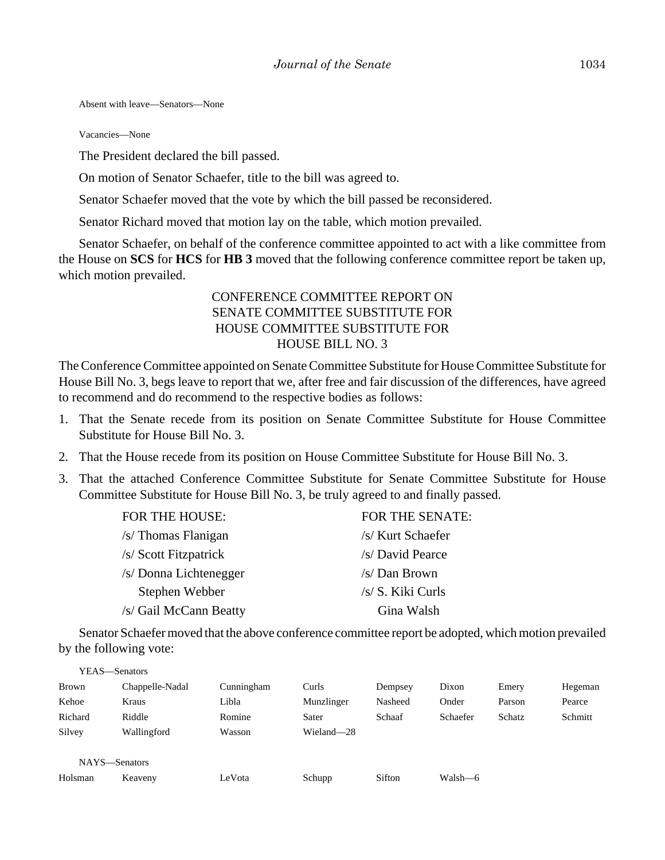Absent with leave—Senators—None

Vacancies—None

The President declared the bill passed.

On motion of Senator Schaefer, title to the bill was agreed to.

Senator Schaefer moved that the vote by which the bill passed be reconsidered.

Senator Richard moved that motion lay on the table, which motion prevailed.

Senator Schaefer, on behalf of the conference committee appointed to act with a like committee from the House on **SCS** for **HCS** for **HB 3** moved that the following conference committee report be taken up, which motion prevailed.

# CONFERENCE COMMITTEE REPORT ON SENATE COMMITTEE SUBSTITUTE FOR HOUSE COMMITTEE SUBSTITUTE FOR HOUSE BILL NO. 3

The Conference Committee appointed on Senate Committee Substitute for House Committee Substitute for House Bill No. 3, begs leave to report that we, after free and fair discussion of the differences, have agreed to recommend and do recommend to the respective bodies as follows:

- 1. That the Senate recede from its position on Senate Committee Substitute for House Committee Substitute for House Bill No. 3.
- 2. That the House recede from its position on House Committee Substitute for House Bill No. 3.
- 3. That the attached Conference Committee Substitute for Senate Committee Substitute for House Committee Substitute for House Bill No. 3, be truly agreed to and finally passed.

| FOR THE HOUSE:         | FOR THE SENATE:   |
|------------------------|-------------------|
| /s/ Thomas Flanigan    | /s/ Kurt Schaefer |
| /s/ Scott Fitzpatrick  | /s/ David Pearce  |
| /s/ Donna Lichtenegger | /s/Dan Brown      |
| Stephen Webber         | /s/ S. Kiki Curls |
| /s/ Gail McCann Beatty | Gina Walsh        |

Senator Schaefer moved that the above conference committee report be adopted, which motion prevailed by the following vote:

| YEAS—Senators |                 |            |            |         |          |        |         |
|---------------|-----------------|------------|------------|---------|----------|--------|---------|
| Brown         | Chappelle-Nadal | Cunningham | Curls      | Dempsey | Dixon    | Emery  | Hegeman |
| Kehoe         | Kraus           | Libla      | Munzlinger | Nasheed | Onder    | Parson | Pearce  |
| Richard       | Riddle          | Romine     | Sater      | Schaaf  | Schaefer | Schatz | Schmitt |
| Silvey        | Wallingford     | Wasson     | Wieland-28 |         |          |        |         |
|               |                 |            |            |         |          |        |         |
| NAYS-Senators |                 |            |            |         |          |        |         |
| Holsman       | Keaveny         | LeVota     | Schupp     | Sifton  | Walsh-6  |        |         |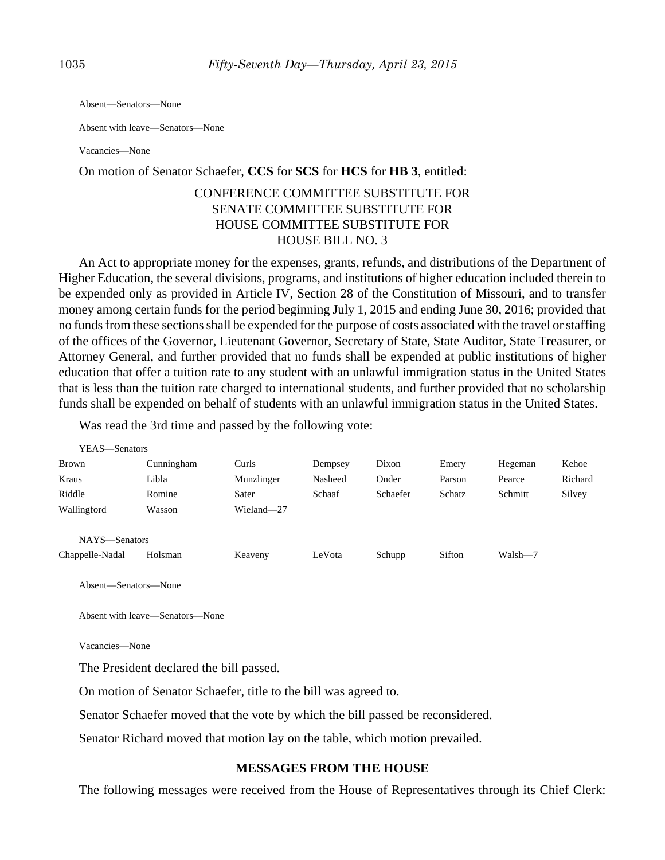Absent—Senators—None

Absent with leave—Senators—None

Vacancies—None

#### On motion of Senator Schaefer, **CCS** for **SCS** for **HCS** for **HB 3**, entitled:

# CONFERENCE COMMITTEE SUBSTITUTE FOR SENATE COMMITTEE SUBSTITUTE FOR HOUSE COMMITTEE SUBSTITUTE FOR HOUSE BILL NO. 3

An Act to appropriate money for the expenses, grants, refunds, and distributions of the Department of Higher Education, the several divisions, programs, and institutions of higher education included therein to be expended only as provided in Article IV, Section 28 of the Constitution of Missouri, and to transfer money among certain funds for the period beginning July 1, 2015 and ending June 30, 2016; provided that no funds from these sections shall be expended for the purpose of costs associated with the travel or staffing of the offices of the Governor, Lieutenant Governor, Secretary of State, State Auditor, State Treasurer, or Attorney General, and further provided that no funds shall be expended at public institutions of higher education that offer a tuition rate to any student with an unlawful immigration status in the United States that is less than the tuition rate charged to international students, and further provided that no scholarship funds shall be expended on behalf of students with an unlawful immigration status in the United States.

Was read the 3rd time and passed by the following vote:

| YEAS—Senators   |            |            |         |          |        |         |         |
|-----------------|------------|------------|---------|----------|--------|---------|---------|
| <b>Brown</b>    | Cunningham | Curls      | Dempsey | Dixon    | Emery  | Hegeman | Kehoe   |
| Kraus           | Libla      | Munzlinger | Nasheed | Onder    | Parson | Pearce  | Richard |
| Riddle          | Romine     | Sater      | Schaaf  | Schaefer | Schatz | Schmitt | Silvey  |
| Wallingford     | Wasson     | Wieland-27 |         |          |        |         |         |
| NAYS-Senators   |            |            |         |          |        |         |         |
| Chappelle-Nadal | Holsman    | Keaveny    | LeVota  | Schupp   | Sifton | Walsh-7 |         |

Absent—Senators—None

Absent with leave—Senators—None

Vacancies—None

The President declared the bill passed.

On motion of Senator Schaefer, title to the bill was agreed to.

Senator Schaefer moved that the vote by which the bill passed be reconsidered.

Senator Richard moved that motion lay on the table, which motion prevailed.

#### **MESSAGES FROM THE HOUSE**

The following messages were received from the House of Representatives through its Chief Clerk: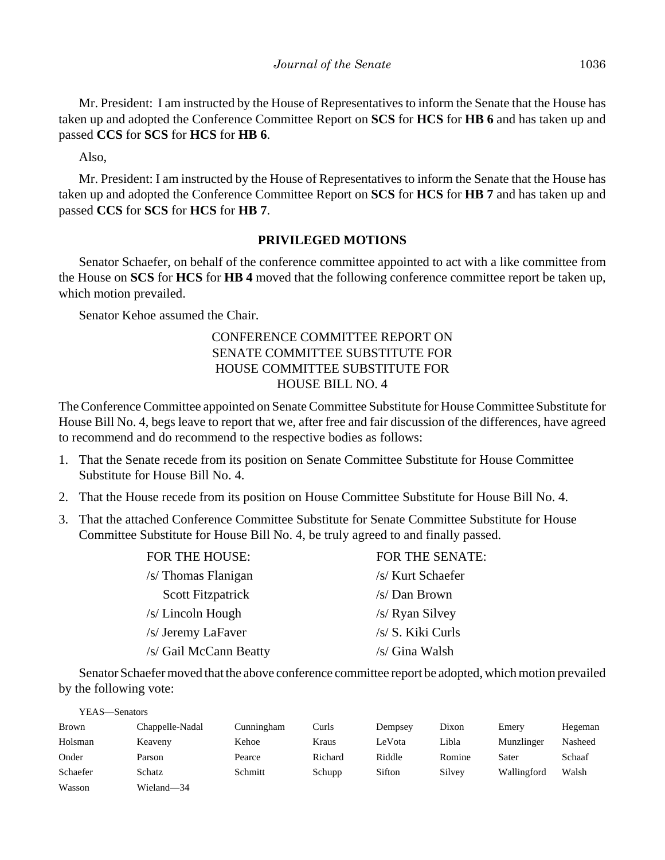Mr. President: I am instructed by the House of Representatives to inform the Senate that the House has taken up and adopted the Conference Committee Report on **SCS** for **HCS** for **HB 6** and has taken up and passed **CCS** for **SCS** for **HCS** for **HB 6**.

Also,

Mr. President: I am instructed by the House of Representatives to inform the Senate that the House has taken up and adopted the Conference Committee Report on **SCS** for **HCS** for **HB 7** and has taken up and passed **CCS** for **SCS** for **HCS** for **HB 7**.

## **PRIVILEGED MOTIONS**

Senator Schaefer, on behalf of the conference committee appointed to act with a like committee from the House on **SCS** for **HCS** for **HB 4** moved that the following conference committee report be taken up, which motion prevailed.

Senator Kehoe assumed the Chair.

# CONFERENCE COMMITTEE REPORT ON SENATE COMMITTEE SUBSTITUTE FOR HOUSE COMMITTEE SUBSTITUTE FOR HOUSE BILL NO. 4

The Conference Committee appointed on Senate Committee Substitute for House Committee Substitute for House Bill No. 4, begs leave to report that we, after free and fair discussion of the differences, have agreed to recommend and do recommend to the respective bodies as follows:

- 1. That the Senate recede from its position on Senate Committee Substitute for House Committee Substitute for House Bill No. 4.
- 2. That the House recede from its position on House Committee Substitute for House Bill No. 4.
- 3. That the attached Conference Committee Substitute for Senate Committee Substitute for House Committee Substitute for House Bill No. 4, be truly agreed to and finally passed.

| FOR THE HOUSE:           | FOR THE SENATE:   |
|--------------------------|-------------------|
| /s/ Thomas Flanigan      | /s/ Kurt Schaefer |
| <b>Scott Fitzpatrick</b> | /s/ Dan Brown     |
| /s/ Lincoln Hough        | /s/ Ryan Silvey   |
| /s/ Jeremy LaFaver       | /s/ S. Kiki Curls |
| /s/ Gail McCann Beatty   | /s/ Gina Walsh    |
|                          |                   |

Senator Schaefer moved that the above conference committee report be adopted, which motion prevailed by the following vote:

| YEAS—Senators |                 |            |         |         |        |             |         |
|---------------|-----------------|------------|---------|---------|--------|-------------|---------|
| Brown         | Chappelle-Nadal | Cunningham | Curls   | Dempsey | Dixon  | Emery       | Hegeman |
| Holsman       | Keaveny         | Kehoe      | Kraus   | LeVota  | Libla  | Munzlinger  | Nasheed |
| Onder         | Parson          | Pearce     | Richard | Riddle  | Romine | Sater       | Schaaf  |
| Schaefer      | Schatz          | Schmitt    | Schupp  | Sifton  | Silvey | Wallingford | Walsh   |
| Wasson        | Wieland—34      |            |         |         |        |             |         |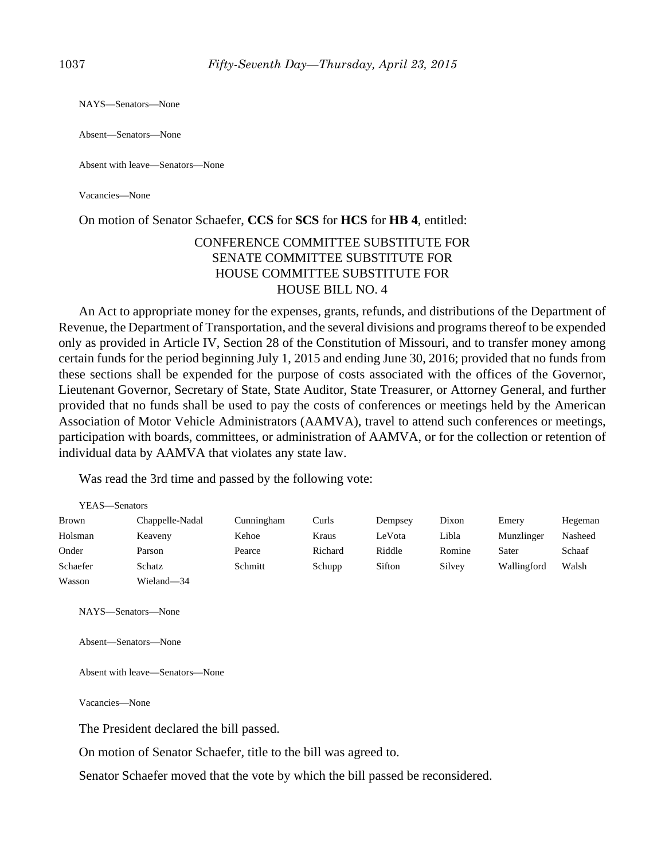NAYS—Senators—None

Absent—Senators—None

Absent with leave—Senators—None

Vacancies—None

#### On motion of Senator Schaefer, **CCS** for **SCS** for **HCS** for **HB 4**, entitled:

## CONFERENCE COMMITTEE SUBSTITUTE FOR SENATE COMMITTEE SUBSTITUTE FOR HOUSE COMMITTEE SUBSTITUTE FOR HOUSE BILL NO. 4

An Act to appropriate money for the expenses, grants, refunds, and distributions of the Department of Revenue, the Department of Transportation, and the several divisions and programs thereof to be expended only as provided in Article IV, Section 28 of the Constitution of Missouri, and to transfer money among certain funds for the period beginning July 1, 2015 and ending June 30, 2016; provided that no funds from these sections shall be expended for the purpose of costs associated with the offices of the Governor, Lieutenant Governor, Secretary of State, State Auditor, State Treasurer, or Attorney General, and further provided that no funds shall be used to pay the costs of conferences or meetings held by the American Association of Motor Vehicle Administrators (AAMVA), travel to attend such conferences or meetings, participation with boards, committees, or administration of AAMVA, or for the collection or retention of individual data by AAMVA that violates any state law.

Was read the 3rd time and passed by the following vote:

| YEAS—Senators |                 |            |         |         |        |             |         |
|---------------|-----------------|------------|---------|---------|--------|-------------|---------|
| <b>Brown</b>  | Chappelle-Nadal | Cunningham | Curls   | Dempsey | Dixon  | Emery       | Hegeman |
| Holsman       | Keaveny         | Kehoe      | Kraus   | LeVota  | Libla  | Munzlinger  | Nasheed |
| Onder         | Parson          | Pearce     | Richard | Riddle  | Romine | Sater       | Schaaf  |
| Schaefer      | Schatz          | Schmitt    | Schupp  | Sifton  | Silvey | Wallingford | Walsh   |
| Wasson        | Wieland-34      |            |         |         |        |             |         |
|               |                 |            |         |         |        |             |         |

NAYS—Senators—None

Absent—Senators—None

Absent with leave—Senators—None

Vacancies—None

The President declared the bill passed.

On motion of Senator Schaefer, title to the bill was agreed to.

Senator Schaefer moved that the vote by which the bill passed be reconsidered.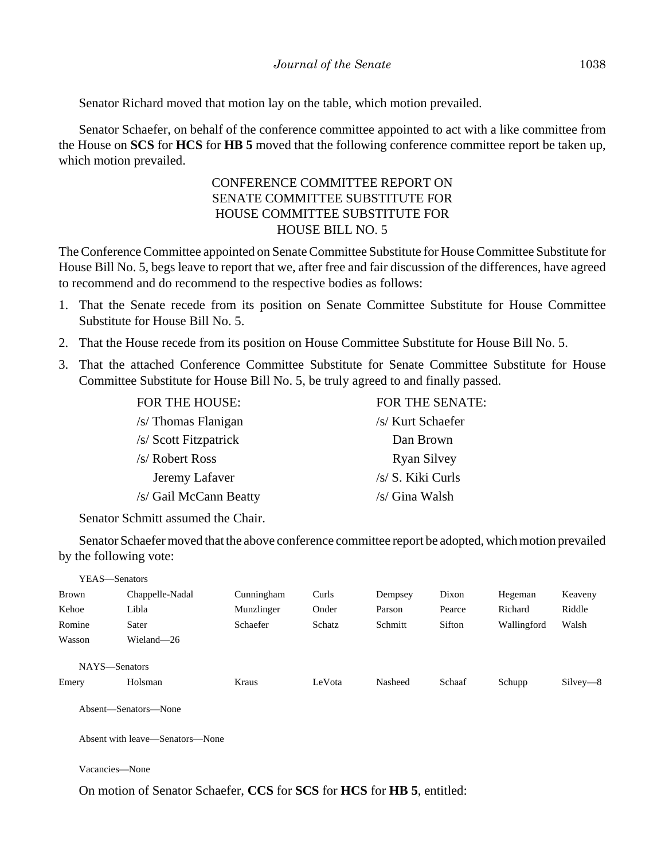Senator Richard moved that motion lay on the table, which motion prevailed.

Senator Schaefer, on behalf of the conference committee appointed to act with a like committee from the House on **SCS** for **HCS** for **HB 5** moved that the following conference committee report be taken up, which motion prevailed.

# CONFERENCE COMMITTEE REPORT ON SENATE COMMITTEE SUBSTITUTE FOR HOUSE COMMITTEE SUBSTITUTE FOR HOUSE BILL NO. 5

The Conference Committee appointed on Senate Committee Substitute for House Committee Substitute for House Bill No. 5, begs leave to report that we, after free and fair discussion of the differences, have agreed to recommend and do recommend to the respective bodies as follows:

- 1. That the Senate recede from its position on Senate Committee Substitute for House Committee Substitute for House Bill No. 5.
- 2. That the House recede from its position on House Committee Substitute for House Bill No. 5.
- 3. That the attached Conference Committee Substitute for Senate Committee Substitute for House Committee Substitute for House Bill No. 5, be truly agreed to and finally passed.

| FOR THE HOUSE:         | FOR THE SENATE:    |
|------------------------|--------------------|
| $/s$ Thomas Flanigan   | /s/ Kurt Schaefer  |
| /s/ Scott Fitzpatrick  | Dan Brown          |
| $/s$ Robert Ross       | <b>Ryan Silvey</b> |
| Jeremy Lafaver         | /s/ S. Kiki Curls  |
| /s/ Gail McCann Beatty | /s/ Gina Walsh     |
|                        |                    |

Senator Schmitt assumed the Chair.

Senator Schaefer moved that the above conference committee report be adopted, which motion prevailed by the following vote:

| YEAS—Senators |                 |            |        |         |        |             |            |
|---------------|-----------------|------------|--------|---------|--------|-------------|------------|
| <b>Brown</b>  | Chappelle-Nadal | Cunningham | Curls  | Dempsey | Dixon  | Hegeman     | Keaveny    |
| Kehoe         | Libla           | Munzlinger | Onder  | Parson  | Pearce | Richard     | Riddle     |
| Romine        | Sater           | Schaefer   | Schatz | Schmitt | Sifton | Wallingford | Walsh      |
| Wasson        | Wieland-26      |            |        |         |        |             |            |
| NAYS-Senators |                 |            | LeVota | Nasheed |        |             |            |
| Emery         | Holsman         | Kraus      |        |         | Schaaf | Schupp      | $Silvey-8$ |

Absent—Senators—None

Absent with leave—Senators—None

Vacancies—None

On motion of Senator Schaefer, **CCS** for **SCS** for **HCS** for **HB 5**, entitled: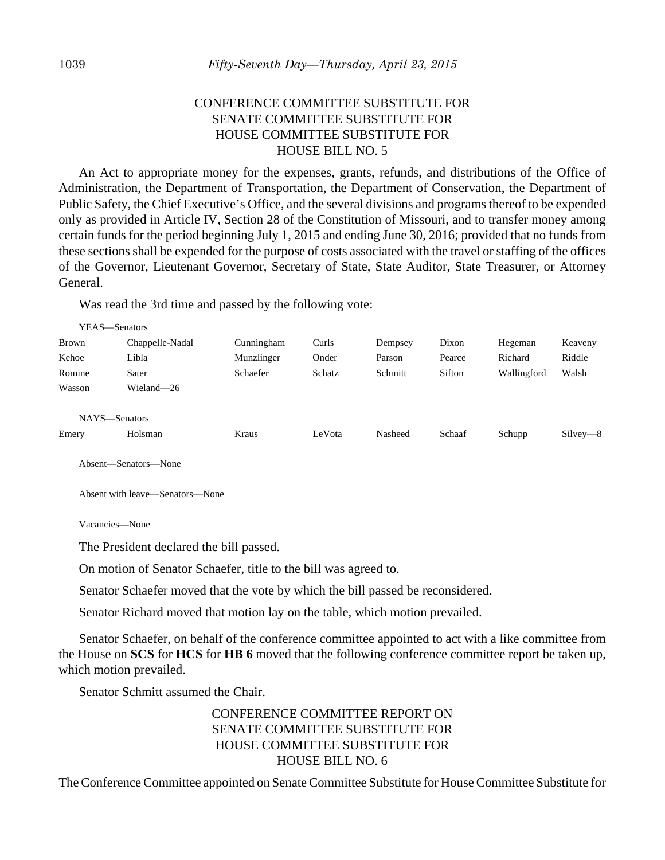# CONFERENCE COMMITTEE SUBSTITUTE FOR SENATE COMMITTEE SUBSTITUTE FOR HOUSE COMMITTEE SUBSTITUTE FOR HOUSE BILL NO. 5

An Act to appropriate money for the expenses, grants, refunds, and distributions of the Office of Administration, the Department of Transportation, the Department of Conservation, the Department of Public Safety, the Chief Executive's Office, and the several divisions and programs thereof to be expended only as provided in Article IV, Section 28 of the Constitution of Missouri, and to transfer money among certain funds for the period beginning July 1, 2015 and ending June 30, 2016; provided that no funds from these sections shall be expended for the purpose of costs associated with the travel or staffing of the offices of the Governor, Lieutenant Governor, Secretary of State, State Auditor, State Treasurer, or Attorney General.

Was read the 3rd time and passed by the following vote:

| YEAS—Senators |                 |            |        |         |        |             |            |
|---------------|-----------------|------------|--------|---------|--------|-------------|------------|
| <b>Brown</b>  | Chappelle-Nadal | Cunningham | Curls  | Dempsey | Dixon  | Hegeman     | Keaveny    |
| Kehoe         | Libla           | Munzlinger | Onder  | Parson  | Pearce | Richard     | Riddle     |
| Romine        | Sater           | Schaefer   | Schatz | Schmitt | Sifton | Wallingford | Walsh      |
| Wasson        | Wieland-26      |            |        |         |        |             |            |
| NAYS-Senators |                 |            |        |         |        |             |            |
| Emery         | Holsman         | Kraus      | LeVota | Nasheed | Schaaf | Schupp      | $Silvey-8$ |

Absent—Senators—None

Absent with leave—Senators—None

Vacancies—None

The President declared the bill passed.

On motion of Senator Schaefer, title to the bill was agreed to.

Senator Schaefer moved that the vote by which the bill passed be reconsidered.

Senator Richard moved that motion lay on the table, which motion prevailed.

Senator Schaefer, on behalf of the conference committee appointed to act with a like committee from the House on **SCS** for **HCS** for **HB 6** moved that the following conference committee report be taken up, which motion prevailed.

Senator Schmitt assumed the Chair.

# CONFERENCE COMMITTEE REPORT ON SENATE COMMITTEE SUBSTITUTE FOR HOUSE COMMITTEE SUBSTITUTE FOR HOUSE BILL NO. 6

The Conference Committee appointed on Senate Committee Substitute for House Committee Substitute for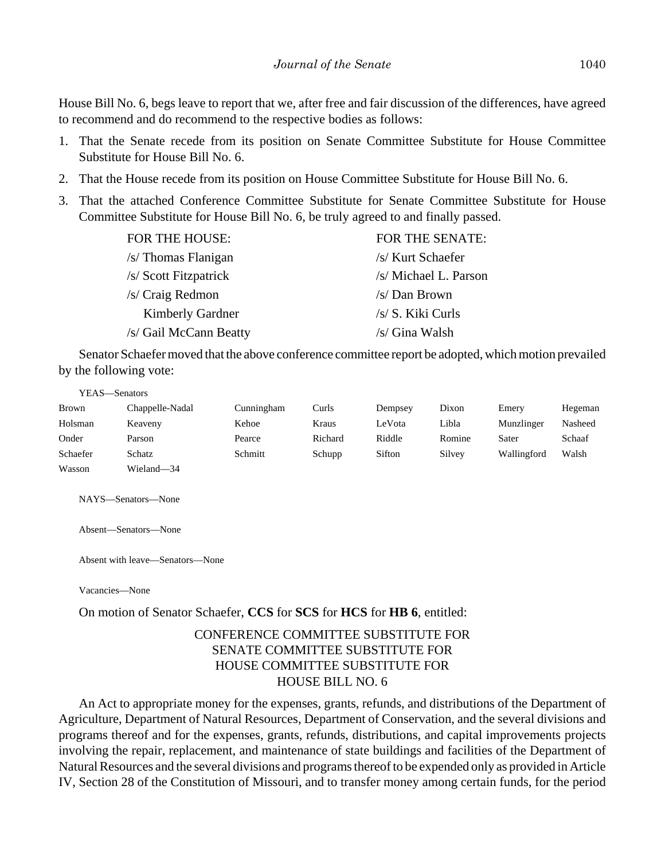House Bill No. 6, begs leave to report that we, after free and fair discussion of the differences, have agreed to recommend and do recommend to the respective bodies as follows:

- 1. That the Senate recede from its position on Senate Committee Substitute for House Committee Substitute for House Bill No. 6.
- 2. That the House recede from its position on House Committee Substitute for House Bill No. 6.
- 3. That the attached Conference Committee Substitute for Senate Committee Substitute for House Committee Substitute for House Bill No. 6, be truly agreed to and finally passed.

| <b>FOR THE HOUSE:</b>   | <b>FOR THE SENATE:</b> |
|-------------------------|------------------------|
| /s/ Thomas Flanigan     | /s/ Kurt Schaefer      |
| /s/ Scott Fitzpatrick   | /s/ Michael L. Parson  |
| /s/ Craig Redmon        | /s/ Dan Brown          |
| <b>Kimberly Gardner</b> | /s/ S. Kiki Curls      |
| /s/ Gail McCann Beatty  | /s/ Gina Walsh         |

Senator Schaefer moved that the above conference committee report be adopted, which motion prevailed by the following vote:

| YEAS—Senators |                 |            |         |         |        |             |         |
|---------------|-----------------|------------|---------|---------|--------|-------------|---------|
| <b>Brown</b>  | Chappelle-Nadal | Cunningham | Curls   | Dempsey | Dixon  | Emery       | Hegeman |
| Holsman       | Keaveny         | Kehoe      | Kraus   | LeVota  | Libla  | Munzlinger  | Nasheed |
| Onder         | Parson          | Pearce     | Richard | Riddle  | Romine | Sater       | Schaaf  |
| Schaefer      | Schatz          | Schmitt    | Schupp  | Sifton  | Silvey | Wallingford | Walsh   |
| Wasson        | Wieland-34      |            |         |         |        |             |         |

NAYS—Senators—None

Absent—Senators—None

Absent with leave—Senators—None

Vacancies—None

On motion of Senator Schaefer, **CCS** for **SCS** for **HCS** for **HB 6**, entitled:

# CONFERENCE COMMITTEE SUBSTITUTE FOR SENATE COMMITTEE SUBSTITUTE FOR HOUSE COMMITTEE SUBSTITUTE FOR HOUSE BILL NO. 6

An Act to appropriate money for the expenses, grants, refunds, and distributions of the Department of Agriculture, Department of Natural Resources, Department of Conservation, and the several divisions and programs thereof and for the expenses, grants, refunds, distributions, and capital improvements projects involving the repair, replacement, and maintenance of state buildings and facilities of the Department of Natural Resources and the several divisions and programs thereof to be expended only as provided in Article IV, Section 28 of the Constitution of Missouri, and to transfer money among certain funds, for the period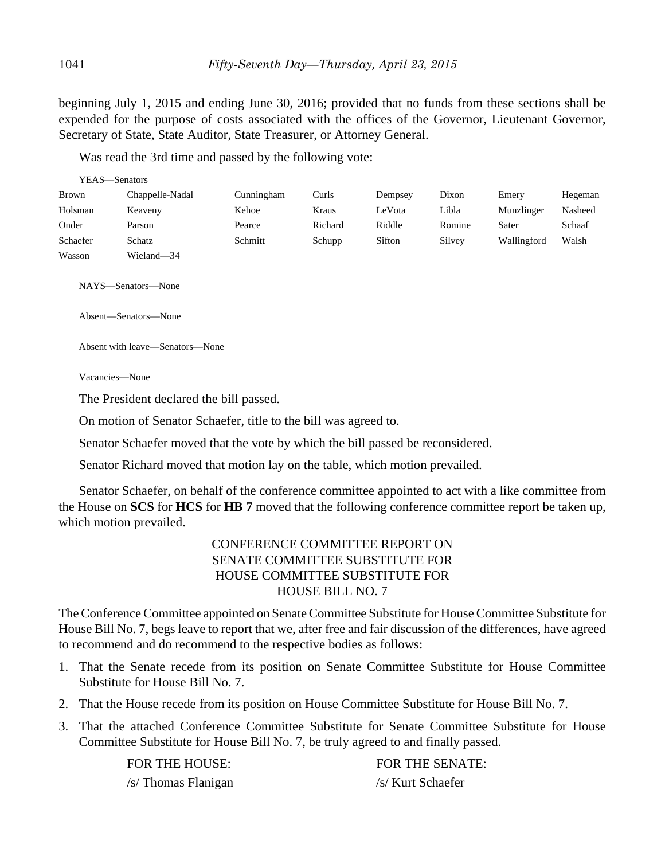beginning July 1, 2015 and ending June 30, 2016; provided that no funds from these sections shall be expended for the purpose of costs associated with the offices of the Governor, Lieutenant Governor, Secretary of State, State Auditor, State Treasurer, or Attorney General.

Was read the 3rd time and passed by the following vote:

| YEAS—Senators |                      |            |         |         |        |             |         |
|---------------|----------------------|------------|---------|---------|--------|-------------|---------|
| <b>Brown</b>  | Chappelle-Nadal      | Cunningham | Curls   | Dempsey | Dixon  | Emery       | Hegeman |
| Holsman       | Keaveny              | Kehoe      | Kraus   | LeVota  | Libla  | Munzlinger  | Nasheed |
| Onder         | Parson               | Pearce     | Richard | Riddle  | Romine | Sater       | Schaaf  |
| Schaefer      | Schatz               | Schmitt    | Schupp  | Sifton  | Silvey | Wallingford | Walsh   |
| Wasson        | Wieland-34           |            |         |         |        |             |         |
|               | NAYS—Senators—None   |            |         |         |        |             |         |
|               | Absent—Senators—None |            |         |         |        |             |         |

Absent with leave—Senators—None

Vacancies—None

The President declared the bill passed.

On motion of Senator Schaefer, title to the bill was agreed to.

Senator Schaefer moved that the vote by which the bill passed be reconsidered.

Senator Richard moved that motion lay on the table, which motion prevailed.

Senator Schaefer, on behalf of the conference committee appointed to act with a like committee from the House on **SCS** for **HCS** for **HB 7** moved that the following conference committee report be taken up, which motion prevailed.

# CONFERENCE COMMITTEE REPORT ON SENATE COMMITTEE SUBSTITUTE FOR HOUSE COMMITTEE SUBSTITUTE FOR HOUSE BILL NO. 7

The Conference Committee appointed on Senate Committee Substitute for House Committee Substitute for House Bill No. 7, begs leave to report that we, after free and fair discussion of the differences, have agreed to recommend and do recommend to the respective bodies as follows:

- 1. That the Senate recede from its position on Senate Committee Substitute for House Committee Substitute for House Bill No. 7.
- 2. That the House recede from its position on House Committee Substitute for House Bill No. 7.
- 3. That the attached Conference Committee Substitute for Senate Committee Substitute for House Committee Substitute for House Bill No. 7, be truly agreed to and finally passed.

FOR THE HOUSE: FOR THE SENATE: /s/ Thomas Flanigan /s/ Kurt Schaefer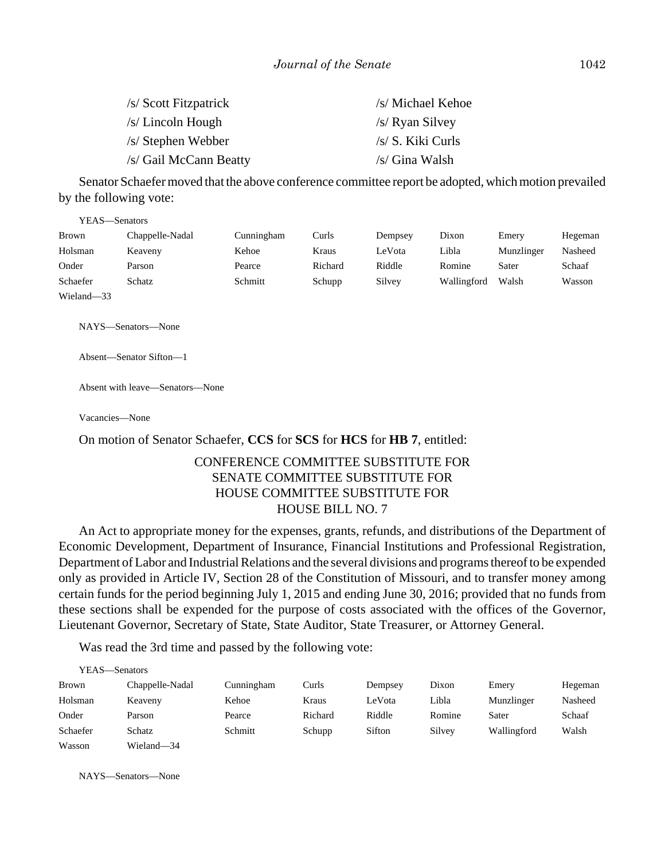| /s/ Scott Fitzpatrick  | /s/ Michael Kehoe |
|------------------------|-------------------|
| $/s/Lincoh$ Hough      | /s/ Ryan Silvey   |
| /s/ Stephen Webber     | /s/ S. Kiki Curls |
| /s/ Gail McCann Beatty | /s/ Gina Walsh    |

Senator Schaefer moved that the above conference committee report be adopted, which motion prevailed by the following vote:

| YEAS—Senators |                 |            |         |         |             |            |         |
|---------------|-----------------|------------|---------|---------|-------------|------------|---------|
| Brown         | Chappelle-Nadal | Cunningham | Curls   | Dempsey | Dixon       | Emery      | Hegeman |
| Holsman       | Keaveny         | Kehoe      | Kraus   | LeVota  | Libla       | Munzlinger | Nasheed |
| Onder         | Parson          | Pearce     | Richard | Riddle  | Romine      | Sater      | Schaaf  |
| Schaefer      | Schatz          | Schmitt    | Schupp  | Silvey  | Wallingford | Walsh      | Wasson  |
| Wieland-33    |                 |            |         |         |             |            |         |

NAYS—Senators—None

Absent—Senator Sifton—1

Absent with leave—Senators—None

Vacancies—None

On motion of Senator Schaefer, **CCS** for **SCS** for **HCS** for **HB 7**, entitled:

## CONFERENCE COMMITTEE SUBSTITUTE FOR SENATE COMMITTEE SUBSTITUTE FOR HOUSE COMMITTEE SUBSTITUTE FOR HOUSE BILL NO. 7

An Act to appropriate money for the expenses, grants, refunds, and distributions of the Department of Economic Development, Department of Insurance, Financial Institutions and Professional Registration, Department of Labor and Industrial Relations and the several divisions and programs thereof to be expended only as provided in Article IV, Section 28 of the Constitution of Missouri, and to transfer money among certain funds for the period beginning July 1, 2015 and ending June 30, 2016; provided that no funds from these sections shall be expended for the purpose of costs associated with the offices of the Governor, Lieutenant Governor, Secretary of State, State Auditor, State Treasurer, or Attorney General.

Was read the 3rd time and passed by the following vote:

| YEAS—Senators |                 |            |         |         |        |             |         |
|---------------|-----------------|------------|---------|---------|--------|-------------|---------|
| <b>Brown</b>  | Chappelle-Nadal | Cunningham | Curls   | Dempsey | Dixon  | Emery       | Hegeman |
| Holsman       | Keaveny         | Kehoe      | Kraus   | LeVota  | Libla  | Munzlinger  | Nasheed |
| Onder         | Parson          | Pearce     | Richard | Riddle  | Romine | Sater       | Schaaf  |
| Schaefer      | Schatz          | Schmitt    | Schupp  | Sifton  | Silvey | Wallingford | Walsh   |
| Wasson        | Wieland-34      |            |         |         |        |             |         |

NAYS—Senators—None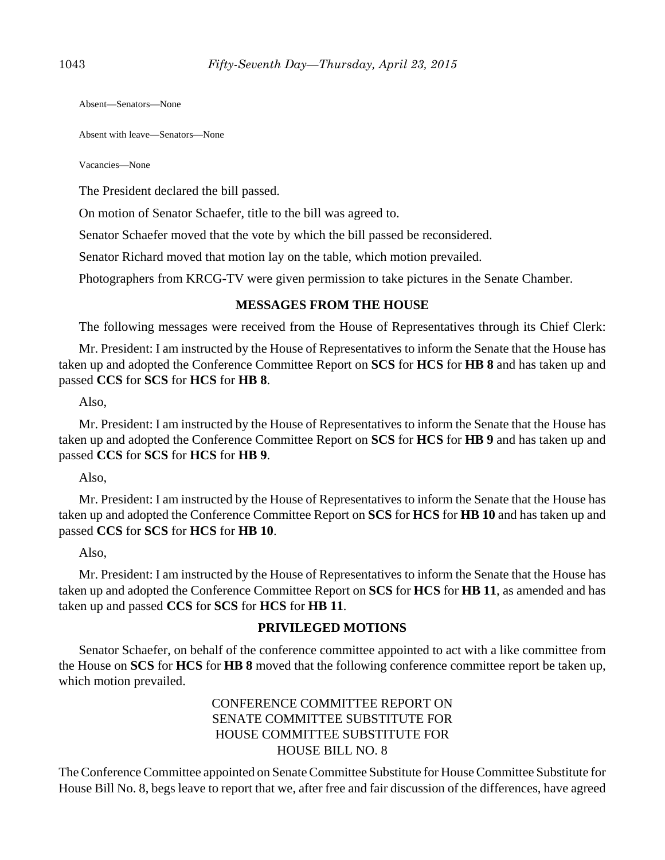Absent—Senators—None

Absent with leave—Senators—None

Vacancies—None

The President declared the bill passed.

On motion of Senator Schaefer, title to the bill was agreed to.

Senator Schaefer moved that the vote by which the bill passed be reconsidered.

Senator Richard moved that motion lay on the table, which motion prevailed.

Photographers from KRCG-TV were given permission to take pictures in the Senate Chamber.

# **MESSAGES FROM THE HOUSE**

The following messages were received from the House of Representatives through its Chief Clerk:

Mr. President: I am instructed by the House of Representatives to inform the Senate that the House has taken up and adopted the Conference Committee Report on **SCS** for **HCS** for **HB 8** and has taken up and passed **CCS** for **SCS** for **HCS** for **HB 8**.

Also,

Mr. President: I am instructed by the House of Representatives to inform the Senate that the House has taken up and adopted the Conference Committee Report on **SCS** for **HCS** for **HB 9** and has taken up and passed **CCS** for **SCS** for **HCS** for **HB 9**.

Also,

Mr. President: I am instructed by the House of Representatives to inform the Senate that the House has taken up and adopted the Conference Committee Report on **SCS** for **HCS** for **HB 10** and has taken up and passed **CCS** for **SCS** for **HCS** for **HB 10**.

Also,

Mr. President: I am instructed by the House of Representatives to inform the Senate that the House has taken up and adopted the Conference Committee Report on **SCS** for **HCS** for **HB 11**, as amended and has taken up and passed **CCS** for **SCS** for **HCS** for **HB 11**.

# **PRIVILEGED MOTIONS**

Senator Schaefer, on behalf of the conference committee appointed to act with a like committee from the House on **SCS** for **HCS** for **HB 8** moved that the following conference committee report be taken up, which motion prevailed.

> CONFERENCE COMMITTEE REPORT ON SENATE COMMITTEE SUBSTITUTE FOR HOUSE COMMITTEE SUBSTITUTE FOR HOUSE BILL NO. 8

The Conference Committee appointed on Senate Committee Substitute for House Committee Substitute for House Bill No. 8, begs leave to report that we, after free and fair discussion of the differences, have agreed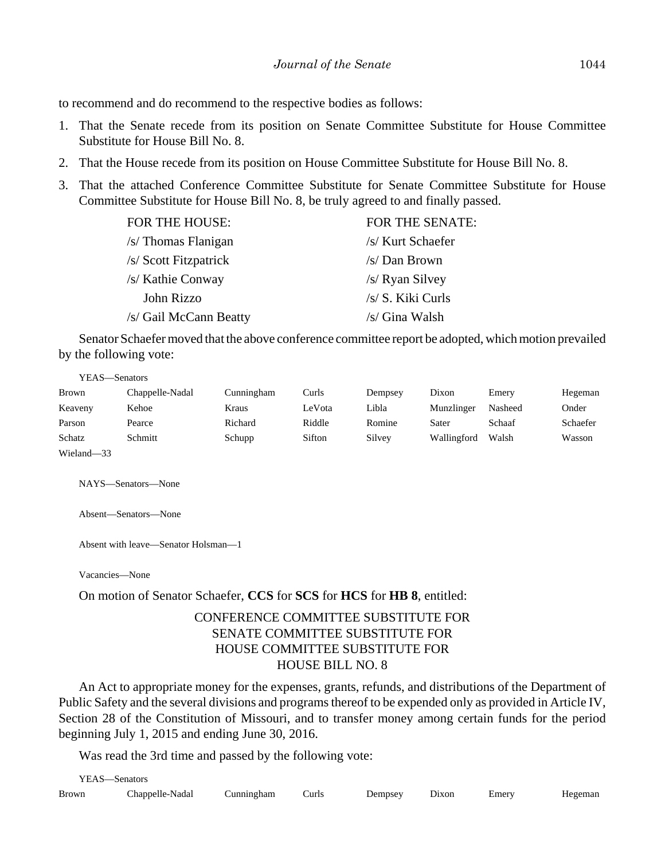to recommend and do recommend to the respective bodies as follows:

- 1. That the Senate recede from its position on Senate Committee Substitute for House Committee Substitute for House Bill No. 8.
- 2. That the House recede from its position on House Committee Substitute for House Bill No. 8.
- 3. That the attached Conference Committee Substitute for Senate Committee Substitute for House Committee Substitute for House Bill No. 8, be truly agreed to and finally passed.

| <b>FOR THE SENATE:</b> |
|------------------------|
| /s/ Kurt Schaefer      |
| /s/ Dan Brown          |
| /s/ Ryan Silvey        |
| /s/ S. Kiki Curls      |
| /s/ Gina Walsh         |
|                        |

Senator Schaefer moved that the above conference committee report be adopted, which motion prevailed by the following vote:

| YEAS—Senators |                 |            |        |         |             |         |          |
|---------------|-----------------|------------|--------|---------|-------------|---------|----------|
| <b>Brown</b>  | Chappelle-Nadal | Cunningham | Curls  | Dempsey | Dixon       | Emery   | Hegeman  |
| Keaveny       | Kehoe           | Kraus      | LeVota | Libla   | Munzlinger  | Nasheed | Onder    |
| Parson        | Pearce          | Richard    | Riddle | Romine  | Sater       | Schaaf  | Schaefer |
| Schatz        | Schmitt         | Schupp     | Sifton | Silvey  | Wallingford | Walsh   | Wasson   |
| Wieland-33    |                 |            |        |         |             |         |          |

NAYS—Senators—None

Absent—Senators—None

Absent with leave—Senator Holsman—1

Vacancies—None

On motion of Senator Schaefer, **CCS** for **SCS** for **HCS** for **HB 8**, entitled:

### CONFERENCE COMMITTEE SUBSTITUTE FOR SENATE COMMITTEE SUBSTITUTE FOR HOUSE COMMITTEE SUBSTITUTE FOR HOUSE BILL NO. 8

An Act to appropriate money for the expenses, grants, refunds, and distributions of the Department of Public Safety and the several divisions and programs thereof to be expended only as provided in Article IV, Section 28 of the Constitution of Missouri, and to transfer money among certain funds for the period beginning July 1, 2015 and ending June 30, 2016.

Was read the 3rd time and passed by the following vote:

|              | YEAS—Senators   |            |       |         |       |       |         |
|--------------|-----------------|------------|-------|---------|-------|-------|---------|
| <b>Brown</b> | Chappelle-Nadal | Cunningham | Curls | Dempsey | Dixon | Emery | Hegeman |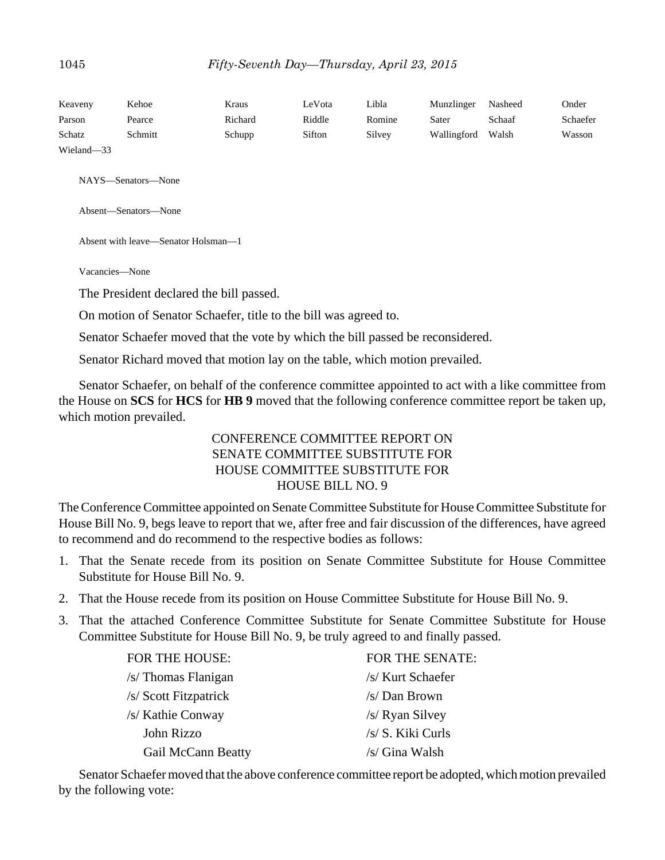| Keaveny    | Kehoe   | Kraus   | LeVota | Libla  | Munzlinger  | Nasheed | Onder    |
|------------|---------|---------|--------|--------|-------------|---------|----------|
| Parson     | Pearce  | Richard | Riddle | Romine | Sater       | Schaaf  | Schaefer |
| Schatz     | Schmitt | Schupp  | Sifton | Silvey | Wallingford | Walsh   | Wasson   |
| Wieland-33 |         |         |        |        |             |         |          |

NAYS—Senators—None

Absent—Senators—None

Absent with leave—Senator Holsman—1

Vacancies—None

The President declared the bill passed.

On motion of Senator Schaefer, title to the bill was agreed to.

Senator Schaefer moved that the vote by which the bill passed be reconsidered.

Senator Richard moved that motion lay on the table, which motion prevailed.

Senator Schaefer, on behalf of the conference committee appointed to act with a like committee from the House on **SCS** for **HCS** for **HB 9** moved that the following conference committee report be taken up, which motion prevailed.

# CONFERENCE COMMITTEE REPORT ON SENATE COMMITTEE SUBSTITUTE FOR HOUSE COMMITTEE SUBSTITUTE FOR HOUSE BILL NO. 9

The Conference Committee appointed on Senate Committee Substitute for House Committee Substitute for House Bill No. 9, begs leave to report that we, after free and fair discussion of the differences, have agreed to recommend and do recommend to the respective bodies as follows:

- 1. That the Senate recede from its position on Senate Committee Substitute for House Committee Substitute for House Bill No. 9.
- 2. That the House recede from its position on House Committee Substitute for House Bill No. 9.
- 3. That the attached Conference Committee Substitute for Senate Committee Substitute for House Committee Substitute for House Bill No. 9, be truly agreed to and finally passed.

| <b>FOR THE HOUSE:</b>     | <b>FOR THE SENATE:</b> |
|---------------------------|------------------------|
| $/s$ Thomas Flanigan      | /s/ Kurt Schaefer      |
| /s/ Scott Fitzpatrick     | /s/ Dan Brown          |
| /s/ Kathie Conway         | /s/ Ryan Silvey        |
| John Rizzo                | /s/ S. Kiki Curls      |
| <b>Gail McCann Beatty</b> | /s/ Gina Walsh         |

Senator Schaefer moved that the above conference committee report be adopted, which motion prevailed by the following vote: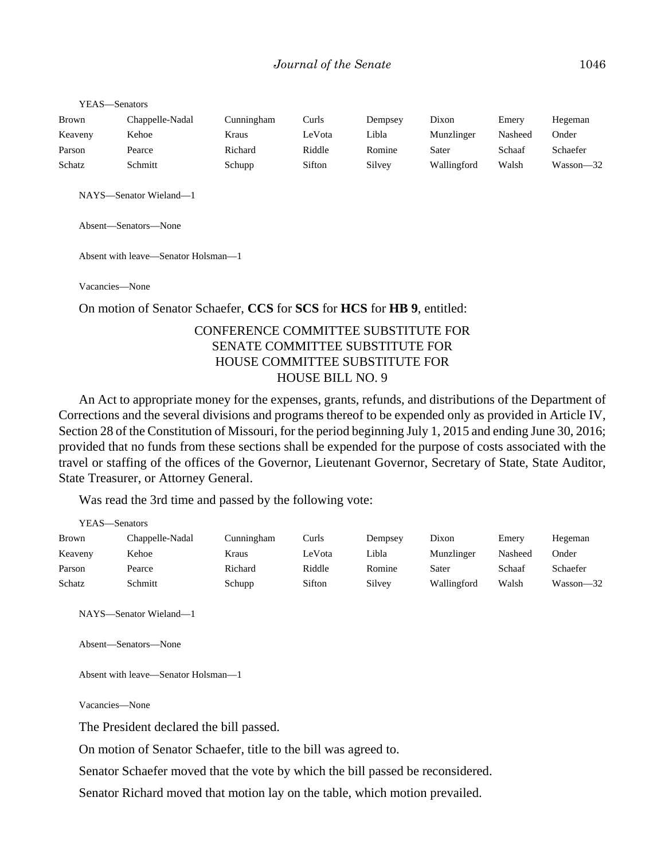| YEAS—Senators |                 |            |        |         |             |         |           |
|---------------|-----------------|------------|--------|---------|-------------|---------|-----------|
| <b>Brown</b>  | Chappelle-Nadal | Cunningham | Curls  | Dempsey | Dixon       | Emery   | Hegeman   |
| Keaveny       | Kehoe           | Kraus      | LeVota | Libla   | Munzlinger  | Nasheed | Onder     |
| Parson        | Pearce          | Richard    | Riddle | Romine  | Sater       | Schaaf  | Schaefer  |
| Schatz        | Schmitt         | Schupp     | Sifton | Silvey  | Wallingford | Walsh   | Wasson-32 |

NAYS—Senator Wieland—1

Absent—Senators—None

Absent with leave—Senator Holsman—1

Vacancies—None

On motion of Senator Schaefer, **CCS** for **SCS** for **HCS** for **HB 9**, entitled:

## CONFERENCE COMMITTEE SUBSTITUTE FOR SENATE COMMITTEE SUBSTITUTE FOR HOUSE COMMITTEE SUBSTITUTE FOR HOUSE BILL NO. 9

An Act to appropriate money for the expenses, grants, refunds, and distributions of the Department of Corrections and the several divisions and programs thereof to be expended only as provided in Article IV, Section 28 of the Constitution of Missouri, for the period beginning July 1, 2015 and ending June 30, 2016; provided that no funds from these sections shall be expended for the purpose of costs associated with the travel or staffing of the offices of the Governor, Lieutenant Governor, Secretary of State, State Auditor, State Treasurer, or Attorney General.

Was read the 3rd time and passed by the following vote:

| YEAS—Senators |                 |            |        |         |             |         |           |
|---------------|-----------------|------------|--------|---------|-------------|---------|-----------|
| <b>Brown</b>  | Chappelle-Nadal | Cunningham | Curls  | Dempsey | Dixon       | Emery   | Hegeman   |
| Keaveny       | Kehoe           | Kraus      | LeVota | Libla   | Munzlinger  | Nasheed | Onder     |
| Parson        | Pearce          | Richard    | Riddle | Romine  | Sater       | Schaaf  | Schaefer  |
| Schatz        | Schmitt         | Schupp     | Sifton | Silvey  | Wallingford | Walsh   | Wasson—32 |

NAYS—Senator Wieland—1

Absent—Senators—None

Absent with leave—Senator Holsman—1

Vacancies—None

The President declared the bill passed.

On motion of Senator Schaefer, title to the bill was agreed to.

Senator Schaefer moved that the vote by which the bill passed be reconsidered.

Senator Richard moved that motion lay on the table, which motion prevailed.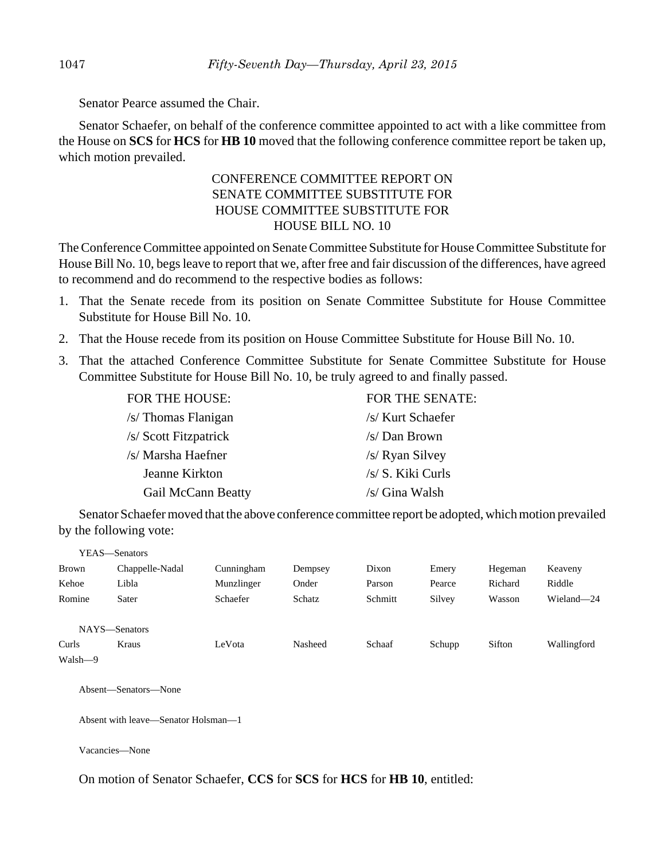Senator Pearce assumed the Chair.

Senator Schaefer, on behalf of the conference committee appointed to act with a like committee from the House on **SCS** for **HCS** for **HB 10** moved that the following conference committee report be taken up, which motion prevailed.

# CONFERENCE COMMITTEE REPORT ON SENATE COMMITTEE SUBSTITUTE FOR HOUSE COMMITTEE SUBSTITUTE FOR HOUSE BILL NO. 10

The Conference Committee appointed on Senate Committee Substitute for House Committee Substitute for House Bill No. 10, begs leave to report that we, after free and fair discussion of the differences, have agreed to recommend and do recommend to the respective bodies as follows:

- 1. That the Senate recede from its position on Senate Committee Substitute for House Committee Substitute for House Bill No. 10.
- 2. That the House recede from its position on House Committee Substitute for House Bill No. 10.
- 3. That the attached Conference Committee Substitute for Senate Committee Substitute for House Committee Substitute for House Bill No. 10, be truly agreed to and finally passed.

| <b>FOR THE HOUSE:</b> | FOR THE SENATE:   |
|-----------------------|-------------------|
| $/s$ Thomas Flanigan  | /s/ Kurt Schaefer |
| /s/ Scott Fitzpatrick | /s/ Dan Brown     |
| /s/ Marsha Haefner    | /s/ Ryan Silvey   |
| Jeanne Kirkton        | /s/ S. Kiki Curls |
| Gail McCann Beatty    | /s/ Gina Walsh    |

Senator Schaefer moved that the above conference committee report be adopted, which motion prevailed by the following vote:

|              | YEAS—Senators   |            |         |         |        |         |             |
|--------------|-----------------|------------|---------|---------|--------|---------|-------------|
| <b>Brown</b> | Chappelle-Nadal | Cunningham | Dempsey | Dixon   | Emery  | Hegeman | Keaveny     |
| Kehoe        | Libla           | Munzlinger | Onder   | Parson  | Pearce | Richard | Riddle      |
| Romine       | Sater           | Schaefer   | Schatz  | Schmitt | Silvey | Wasson  | Wieland-24  |
|              |                 |            |         |         |        |         |             |
|              | NAYS-Senators   |            |         |         |        |         |             |
| Curls        | Kraus           | LeVota     | Nasheed | Schaaf  | Schupp | Sifton  | Wallingford |
| Walsh—9      |                 |            |         |         |        |         |             |
|              |                 |            |         |         |        |         |             |

Absent—Senators—None

Absent with leave—Senator Holsman—1

Vacancies—None

On motion of Senator Schaefer, **CCS** for **SCS** for **HCS** for **HB 10**, entitled: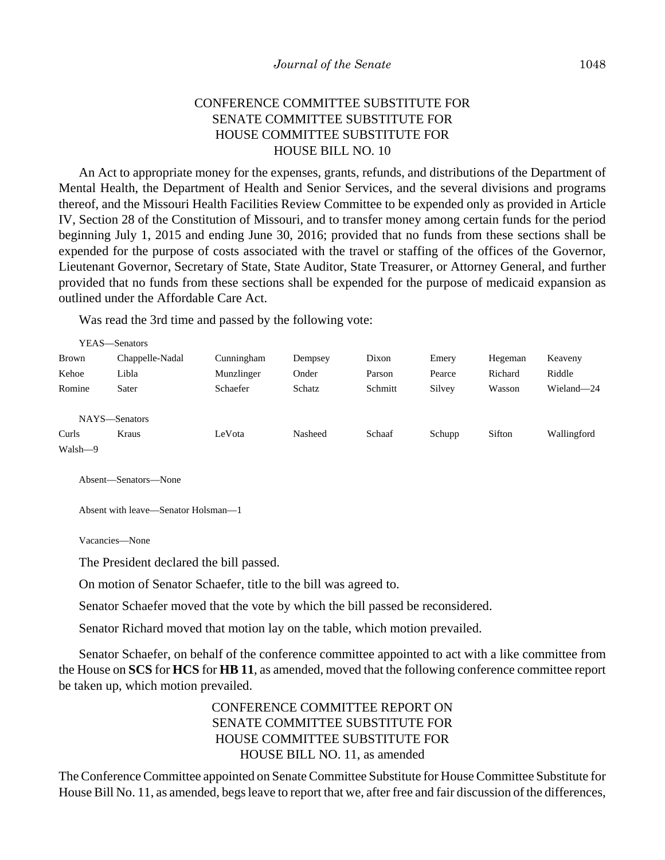# CONFERENCE COMMITTEE SUBSTITUTE FOR SENATE COMMITTEE SUBSTITUTE FOR HOUSE COMMITTEE SUBSTITUTE FOR HOUSE BILL NO. 10

An Act to appropriate money for the expenses, grants, refunds, and distributions of the Department of Mental Health, the Department of Health and Senior Services, and the several divisions and programs thereof, and the Missouri Health Facilities Review Committee to be expended only as provided in Article IV, Section 28 of the Constitution of Missouri, and to transfer money among certain funds for the period beginning July 1, 2015 and ending June 30, 2016; provided that no funds from these sections shall be expended for the purpose of costs associated with the travel or staffing of the offices of the Governor, Lieutenant Governor, Secretary of State, State Auditor, State Treasurer, or Attorney General, and further provided that no funds from these sections shall be expended for the purpose of medicaid expansion as outlined under the Affordable Care Act.

Was read the 3rd time and passed by the following vote:

|              | YEAS—Senators   |            |         |         |        |         |             |
|--------------|-----------------|------------|---------|---------|--------|---------|-------------|
| <b>Brown</b> | Chappelle-Nadal | Cunningham | Dempsey | Dixon   | Emery  | Hegeman | Keaveny     |
| Kehoe        | Libla           | Munzlinger | Onder   | Parson  | Pearce | Richard | Riddle      |
| Romine       | Sater           | Schaefer   | Schatz  | Schmitt | Silvey | Wasson  | Wieland-24  |
|              | NAYS-Senators   |            |         |         |        |         |             |
| Curls        | Kraus           | LeVota     | Nasheed | Schaaf  | Schupp | Sifton  | Wallingford |
| Walsh-9      |                 |            |         |         |        |         |             |

Absent—Senators—None

Absent with leave—Senator Holsman—1

Vacancies—None

The President declared the bill passed.

On motion of Senator Schaefer, title to the bill was agreed to.

Senator Schaefer moved that the vote by which the bill passed be reconsidered.

Senator Richard moved that motion lay on the table, which motion prevailed.

Senator Schaefer, on behalf of the conference committee appointed to act with a like committee from the House on **SCS** for **HCS** for **HB 11**, as amended, moved that the following conference committee report be taken up, which motion prevailed.

# CONFERENCE COMMITTEE REPORT ON SENATE COMMITTEE SUBSTITUTE FOR HOUSE COMMITTEE SUBSTITUTE FOR HOUSE BILL NO. 11, as amended

The Conference Committee appointed on Senate Committee Substitute for House Committee Substitute for House Bill No. 11, as amended, begs leave to report that we, after free and fair discussion of the differences,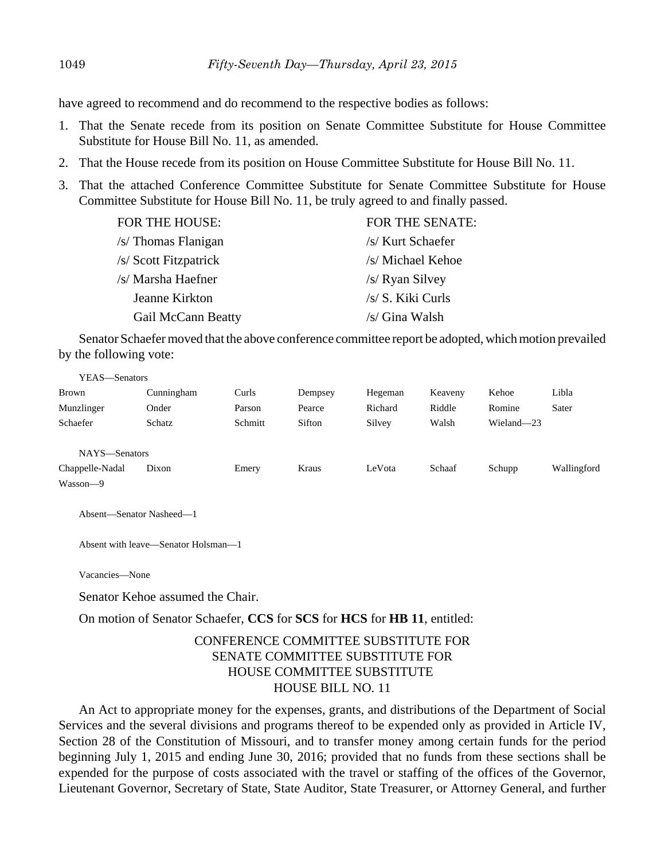have agreed to recommend and do recommend to the respective bodies as follows:

- 1. That the Senate recede from its position on Senate Committee Substitute for House Committee Substitute for House Bill No. 11, as amended.
- 2. That the House recede from its position on House Committee Substitute for House Bill No. 11.
- 3. That the attached Conference Committee Substitute for Senate Committee Substitute for House Committee Substitute for House Bill No. 11, be truly agreed to and finally passed.

| <b>FOR THE HOUSE:</b>     | <b>FOR THE SENATE:</b> |
|---------------------------|------------------------|
| /s/ Thomas Flanigan       | /s/ Kurt Schaefer      |
| /s/ Scott Fitzpatrick     | /s/ Michael Kehoe      |
| /s/ Marsha Haefner        | /s/ Ryan Silvey        |
| Jeanne Kirkton            | /s/ S. Kiki Curls      |
| <b>Gail McCann Beatty</b> | /s/ Gina Walsh         |
|                           |                        |

Senator Schaefer moved that the above conference committee report be adopted, which motion prevailed by the following vote:

| YEAS—Senators   |            |         |         |         |         |            |             |
|-----------------|------------|---------|---------|---------|---------|------------|-------------|
| <b>Brown</b>    | Cunningham | Curls   | Dempsey | Hegeman | Keaveny | Kehoe      | Libla       |
| Munzlinger      | Onder      | Parson  | Pearce  | Richard | Riddle  | Romine     | Sater       |
| Schaefer        | Schatz     | Schmitt | Sifton  | Silvey  | Walsh   | Wieland-23 |             |
|                 |            |         |         |         |         |            |             |
| NAYS-Senators   |            |         |         |         |         |            |             |
| Chappelle-Nadal | Dixon      | Emery   | Kraus   | LeVota  | Schaaf  | Schupp     | Wallingford |
| Wasson-9        |            |         |         |         |         |            |             |

Absent—Senator Nasheed—1

Absent with leave—Senator Holsman—1

Vacancies—None

Senator Kehoe assumed the Chair.

On motion of Senator Schaefer, **CCS** for **SCS** for **HCS** for **HB 11**, entitled:

# CONFERENCE COMMITTEE SUBSTITUTE FOR SENATE COMMITTEE SUBSTITUTE FOR HOUSE COMMITTEE SUBSTITUTE HOUSE BILL NO. 11

An Act to appropriate money for the expenses, grants, and distributions of the Department of Social Services and the several divisions and programs thereof to be expended only as provided in Article IV, Section 28 of the Constitution of Missouri, and to transfer money among certain funds for the period beginning July 1, 2015 and ending June 30, 2016; provided that no funds from these sections shall be expended for the purpose of costs associated with the travel or staffing of the offices of the Governor, Lieutenant Governor, Secretary of State, State Auditor, State Treasurer, or Attorney General, and further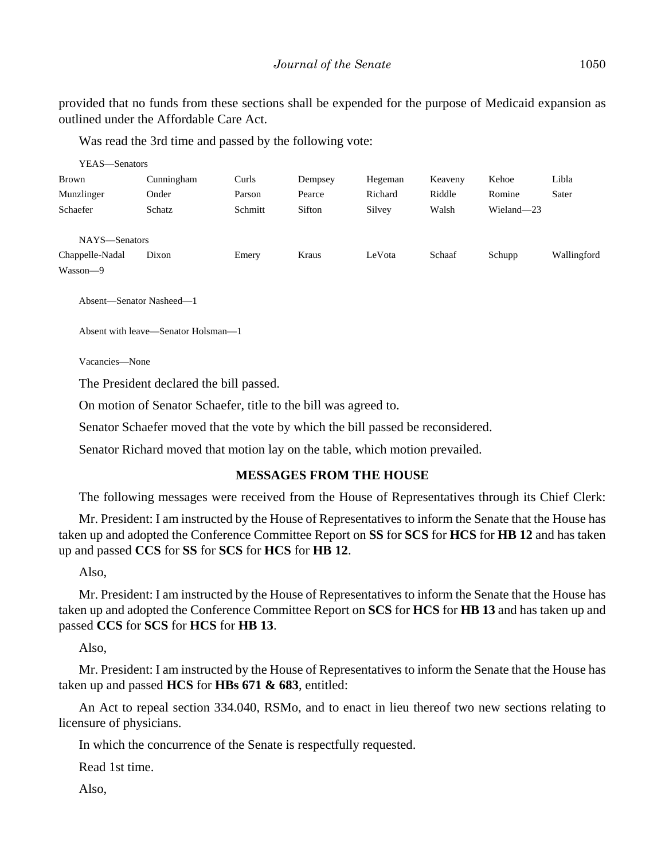provided that no funds from these sections shall be expended for the purpose of Medicaid expansion as outlined under the Affordable Care Act.

Was read the 3rd time and passed by the following vote:

| YEAS—Senators   |            |         |         |         |         |            |             |
|-----------------|------------|---------|---------|---------|---------|------------|-------------|
| <b>Brown</b>    | Cunningham | Curls   | Dempsey | Hegeman | Keaveny | Kehoe      | Libla       |
| Munzlinger      | Onder      | Parson  | Pearce  | Richard | Riddle  | Romine     | Sater       |
| Schaefer        | Schatz     | Schmitt | Sifton  | Silvey  | Walsh   | Wieland-23 |             |
| NAYS-Senators   |            |         |         |         |         |            |             |
| Chappelle-Nadal | Dixon      | Emery   | Kraus   | LeVota  | Schaaf  | Schupp     | Wallingford |
| Wasson-9        |            |         |         |         |         |            |             |

Absent—Senator Nasheed—1

Absent with leave—Senator Holsman—1

Vacancies—None

The President declared the bill passed.

On motion of Senator Schaefer, title to the bill was agreed to.

Senator Schaefer moved that the vote by which the bill passed be reconsidered.

Senator Richard moved that motion lay on the table, which motion prevailed.

#### **MESSAGES FROM THE HOUSE**

The following messages were received from the House of Representatives through its Chief Clerk:

Mr. President: I am instructed by the House of Representatives to inform the Senate that the House has taken up and adopted the Conference Committee Report on **SS** for **SCS** for **HCS** for **HB 12** and has taken up and passed **CCS** for **SS** for **SCS** for **HCS** for **HB 12**.

Also,

Mr. President: I am instructed by the House of Representatives to inform the Senate that the House has taken up and adopted the Conference Committee Report on **SCS** for **HCS** for **HB 13** and has taken up and passed **CCS** for **SCS** for **HCS** for **HB 13**.

Also,

Mr. President: I am instructed by the House of Representatives to inform the Senate that the House has taken up and passed **HCS** for **HBs 671 & 683**, entitled:

An Act to repeal section 334.040, RSMo, and to enact in lieu thereof two new sections relating to licensure of physicians.

In which the concurrence of the Senate is respectfully requested.

Read 1st time.

Also,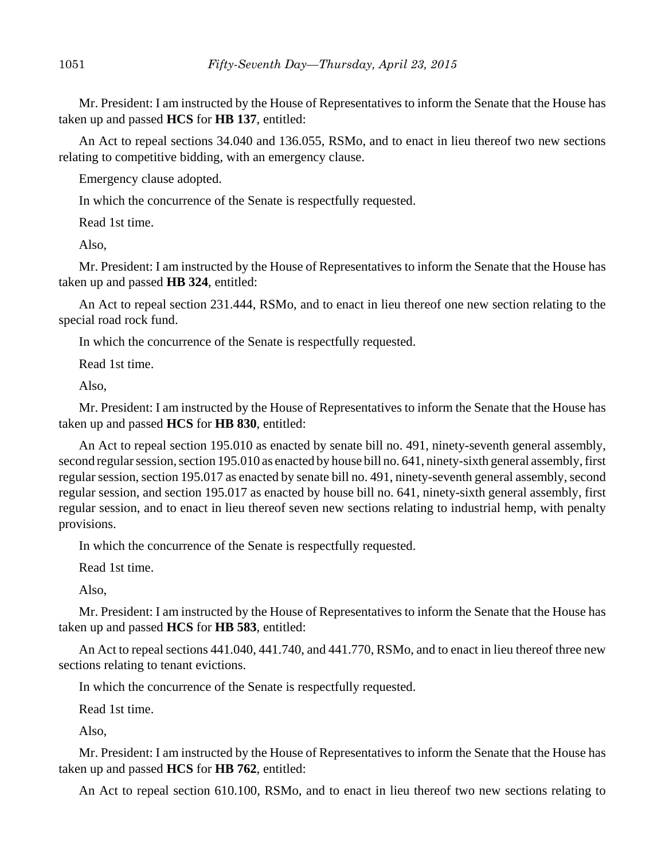Mr. President: I am instructed by the House of Representatives to inform the Senate that the House has taken up and passed **HCS** for **HB 137**, entitled:

An Act to repeal sections 34.040 and 136.055, RSMo, and to enact in lieu thereof two new sections relating to competitive bidding, with an emergency clause.

Emergency clause adopted.

In which the concurrence of the Senate is respectfully requested.

Read 1st time.

Also,

Mr. President: I am instructed by the House of Representatives to inform the Senate that the House has taken up and passed **HB 324**, entitled:

An Act to repeal section 231.444, RSMo, and to enact in lieu thereof one new section relating to the special road rock fund.

In which the concurrence of the Senate is respectfully requested.

Read 1st time.

Also,

Mr. President: I am instructed by the House of Representatives to inform the Senate that the House has taken up and passed **HCS** for **HB 830**, entitled:

An Act to repeal section 195.010 as enacted by senate bill no. 491, ninety-seventh general assembly, second regular session, section 195.010 as enacted by house bill no. 641, ninety-sixth general assembly, first regular session, section 195.017 as enacted by senate bill no. 491, ninety-seventh general assembly, second regular session, and section 195.017 as enacted by house bill no. 641, ninety-sixth general assembly, first regular session, and to enact in lieu thereof seven new sections relating to industrial hemp, with penalty provisions.

In which the concurrence of the Senate is respectfully requested.

Read 1st time.

Also,

Mr. President: I am instructed by the House of Representatives to inform the Senate that the House has taken up and passed **HCS** for **HB 583**, entitled:

An Act to repeal sections 441.040, 441.740, and 441.770, RSMo, and to enact in lieu thereof three new sections relating to tenant evictions.

In which the concurrence of the Senate is respectfully requested.

Read 1st time.

Also,

Mr. President: I am instructed by the House of Representatives to inform the Senate that the House has taken up and passed **HCS** for **HB 762**, entitled:

An Act to repeal section 610.100, RSMo, and to enact in lieu thereof two new sections relating to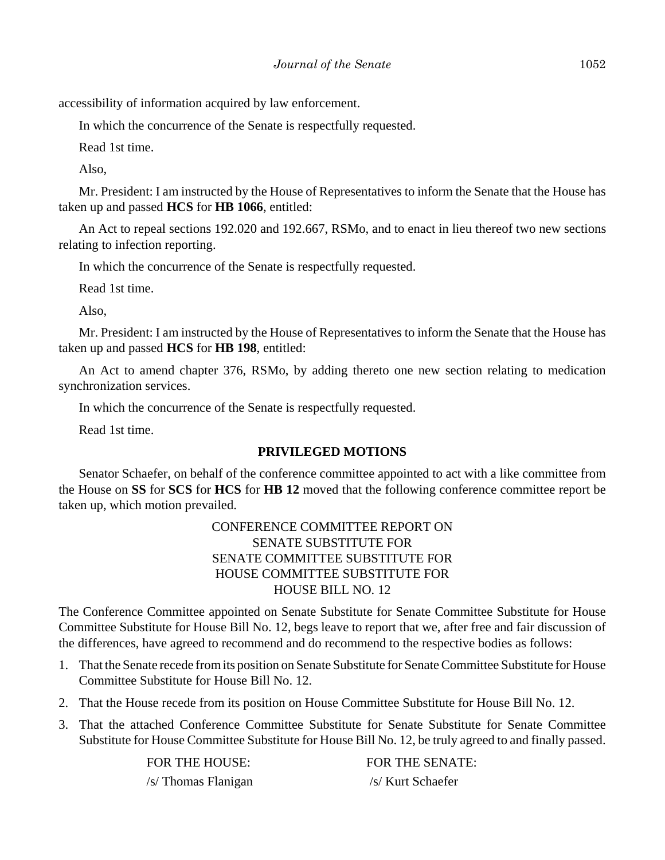accessibility of information acquired by law enforcement.

In which the concurrence of the Senate is respectfully requested.

Read 1st time.

Also,

Mr. President: I am instructed by the House of Representatives to inform the Senate that the House has taken up and passed **HCS** for **HB 1066**, entitled:

An Act to repeal sections 192.020 and 192.667, RSMo, and to enact in lieu thereof two new sections relating to infection reporting.

In which the concurrence of the Senate is respectfully requested.

Read 1st time.

Also,

Mr. President: I am instructed by the House of Representatives to inform the Senate that the House has taken up and passed **HCS** for **HB 198**, entitled:

An Act to amend chapter 376, RSMo, by adding thereto one new section relating to medication synchronization services.

In which the concurrence of the Senate is respectfully requested.

Read 1st time.

#### **PRIVILEGED MOTIONS**

Senator Schaefer, on behalf of the conference committee appointed to act with a like committee from the House on **SS** for **SCS** for **HCS** for **HB 12** moved that the following conference committee report be taken up, which motion prevailed.

# CONFERENCE COMMITTEE REPORT ON SENATE SUBSTITUTE FOR SENATE COMMITTEE SUBSTITUTE FOR HOUSE COMMITTEE SUBSTITUTE FOR HOUSE BILL NO. 12

The Conference Committee appointed on Senate Substitute for Senate Committee Substitute for House Committee Substitute for House Bill No. 12, begs leave to report that we, after free and fair discussion of the differences, have agreed to recommend and do recommend to the respective bodies as follows:

- 1. That the Senate recede from its position on Senate Substitute for Senate Committee Substitute for House Committee Substitute for House Bill No. 12.
- 2. That the House recede from its position on House Committee Substitute for House Bill No. 12.
- 3. That the attached Conference Committee Substitute for Senate Substitute for Senate Committee Substitute for House Committee Substitute for House Bill No. 12, be truly agreed to and finally passed.

FOR THE HOUSE: FOR THE SENATE: /s/ Thomas Flanigan /s/ Kurt Schaefer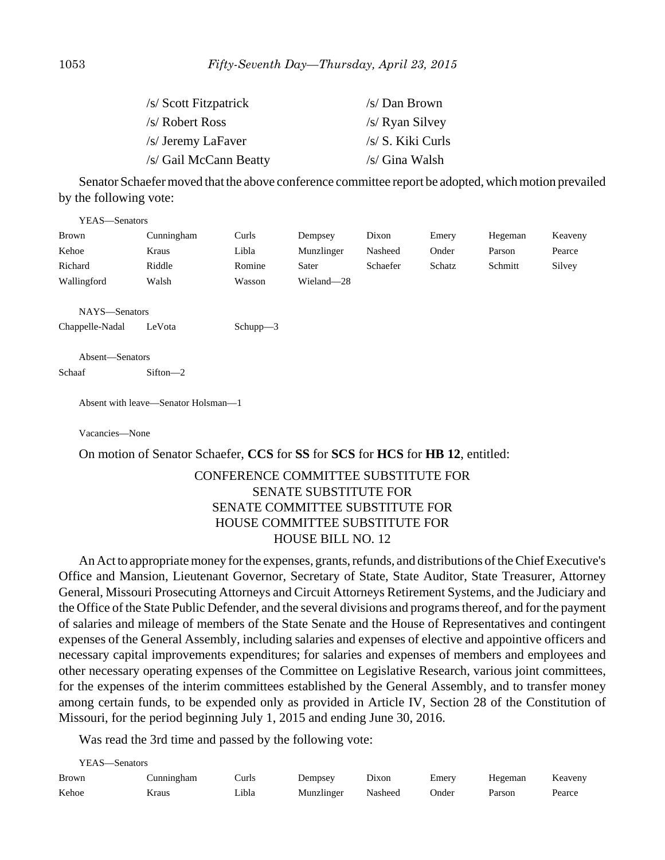| /s/ Scott Fitzpatrick  | /s/Dan Brown      |
|------------------------|-------------------|
| /s/ Robert Ross        | /s/ Ryan Silvey   |
| /s/ Jeremy LaFaver     | /s/ S. Kiki Curls |
| /s/ Gail McCann Beatty | /s/ Gina Walsh    |

Senator Schaefer moved that the above conference committee report be adopted, which motion prevailed by the following vote:

| YEAS-Senators   |                                     |          |            |          |        |         |         |
|-----------------|-------------------------------------|----------|------------|----------|--------|---------|---------|
| Brown           | Cunningham                          | Curls    | Dempsey    | Dixon    | Emery  | Hegeman | Keaveny |
| Kehoe           | Kraus                               | Libla    | Munzlinger | Nasheed  | Onder  | Parson  | Pearce  |
| Richard         | Riddle                              | Romine   | Sater      | Schaefer | Schatz | Schmitt | Silvey  |
| Wallingford     | Walsh                               | Wasson   | Wieland-28 |          |        |         |         |
|                 |                                     |          |            |          |        |         |         |
| NAYS-Senators   |                                     |          |            |          |        |         |         |
| Chappelle-Nadal | LeVota                              | Schupp-3 |            |          |        |         |         |
|                 |                                     |          |            |          |        |         |         |
| Absent-Senators |                                     |          |            |          |        |         |         |
| Schaaf          | $Sifton -2$                         |          |            |          |        |         |         |
|                 |                                     |          |            |          |        |         |         |
|                 | Absent with leave—Senator Holsman—1 |          |            |          |        |         |         |
|                 |                                     |          |            |          |        |         |         |
| Vacancies—None  |                                     |          |            |          |        |         |         |

On motion of Senator Schaefer, **CCS** for **SS** for **SCS** for **HCS** for **HB 12**, entitled:

## CONFERENCE COMMITTEE SUBSTITUTE FOR SENATE SUBSTITUTE FOR SENATE COMMITTEE SUBSTITUTE FOR HOUSE COMMITTEE SUBSTITUTE FOR HOUSE BILL NO. 12

An Act to appropriate money for the expenses, grants, refunds, and distributions of the Chief Executive's Office and Mansion, Lieutenant Governor, Secretary of State, State Auditor, State Treasurer, Attorney General, Missouri Prosecuting Attorneys and Circuit Attorneys Retirement Systems, and the Judiciary and the Office of the State Public Defender, and the several divisions and programs thereof, and for the payment of salaries and mileage of members of the State Senate and the House of Representatives and contingent expenses of the General Assembly, including salaries and expenses of elective and appointive officers and necessary capital improvements expenditures; for salaries and expenses of members and employees and other necessary operating expenses of the Committee on Legislative Research, various joint committees, for the expenses of the interim committees established by the General Assembly, and to transfer money among certain funds, to be expended only as provided in Article IV, Section 28 of the Constitution of Missouri, for the period beginning July 1, 2015 and ending June 30, 2016.

Was read the 3rd time and passed by the following vote:

| YEAS—Senators |            |       |            |         |       |         |         |  |
|---------------|------------|-------|------------|---------|-------|---------|---------|--|
| <b>Brown</b>  | Cunningham | Curls | Dempsey    | Dixon   | Emery | Hegeman | Keaveny |  |
| Kehoe         | Kraus      | Libla | Munzlinger | Nasheed | Onder | Parson  | Pearce  |  |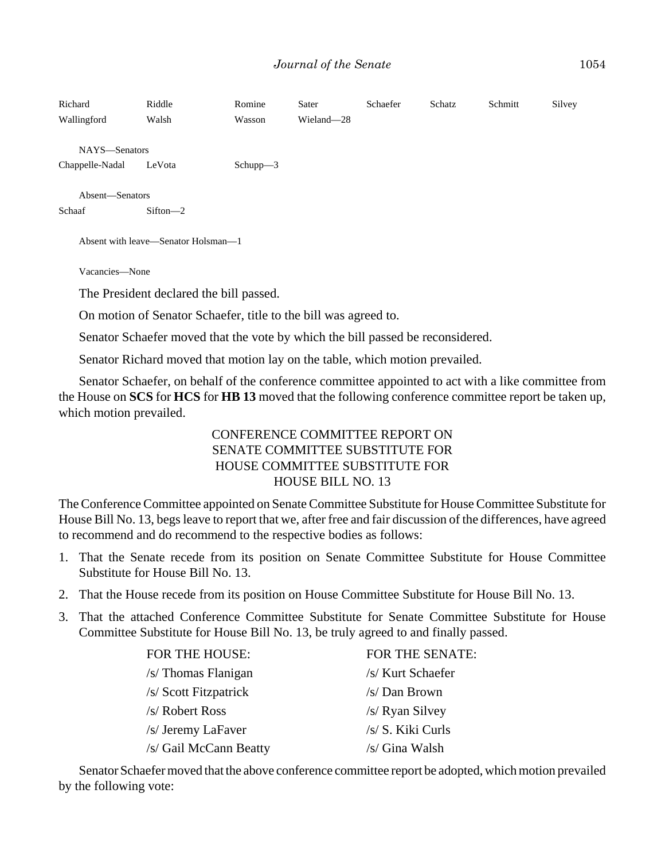| Richard<br>Wallingford                                          | Riddle<br>Walsh | Romine<br>Wasson | Sater<br>Wieland-28 | Schaefer | Schatz | Schmitt | Silvey |  |
|-----------------------------------------------------------------|-----------------|------------------|---------------------|----------|--------|---------|--------|--|
| NAYS-Senators                                                   |                 |                  |                     |          |        |         |        |  |
| Chappelle-Nadal                                                 | LeVota          | $Schupp-3$       |                     |          |        |         |        |  |
| Absent-Senators                                                 |                 |                  |                     |          |        |         |        |  |
| Schaaf                                                          | $Sifton -2$     |                  |                     |          |        |         |        |  |
| Absent with leave—Senator Holsman—1                             |                 |                  |                     |          |        |         |        |  |
| Vacancies-None                                                  |                 |                  |                     |          |        |         |        |  |
| The President declared the bill passed.                         |                 |                  |                     |          |        |         |        |  |
| On motion of Senator Schaefer, title to the bill was agreed to. |                 |                  |                     |          |        |         |        |  |
|                                                                 |                 |                  |                     |          |        |         |        |  |

Senator Schaefer moved that the vote by which the bill passed be reconsidered.

Senator Richard moved that motion lay on the table, which motion prevailed.

Senator Schaefer, on behalf of the conference committee appointed to act with a like committee from the House on **SCS** for **HCS** for **HB 13** moved that the following conference committee report be taken up, which motion prevailed.

# CONFERENCE COMMITTEE REPORT ON SENATE COMMITTEE SUBSTITUTE FOR HOUSE COMMITTEE SUBSTITUTE FOR HOUSE BILL NO. 13

The Conference Committee appointed on Senate Committee Substitute for House Committee Substitute for House Bill No. 13, begs leave to report that we, after free and fair discussion of the differences, have agreed to recommend and do recommend to the respective bodies as follows:

- 1. That the Senate recede from its position on Senate Committee Substitute for House Committee Substitute for House Bill No. 13.
- 2. That the House recede from its position on House Committee Substitute for House Bill No. 13.
- 3. That the attached Conference Committee Substitute for Senate Committee Substitute for House Committee Substitute for House Bill No. 13, be truly agreed to and finally passed.

| FOR THE HOUSE:         | <b>FOR THE SENATE:</b> |
|------------------------|------------------------|
| /s/ Thomas Flanigan    | /s/ Kurt Schaefer      |
| /s/ Scott Fitzpatrick  | /s/ Dan Brown          |
| /s/ Robert Ross        | /s/ Ryan Silvey        |
| /s/ Jeremy LaFaver     | /s/ S. Kiki Curls      |
| /s/ Gail McCann Beatty | /s/ Gina Walsh         |

Senator Schaefer moved that the above conference committee report be adopted, which motion prevailed by the following vote: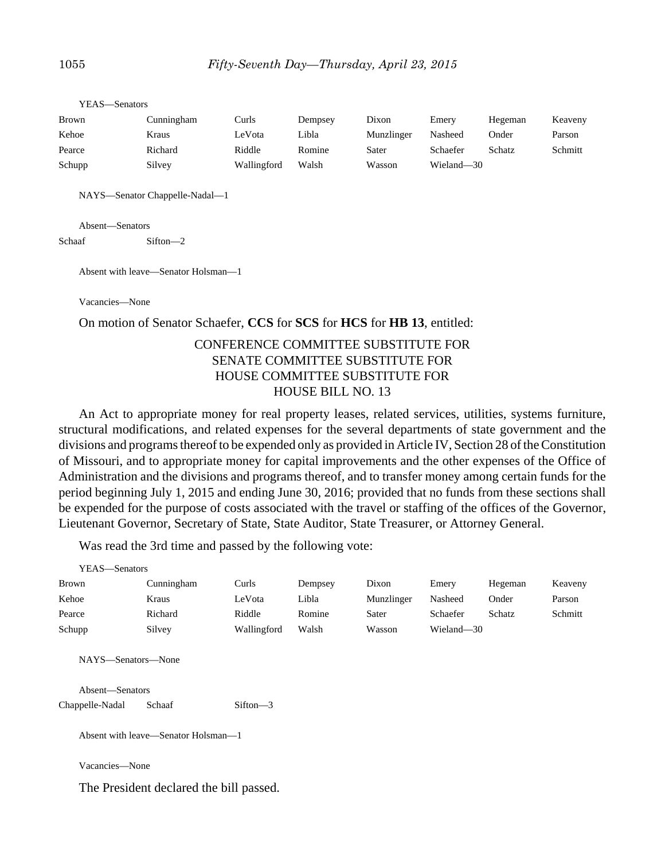| Cunningham | Curls       | Dempsey | Dixon      | Emery      | Hegeman       | Keaveny |
|------------|-------------|---------|------------|------------|---------------|---------|
| Kraus      | LeVota      | Libla   | Munzlinger | Nasheed    | Onder         | Parson  |
| Richard    | Riddle      | Romine  | Sater      | Schaefer   | <b>Schatz</b> | Schmitt |
| Silvey     | Wallingford | Walsh   | Wasson     | Wieland—30 |               |         |
|            |             |         |            |            |               |         |

NAYS—Senator Chappelle-Nadal—1

Absent—Senators

YEAS—Senators

Schaaf Sifton—2

Absent with leave—Senator Holsman—1

Vacancies—None

On motion of Senator Schaefer, **CCS** for **SCS** for **HCS** for **HB 13**, entitled:

## CONFERENCE COMMITTEE SUBSTITUTE FOR SENATE COMMITTEE SUBSTITUTE FOR HOUSE COMMITTEE SUBSTITUTE FOR HOUSE BILL NO. 13

An Act to appropriate money for real property leases, related services, utilities, systems furniture, structural modifications, and related expenses for the several departments of state government and the divisions and programs thereof to be expended only as provided in Article IV, Section 28 of the Constitution of Missouri, and to appropriate money for capital improvements and the other expenses of the Office of Administration and the divisions and programs thereof, and to transfer money among certain funds for the period beginning July 1, 2015 and ending June 30, 2016; provided that no funds from these sections shall be expended for the purpose of costs associated with the travel or staffing of the offices of the Governor, Lieutenant Governor, Secretary of State, State Auditor, State Treasurer, or Attorney General.

Was read the 3rd time and passed by the following vote:

| YEAS—Senators |                    |             |         |            |            |         |         |
|---------------|--------------------|-------------|---------|------------|------------|---------|---------|
| <b>Brown</b>  | Cunningham         | Curls       | Dempsey | Dixon      | Emery      | Hegeman | Keaveny |
| Kehoe         | Kraus              | LeVota      | Libla   | Munzlinger | Nasheed    | Onder   | Parson  |
| Pearce        | Richard            | Riddle      | Romine  | Sater      | Schaefer   | Schatz  | Schmitt |
| Schupp        | Silvey             | Wallingford | Walsh   | Wasson     | Wieland-30 |         |         |
|               | NAYS—Senators—None |             |         |            |            |         |         |

Absent—Senators Chappelle-Nadal Schaaf Sifton—3

Absent with leave—Senator Holsman—1

Vacancies—None

The President declared the bill passed.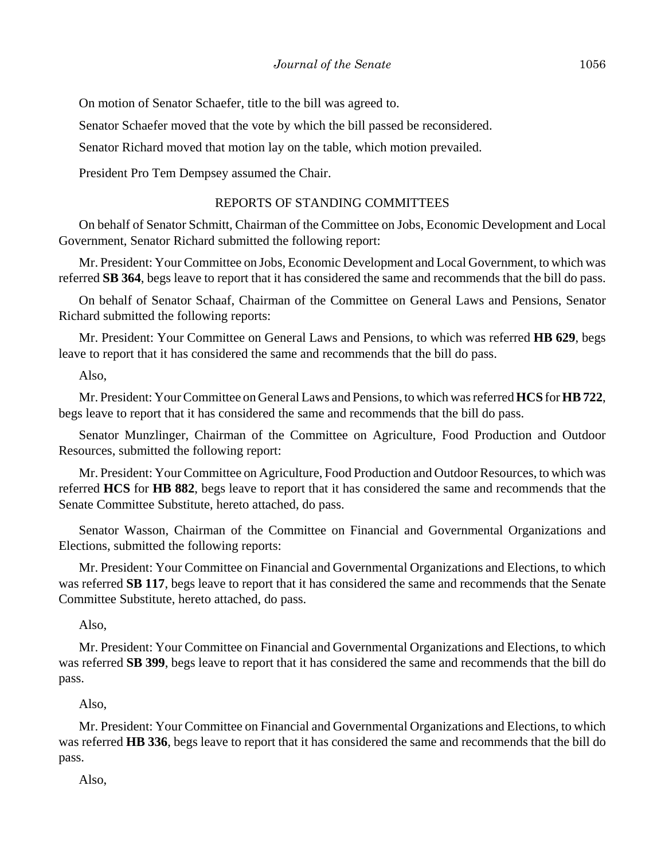On motion of Senator Schaefer, title to the bill was agreed to.

Senator Schaefer moved that the vote by which the bill passed be reconsidered.

Senator Richard moved that motion lay on the table, which motion prevailed.

President Pro Tem Dempsey assumed the Chair.

#### REPORTS OF STANDING COMMITTEES

On behalf of Senator Schmitt, Chairman of the Committee on Jobs, Economic Development and Local Government, Senator Richard submitted the following report:

Mr. President: Your Committee on Jobs, Economic Development and Local Government, to which was referred **SB 364**, begs leave to report that it has considered the same and recommends that the bill do pass.

On behalf of Senator Schaaf, Chairman of the Committee on General Laws and Pensions, Senator Richard submitted the following reports:

Mr. President: Your Committee on General Laws and Pensions, to which was referred **HB 629**, begs leave to report that it has considered the same and recommends that the bill do pass.

Also,

Mr. President: Your Committee on General Laws and Pensions, to which was referred **HCS** for **HB 722**, begs leave to report that it has considered the same and recommends that the bill do pass.

Senator Munzlinger, Chairman of the Committee on Agriculture, Food Production and Outdoor Resources, submitted the following report:

Mr. President: Your Committee on Agriculture, Food Production and Outdoor Resources, to which was referred **HCS** for **HB 882**, begs leave to report that it has considered the same and recommends that the Senate Committee Substitute, hereto attached, do pass.

Senator Wasson, Chairman of the Committee on Financial and Governmental Organizations and Elections, submitted the following reports:

Mr. President: Your Committee on Financial and Governmental Organizations and Elections, to which was referred **SB 117**, begs leave to report that it has considered the same and recommends that the Senate Committee Substitute, hereto attached, do pass.

Also,

Mr. President: Your Committee on Financial and Governmental Organizations and Elections, to which was referred **SB 399**, begs leave to report that it has considered the same and recommends that the bill do pass.

Also,

Mr. President: Your Committee on Financial and Governmental Organizations and Elections, to which was referred **HB 336**, begs leave to report that it has considered the same and recommends that the bill do pass.

Also,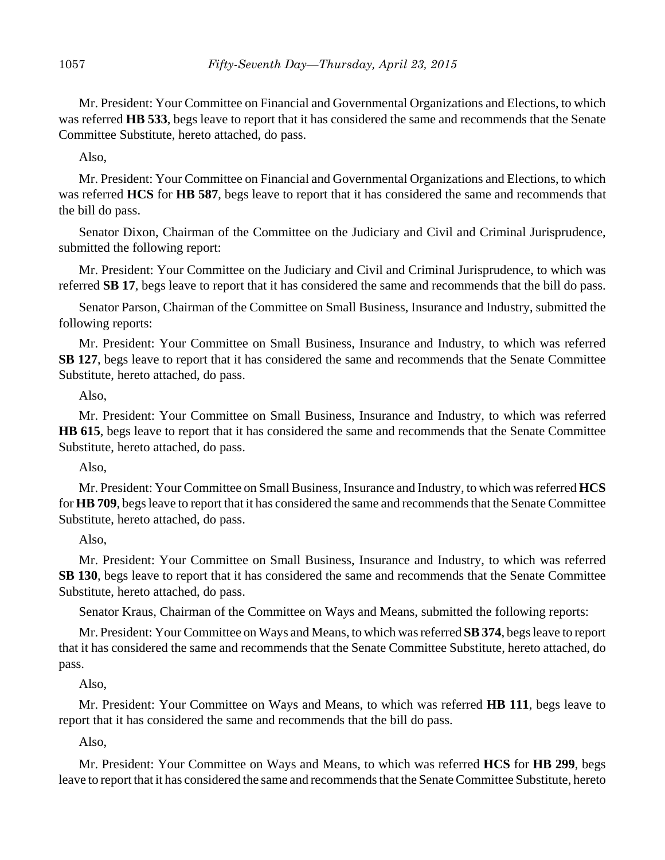Mr. President: Your Committee on Financial and Governmental Organizations and Elections, to which was referred **HB 533**, begs leave to report that it has considered the same and recommends that the Senate Committee Substitute, hereto attached, do pass.

Also,

Mr. President: Your Committee on Financial and Governmental Organizations and Elections, to which was referred **HCS** for **HB 587**, begs leave to report that it has considered the same and recommends that the bill do pass.

Senator Dixon, Chairman of the Committee on the Judiciary and Civil and Criminal Jurisprudence, submitted the following report:

Mr. President: Your Committee on the Judiciary and Civil and Criminal Jurisprudence, to which was referred **SB 17**, begs leave to report that it has considered the same and recommends that the bill do pass.

Senator Parson, Chairman of the Committee on Small Business, Insurance and Industry, submitted the following reports:

Mr. President: Your Committee on Small Business, Insurance and Industry, to which was referred **SB 127**, begs leave to report that it has considered the same and recommends that the Senate Committee Substitute, hereto attached, do pass.

Also,

Mr. President: Your Committee on Small Business, Insurance and Industry, to which was referred **HB 615**, begs leave to report that it has considered the same and recommends that the Senate Committee Substitute, hereto attached, do pass.

Also,

Mr. President: Your Committee on Small Business, Insurance and Industry, to which was referred **HCS** for **HB 709**, begs leave to report that it has considered the same and recommends that the Senate Committee Substitute, hereto attached, do pass.

Also,

Mr. President: Your Committee on Small Business, Insurance and Industry, to which was referred **SB 130**, begs leave to report that it has considered the same and recommends that the Senate Committee Substitute, hereto attached, do pass.

Senator Kraus, Chairman of the Committee on Ways and Means, submitted the following reports:

Mr. President: Your Committee on Ways and Means, to which was referred **SB 374**, begs leave to report that it has considered the same and recommends that the Senate Committee Substitute, hereto attached, do pass.

Also,

Mr. President: Your Committee on Ways and Means, to which was referred **HB 111**, begs leave to report that it has considered the same and recommends that the bill do pass.

Also,

Mr. President: Your Committee on Ways and Means, to which was referred **HCS** for **HB 299**, begs leave to report that it has considered the same and recommends that the Senate Committee Substitute, hereto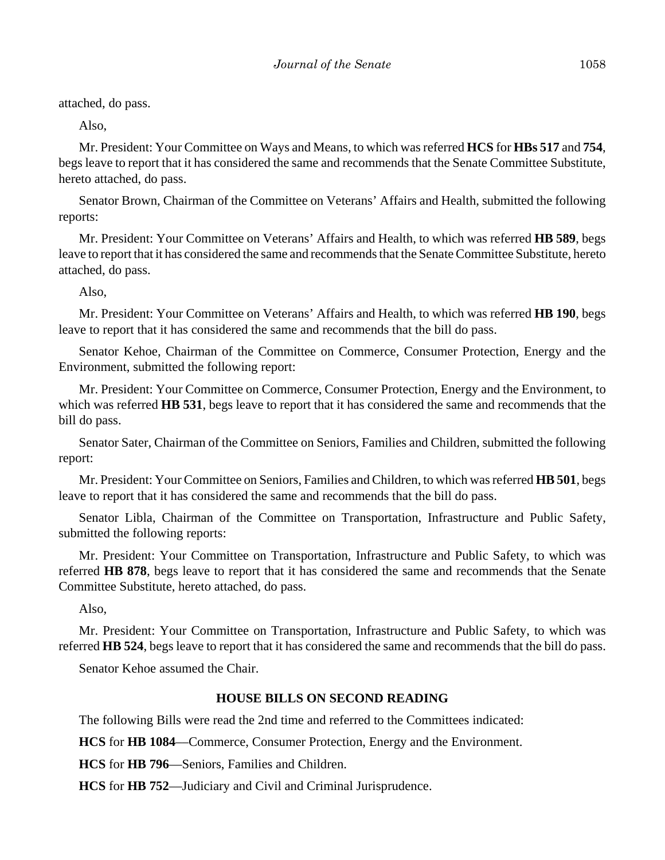attached, do pass.

Also,

Mr. President: Your Committee on Ways and Means, to which was referred **HCS** for **HBs 517** and **754**, begs leave to report that it has considered the same and recommends that the Senate Committee Substitute, hereto attached, do pass.

Senator Brown, Chairman of the Committee on Veterans' Affairs and Health, submitted the following reports:

Mr. President: Your Committee on Veterans' Affairs and Health, to which was referred **HB 589**, begs leave to report that it has considered the same and recommends that the Senate Committee Substitute, hereto attached, do pass.

Also,

Mr. President: Your Committee on Veterans' Affairs and Health, to which was referred **HB 190**, begs leave to report that it has considered the same and recommends that the bill do pass.

Senator Kehoe, Chairman of the Committee on Commerce, Consumer Protection, Energy and the Environment, submitted the following report:

Mr. President: Your Committee on Commerce, Consumer Protection, Energy and the Environment, to which was referred **HB 531**, begs leave to report that it has considered the same and recommends that the bill do pass.

Senator Sater, Chairman of the Committee on Seniors, Families and Children, submitted the following report:

Mr. President: Your Committee on Seniors, Families and Children, to which was referred **HB 501**, begs leave to report that it has considered the same and recommends that the bill do pass.

Senator Libla, Chairman of the Committee on Transportation, Infrastructure and Public Safety, submitted the following reports:

Mr. President: Your Committee on Transportation, Infrastructure and Public Safety, to which was referred **HB 878**, begs leave to report that it has considered the same and recommends that the Senate Committee Substitute, hereto attached, do pass.

Also,

Mr. President: Your Committee on Transportation, Infrastructure and Public Safety, to which was referred **HB 524**, begs leave to report that it has considered the same and recommends that the bill do pass.

Senator Kehoe assumed the Chair.

#### **HOUSE BILLS ON SECOND READING**

The following Bills were read the 2nd time and referred to the Committees indicated:

**HCS** for **HB 1084**––Commerce, Consumer Protection, Energy and the Environment.

**HCS** for **HB 796**––Seniors, Families and Children.

**HCS** for **HB 752**––Judiciary and Civil and Criminal Jurisprudence.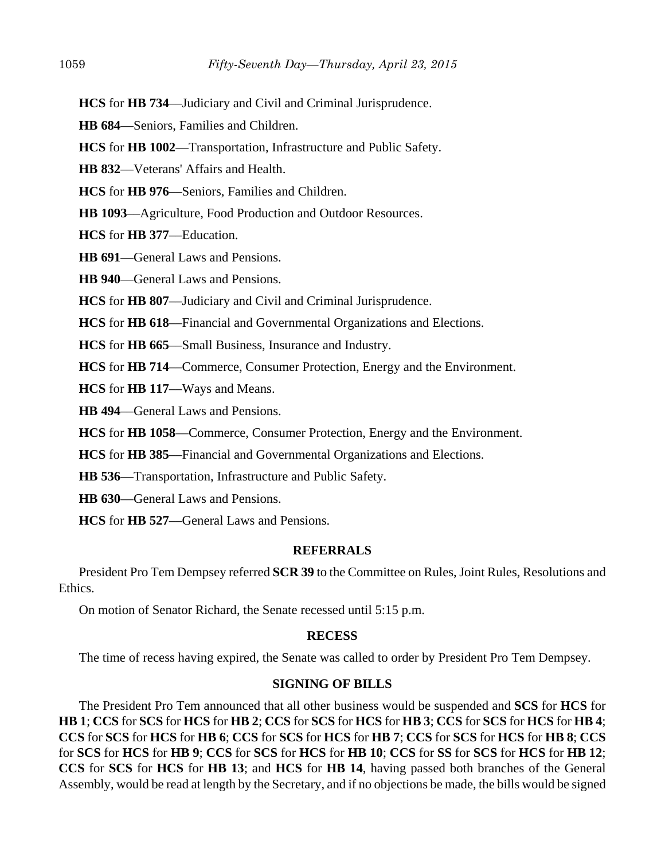**HCS** for **HB 734**––Judiciary and Civil and Criminal Jurisprudence.

**HB 684**––Seniors, Families and Children.

**HCS** for **HB 1002**––Transportation, Infrastructure and Public Safety.

**HB 832**––Veterans' Affairs and Health.

**HCS** for **HB 976**––Seniors, Families and Children.

**HB 1093**––Agriculture, Food Production and Outdoor Resources.

**HCS** for **HB 377**––Education.

**HB 691**––General Laws and Pensions.

**HB 940—General Laws and Pensions.** 

**HCS** for **HB 807**––Judiciary and Civil and Criminal Jurisprudence.

**HCS** for **HB 618**––Financial and Governmental Organizations and Elections.

**HCS** for **HB 665**––Small Business, Insurance and Industry.

**HCS** for **HB 714**––Commerce, Consumer Protection, Energy and the Environment.

**HCS** for **HB 117**––Ways and Means.

**HB 494**––General Laws and Pensions.

**HCS** for **HB 1058**––Commerce, Consumer Protection, Energy and the Environment.

**HCS** for **HB 385**––Financial and Governmental Organizations and Elections.

**HB 536**––Transportation, Infrastructure and Public Safety.

**HB 630**––General Laws and Pensions.

**HCS** for **HB 527**––General Laws and Pensions.

#### **REFERRALS**

President Pro Tem Dempsey referred **SCR 39** to the Committee on Rules, Joint Rules, Resolutions and Ethics.

On motion of Senator Richard, the Senate recessed until 5:15 p.m.

# **RECESS**

The time of recess having expired, the Senate was called to order by President Pro Tem Dempsey.

# **SIGNING OF BILLS**

The President Pro Tem announced that all other business would be suspended and **SCS** for **HCS** for **HB 1**; **CCS** for **SCS** for **HCS** for **HB 2**; **CCS** for **SCS** for **HCS** for **HB 3**; **CCS** for **SCS** for **HCS** for **HB 4**; **CCS** for **SCS** for **HCS** for **HB 6**; **CCS** for **SCS** for **HCS** for **HB 7**; **CCS** for **SCS** for **HCS** for **HB 8**; **CCS** for **SCS** for **HCS** for **HB 9**; **CCS** for **SCS** for **HCS** for **HB 10**; **CCS** for **SS** for **SCS** for **HCS** for **HB 12**; **CCS** for **SCS** for **HCS** for **HB 13**; and **HCS** for **HB 14**, having passed both branches of the General Assembly, would be read at length by the Secretary, and if no objections be made, the bills would be signed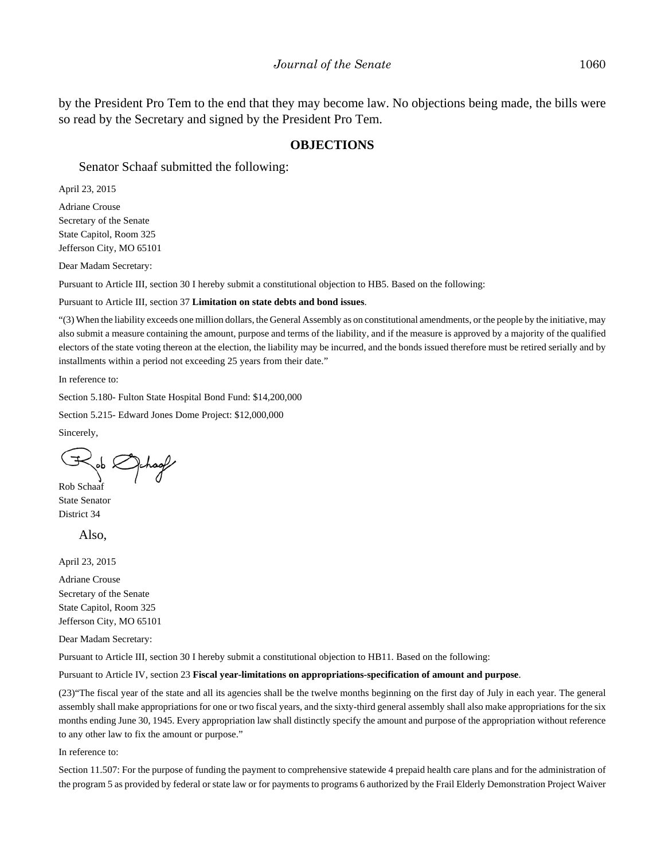by the President Pro Tem to the end that they may become law. No objections being made, the bills were so read by the Secretary and signed by the President Pro Tem.

#### **OBJECTIONS**

Senator Schaaf submitted the following:

April 23, 2015

Adriane Crouse Secretary of the Senate State Capitol, Room 325 Jefferson City, MO 65101

Dear Madam Secretary:

Pursuant to Article III, section 30 I hereby submit a constitutional objection to HB5. Based on the following:

Pursuant to Article III, section 37 **Limitation on state debts and bond issues**.

"(3) When the liability exceeds one million dollars, the General Assembly as on constitutional amendments, or the people by the initiative, may also submit a measure containing the amount, purpose and terms of the liability, and if the measure is approved by a majority of the qualified electors of the state voting thereon at the election, the liability may be incurred, and the bonds issued therefore must be retired serially and by installments within a period not exceeding 25 years from their date."

In reference to:

Section 5.180- Fulton State Hospital Bond Fund: \$14,200,000

Section 5.215- Edward Jones Dome Project: \$12,000,000

Sincerely,

Rob Schaaf

State Senator District 34

Also,

April 23, 2015

Adriane Crouse Secretary of the Senate State Capitol, Room 325 Jefferson City, MO 65101

Dear Madam Secretary:

Pursuant to Article III, section 30 I hereby submit a constitutional objection to HB11. Based on the following:

Pursuant to Article IV, section 23 **Fiscal year-limitations on appropriations-specification of amount and purpose**.

(23)"The fiscal year of the state and all its agencies shall be the twelve months beginning on the first day of July in each year. The general assembly shall make appropriations for one or two fiscal years, and the sixty-third general assembly shall also make appropriations for the six months ending June 30, 1945. Every appropriation law shall distinctly specify the amount and purpose of the appropriation without reference to any other law to fix the amount or purpose."

In reference to:

Section 11.507: For the purpose of funding the payment to comprehensive statewide 4 prepaid health care plans and for the administration of the program 5 as provided by federal or state law or for payments to programs 6 authorized by the Frail Elderly Demonstration Project Waiver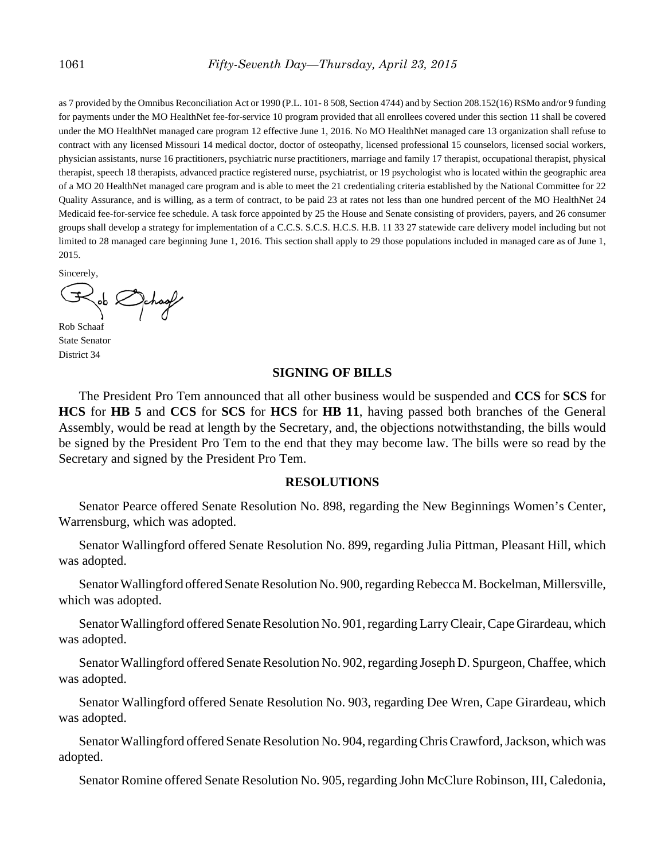as 7 provided by the Omnibus Reconciliation Act or 1990 (P.L. 101- 8 508, Section 4744) and by Section 208.152(16) RSMo and/or 9 funding for payments under the MO HealthNet fee-for-service 10 program provided that all enrollees covered under this section 11 shall be covered under the MO HealthNet managed care program 12 effective June 1, 2016. No MO HealthNet managed care 13 organization shall refuse to contract with any licensed Missouri 14 medical doctor, doctor of osteopathy, licensed professional 15 counselors, licensed social workers, physician assistants, nurse 16 practitioners, psychiatric nurse practitioners, marriage and family 17 therapist, occupational therapist, physical therapist, speech 18 therapists, advanced practice registered nurse, psychiatrist, or 19 psychologist who is located within the geographic area of a MO 20 HealthNet managed care program and is able to meet the 21 credentialing criteria established by the National Committee for 22 Quality Assurance, and is willing, as a term of contract, to be paid 23 at rates not less than one hundred percent of the MO HealthNet 24 Medicaid fee-for-service fee schedule. A task force appointed by 25 the House and Senate consisting of providers, payers, and 26 consumer groups shall develop a strategy for implementation of a C.C.S. S.C.S. H.C.S. H.B. 11 33 27 statewide care delivery model including but not limited to 28 managed care beginning June 1, 2016. This section shall apply to 29 those populations included in managed care as of June 1, 2015.

Sincerely,

chaof

Rob Schaaf State Senator District 34

#### **SIGNING OF BILLS**

The President Pro Tem announced that all other business would be suspended and **CCS** for **SCS** for **HCS** for **HB 5** and **CCS** for **SCS** for **HCS** for **HB 11**, having passed both branches of the General Assembly, would be read at length by the Secretary, and, the objections notwithstanding, the bills would be signed by the President Pro Tem to the end that they may become law. The bills were so read by the Secretary and signed by the President Pro Tem.

#### **RESOLUTIONS**

Senator Pearce offered Senate Resolution No. 898, regarding the New Beginnings Women's Center, Warrensburg, which was adopted.

Senator Wallingford offered Senate Resolution No. 899, regarding Julia Pittman, Pleasant Hill, which was adopted.

Senator Wallingford offered Senate Resolution No. 900, regarding Rebecca M. Bockelman, Millersville, which was adopted.

Senator Wallingford offered Senate Resolution No. 901, regarding Larry Cleair, Cape Girardeau, which was adopted.

Senator Wallingford offered Senate Resolution No. 902, regarding Joseph D. Spurgeon, Chaffee, which was adopted.

Senator Wallingford offered Senate Resolution No. 903, regarding Dee Wren, Cape Girardeau, which was adopted.

Senator Wallingford offered Senate Resolution No. 904, regarding Chris Crawford, Jackson, which was adopted.

Senator Romine offered Senate Resolution No. 905, regarding John McClure Robinson, III, Caledonia,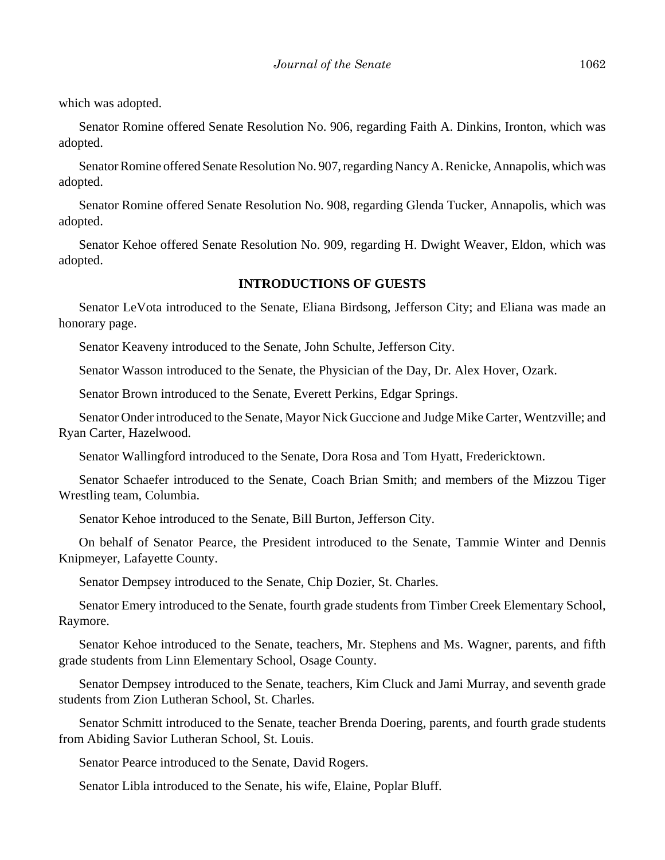which was adopted.

Senator Romine offered Senate Resolution No. 906, regarding Faith A. Dinkins, Ironton, which was adopted.

Senator Romine offered Senate Resolution No. 907, regarding Nancy A. Renicke, Annapolis, which was adopted.

Senator Romine offered Senate Resolution No. 908, regarding Glenda Tucker, Annapolis, which was adopted.

Senator Kehoe offered Senate Resolution No. 909, regarding H. Dwight Weaver, Eldon, which was adopted.

#### **INTRODUCTIONS OF GUESTS**

Senator LeVota introduced to the Senate, Eliana Birdsong, Jefferson City; and Eliana was made an honorary page.

Senator Keaveny introduced to the Senate, John Schulte, Jefferson City.

Senator Wasson introduced to the Senate, the Physician of the Day, Dr. Alex Hover, Ozark.

Senator Brown introduced to the Senate, Everett Perkins, Edgar Springs.

Senator Onder introduced to the Senate, Mayor Nick Guccione and Judge Mike Carter, Wentzville; and Ryan Carter, Hazelwood.

Senator Wallingford introduced to the Senate, Dora Rosa and Tom Hyatt, Fredericktown.

Senator Schaefer introduced to the Senate, Coach Brian Smith; and members of the Mizzou Tiger Wrestling team, Columbia.

Senator Kehoe introduced to the Senate, Bill Burton, Jefferson City.

On behalf of Senator Pearce, the President introduced to the Senate, Tammie Winter and Dennis Knipmeyer, Lafayette County.

Senator Dempsey introduced to the Senate, Chip Dozier, St. Charles.

Senator Emery introduced to the Senate, fourth grade students from Timber Creek Elementary School, Raymore.

Senator Kehoe introduced to the Senate, teachers, Mr. Stephens and Ms. Wagner, parents, and fifth grade students from Linn Elementary School, Osage County.

Senator Dempsey introduced to the Senate, teachers, Kim Cluck and Jami Murray, and seventh grade students from Zion Lutheran School, St. Charles.

Senator Schmitt introduced to the Senate, teacher Brenda Doering, parents, and fourth grade students from Abiding Savior Lutheran School, St. Louis.

Senator Pearce introduced to the Senate, David Rogers.

Senator Libla introduced to the Senate, his wife, Elaine, Poplar Bluff.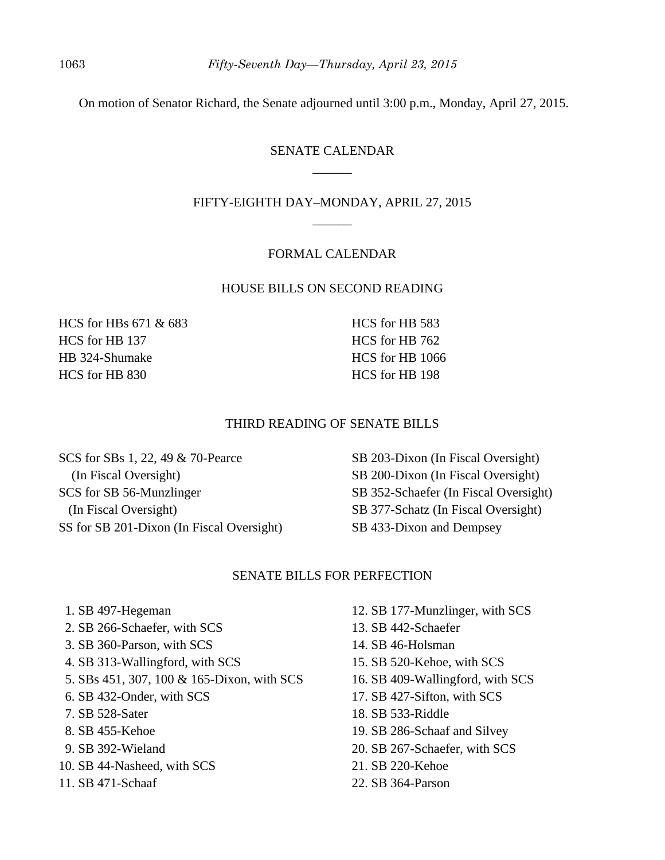On motion of Senator Richard, the Senate adjourned until 3:00 p.m., Monday, April 27, 2015.

# SENATE CALENDAR  $\overline{\phantom{a}}$

# FIFTY-EIGHTH DAY–MONDAY, APRIL 27, 2015 \_\_\_\_\_\_

#### FORMAL CALENDAR

#### HOUSE BILLS ON SECOND READING

HCS for HBs 671 & 683 HCS for HB 137 HB 324-Shumake HCS for HB 830

HCS for HB 583 HCS for HB 762 HCS for HB 1066 HCS for HB 198

#### THIRD READING OF SENATE BILLS

SCS for SBs 1, 22, 49 & 70-Pearce (In Fiscal Oversight) SCS for SB 56-Munzlinger (In Fiscal Oversight) SS for SB 201-Dixon (In Fiscal Oversight) SB 203-Dixon (In Fiscal Oversight) SB 200-Dixon (In Fiscal Oversight) SB 352-Schaefer (In Fiscal Oversight) SB 377-Schatz (In Fiscal Oversight) SB 433-Dixon and Dempsey

## SENATE BILLS FOR PERFECTION

- 1. SB 497-Hegeman
- 2. SB 266-Schaefer, with SCS
- 3. SB 360-Parson, with SCS
- 4. SB 313-Wallingford, with SCS
- 5. SBs 451, 307, 100 & 165-Dixon, with SCS
- 6. SB 432-Onder, with SCS
- 7. SB 528-Sater
- 8. SB 455-Kehoe
- 9. SB 392-Wieland
- 10. SB 44-Nasheed, with SCS
- 11. SB 471-Schaaf
- 12. SB 177-Munzlinger, with SCS
- 13. SB 442-Schaefer
- 14. SB 46-Holsman
- 15. SB 520-Kehoe, with SCS
- 16. SB 409-Wallingford, with SCS
- 17. SB 427-Sifton, with SCS
- 18. SB 533-Riddle
- 19. SB 286-Schaaf and Silvey
- 20. SB 267-Schaefer, with SCS
- 21. SB 220-Kehoe
- 22. SB 364-Parson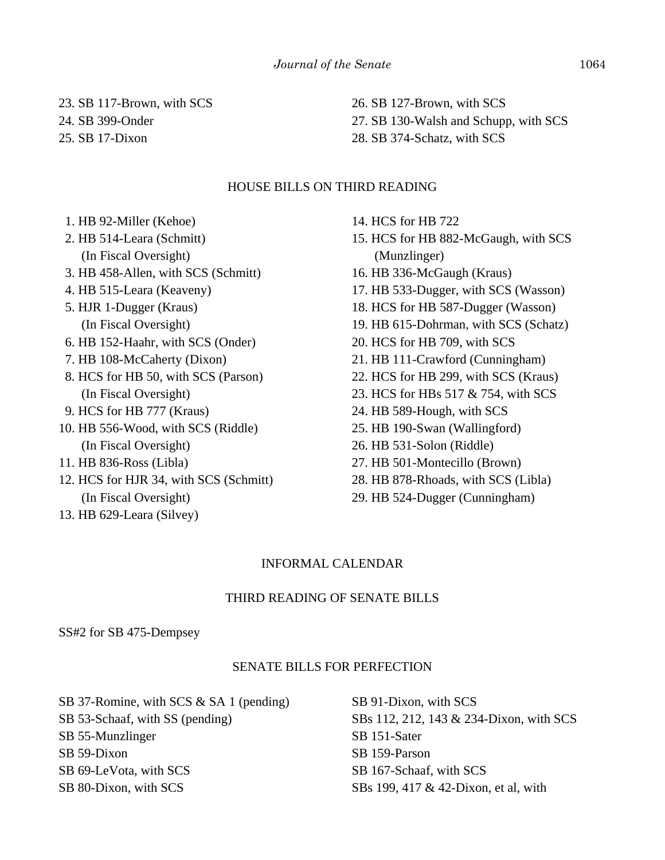23. SB 117-Brown, with SCS

24. SB 399-Onder

25. SB 17-Dixon

26. SB 127-Brown, with SCS 27. SB 130-Walsh and Schupp, with SCS 28. SB 374-Schatz, with SCS

## HOUSE BILLS ON THIRD READING

- 1. HB 92-Miller (Kehoe)
- 2. HB 514-Leara (Schmitt) (In Fiscal Oversight)
- 3. HB 458-Allen, with SCS (Schmitt)
- 4. HB 515-Leara (Keaveny)
- 5. HJR 1-Dugger (Kraus) (In Fiscal Oversight)
- 6. HB 152-Haahr, with SCS (Onder)
- 7. HB 108-McCaherty (Dixon)
- 8. HCS for HB 50, with SCS (Parson) (In Fiscal Oversight)
- 9. HCS for HB 777 (Kraus)
- 10. HB 556-Wood, with SCS (Riddle) (In Fiscal Oversight)
- 11. HB 836-Ross (Libla)
- 12. HCS for HJR 34, with SCS (Schmitt) (In Fiscal Oversight)
- 13. HB 629-Leara (Silvey)
- 14. HCS for HB 722
- 15. HCS for HB 882-McGaugh, with SCS (Munzlinger)
- 16. HB 336-McGaugh (Kraus)
- 17. HB 533-Dugger, with SCS (Wasson)
- 18. HCS for HB 587-Dugger (Wasson)
- 19. HB 615-Dohrman, with SCS (Schatz)
- 20. HCS for HB 709, with SCS
- 21. HB 111-Crawford (Cunningham)
- 22. HCS for HB 299, with SCS (Kraus)
- 23. HCS for HBs 517 & 754, with SCS
- 24. HB 589-Hough, with SCS
- 25. HB 190-Swan (Wallingford)
- 26. HB 531-Solon (Riddle)
- 27. HB 501-Montecillo (Brown)
- 28. HB 878-Rhoads, with SCS (Libla)
- 29. HB 524-Dugger (Cunningham)

# INFORMAL CALENDAR

# THIRD READING OF SENATE BILLS

SS#2 for SB 475-Dempsey

# SENATE BILLS FOR PERFECTION

SB 37-Romine, with SCS & SA 1 (pending) SB 53-Schaaf, with SS (pending) SB 55-Munzlinger SB 59-Dixon SB 69-LeVota, with SCS SB 80-Dixon, with SCS

SB 91-Dixon, with SCS SBs 112, 212, 143 & 234-Dixon, with SCS SB 151-Sater SB 159-Parson SB 167-Schaaf, with SCS SBs 199, 417 & 42-Dixon, et al, with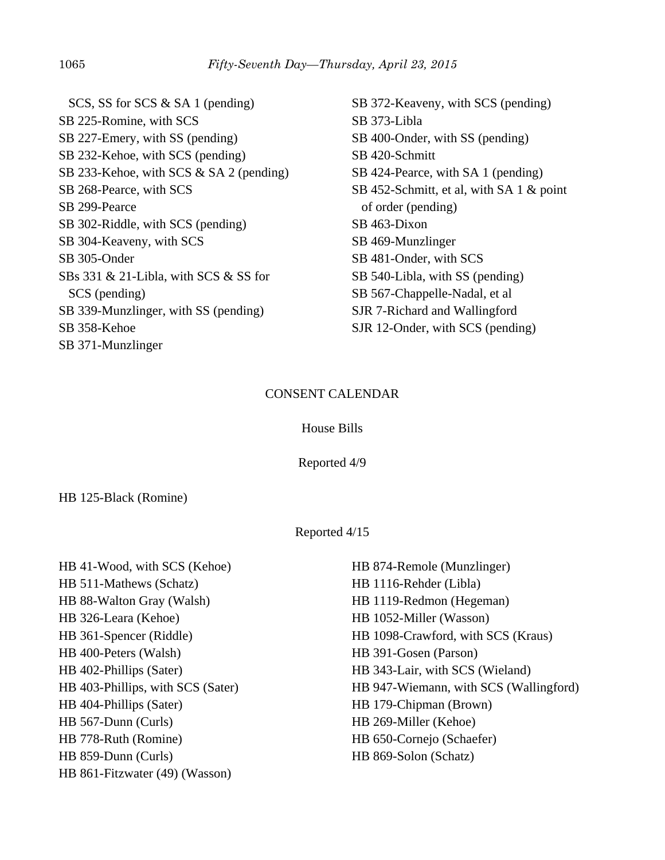SCS, SS for SCS & SA 1 (pending) SB 225-Romine, with SCS SB 227-Emery, with SS (pending) SB 232-Kehoe, with SCS (pending) SB 233-Kehoe, with SCS & SA 2 (pending) SB 268-Pearce, with SCS SB 299-Pearce SB 302-Riddle, with SCS (pending) SB 304-Keaveny, with SCS SB 305-Onder SBs 331 & 21-Libla, with SCS & SS for SCS (pending) SB 339-Munzlinger, with SS (pending) SB 358-Kehoe SB 371-Munzlinger

SB 372-Keaveny, with SCS (pending) SB 373-Libla SB 400-Onder, with SS (pending) SB 420-Schmitt SB 424-Pearce, with SA 1 (pending) SB 452-Schmitt, et al, with SA 1 & point of order (pending) SB 463-Dixon SB 469-Munzlinger SB 481-Onder, with SCS SB 540-Libla, with SS (pending) SB 567-Chappelle-Nadal, et al SJR 7-Richard and Wallingford SJR 12-Onder, with SCS (pending)

## CONSENT CALENDAR

## House Bills

Reported 4/9

HB 125-Black (Romine)

# Reported 4/15

| HB 41-Wood, with SCS (Kehoe)      | HB 874-Remole (Munzlinger)             |
|-----------------------------------|----------------------------------------|
| HB 511-Mathews (Schatz)           | HB 1116-Rehder (Libla)                 |
| HB 88-Walton Gray (Walsh)         | HB 1119-Redmon (Hegeman)               |
| HB 326-Leara (Kehoe)              | HB 1052-Miller (Wasson)                |
| HB 361-Spencer (Riddle)           | HB 1098-Crawford, with SCS (Kraus)     |
| HB 400-Peters (Walsh)             | HB 391-Gosen (Parson)                  |
| HB 402-Phillips (Sater)           | HB 343-Lair, with SCS (Wieland)        |
| HB 403-Phillips, with SCS (Sater) | HB 947-Wiemann, with SCS (Wallingford) |
| HB 404-Phillips (Sater)           | HB 179-Chipman (Brown)                 |
| HB 567-Dunn (Curls)               | HB 269-Miller (Kehoe)                  |
| HB 778-Ruth (Romine)              | HB 650-Cornejo (Schaefer)              |
| HB 859-Dunn (Curls)               | HB 869-Solon (Schatz)                  |
| HB 861-Fitzwater (49) (Wasson)    |                                        |